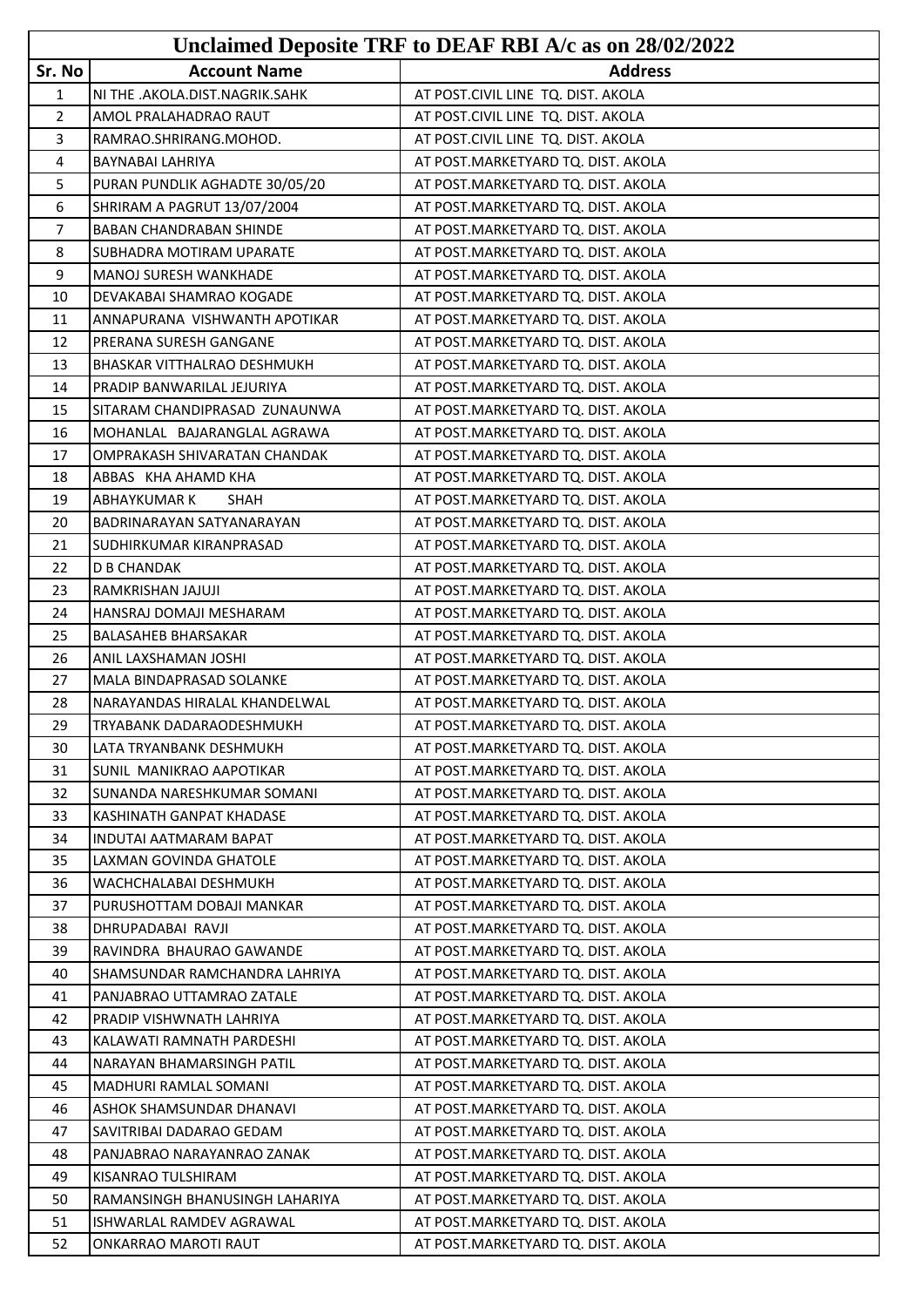|                | Unclaimed Deposite TRF to DEAF RBI A/c as on 28/02/2022 |                                    |  |
|----------------|---------------------------------------------------------|------------------------------------|--|
| Sr. No         | <b>Account Name</b>                                     | <b>Address</b>                     |  |
| $\mathbf{1}$   | NI THE .AKOLA.DIST.NAGRIK.SAHK                          | AT POST.CIVIL LINE TQ. DIST. AKOLA |  |
| $\overline{2}$ | AMOL PRALAHADRAO RAUT                                   | AT POST.CIVIL LINE TQ. DIST. AKOLA |  |
| 3              | RAMRAO.SHRIRANG.MOHOD.                                  | AT POST.CIVIL LINE TQ. DIST. AKOLA |  |
| 4              | BAYNABAI LAHRIYA                                        | AT POST.MARKETYARD TQ. DIST. AKOLA |  |
| 5              | PURAN PUNDLIK AGHADTE 30/05/20                          | AT POST.MARKETYARD TQ. DIST. AKOLA |  |
| 6              | SHRIRAM A PAGRUT 13/07/2004                             | AT POST.MARKETYARD TQ. DIST. AKOLA |  |
| $\overline{7}$ | <b>BABAN CHANDRABAN SHINDE</b>                          | AT POST.MARKETYARD TQ. DIST. AKOLA |  |
| 8              | SUBHADRA MOTIRAM UPARATE                                | AT POST.MARKETYARD TQ. DIST. AKOLA |  |
| 9              | <b>MANOJ SURESH WANKHADE</b>                            | AT POST.MARKETYARD TQ. DIST. AKOLA |  |
| 10             | DEVAKABAI SHAMRAO KOGADE                                | AT POST.MARKETYARD TQ. DIST. AKOLA |  |
| 11             | ANNAPURANA VISHWANTH APOTIKAR                           | AT POST.MARKETYARD TQ. DIST. AKOLA |  |
| 12             | PRERANA SURESH GANGANE                                  | AT POST.MARKETYARD TQ. DIST. AKOLA |  |
| 13             | BHASKAR VITTHALRAO DESHMUKH                             | AT POST.MARKETYARD TQ. DIST. AKOLA |  |
| 14             | PRADIP BANWARILAL JEJURIYA                              | AT POST.MARKETYARD TQ. DIST. AKOLA |  |
| 15             | SITARAM CHANDIPRASAD ZUNAUNWA                           | AT POST.MARKETYARD TQ. DIST. AKOLA |  |
| 16             | MOHANLAL BAJARANGLAL AGRAWA                             | AT POST.MARKETYARD TQ. DIST. AKOLA |  |
| 17             | OMPRAKASH SHIVARATAN CHANDAK                            | AT POST.MARKETYARD TQ. DIST. AKOLA |  |
| 18             | ABBAS KHA AHAMD KHA                                     | AT POST.MARKETYARD TQ. DIST. AKOLA |  |
| 19             | <b>ABHAYKUMAR K</b><br>SHAH                             | AT POST.MARKETYARD TQ. DIST. AKOLA |  |
| 20             | <b>BADRINARAYAN SATYANARAYAN</b>                        | AT POST.MARKETYARD TQ. DIST. AKOLA |  |
| 21             | SUDHIRKUMAR KIRANPRASAD                                 | AT POST.MARKETYARD TQ. DIST. AKOLA |  |
| 22             | <b>D B CHANDAK</b>                                      | AT POST.MARKETYARD TQ. DIST. AKOLA |  |
| 23             | RAMKRISHAN JAJUJI                                       | AT POST.MARKETYARD TQ. DIST. AKOLA |  |
| 24             | HANSRAJ DOMAJI MESHARAM                                 | AT POST.MARKETYARD TQ. DIST. AKOLA |  |
| 25             | <b>BALASAHEB BHARSAKAR</b>                              | AT POST.MARKETYARD TQ. DIST. AKOLA |  |
| 26             | ANIL LAXSHAMAN JOSHI                                    | AT POST.MARKETYARD TQ. DIST. AKOLA |  |
| 27             | <b>MALA BINDAPRASAD SOLANKE</b>                         | AT POST.MARKETYARD TQ. DIST. AKOLA |  |
| 28             | NARAYANDAS HIRALAL KHANDELWAL                           | AT POST.MARKETYARD TQ. DIST. AKOLA |  |
| 29             | TRYABANK DADARAODESHMUKH                                | AT POST.MARKETYARD TQ. DIST. AKOLA |  |
| 30             | LATA TRYANBANK DESHMUKH                                 | AT POST.MARKETYARD TQ. DIST. AKOLA |  |
| 31             | SUNIL MANIKRAO AAPOTIKAR                                | AT POST.MARKETYARD TQ. DIST. AKOLA |  |
| 32             | SUNANDA NARESHKUMAR SOMANI                              | AT POST.MARKETYARD TQ. DIST. AKOLA |  |
| 33             | KASHINATH GANPAT KHADASE                                | AT POST.MARKETYARD TQ. DIST. AKOLA |  |
| 34             | <b>INDUTAI AATMARAM BAPAT</b>                           | AT POST.MARKETYARD TQ. DIST. AKOLA |  |
| 35             | LAXMAN GOVINDA GHATOLE                                  | AT POST.MARKETYARD TO. DIST. AKOLA |  |
| 36             | WACHCHALABAI DESHMUKH                                   | AT POST.MARKETYARD TQ. DIST. AKOLA |  |
| 37             | PURUSHOTTAM DOBAJI MANKAR                               | AT POST.MARKETYARD TQ. DIST. AKOLA |  |
| 38             | DHRUPADABAI RAVJI                                       | AT POST.MARKETYARD TQ. DIST. AKOLA |  |
| 39             | RAVINDRA BHAURAO GAWANDE                                | AT POST.MARKETYARD TQ. DIST. AKOLA |  |
| 40             | SHAMSUNDAR RAMCHANDRA LAHRIYA                           | AT POST.MARKETYARD TQ. DIST. AKOLA |  |
| 41             | PANJABRAO UTTAMRAO ZATALE                               | AT POST.MARKETYARD TQ. DIST. AKOLA |  |
| 42             | PRADIP VISHWNATH LAHRIYA                                | AT POST.MARKETYARD TQ. DIST. AKOLA |  |
| 43             | KALAWATI RAMNATH PARDESHI                               | AT POST.MARKETYARD TQ. DIST. AKOLA |  |
| 44             | NARAYAN BHAMARSINGH PATIL                               | AT POST.MARKETYARD TQ. DIST. AKOLA |  |
| 45             | MADHURI RAMLAL SOMANI                                   | AT POST.MARKETYARD TQ. DIST. AKOLA |  |
| 46             | ASHOK SHAMSUNDAR DHANAVI                                | AT POST.MARKETYARD TQ. DIST. AKOLA |  |
| 47             | SAVITRIBAI DADARAO GEDAM                                | AT POST.MARKETYARD TQ. DIST. AKOLA |  |
| 48             | PANJABRAO NARAYANRAO ZANAK                              | AT POST.MARKETYARD TQ. DIST. AKOLA |  |
| 49             | KISANRAO TULSHIRAM                                      | AT POST.MARKETYARD TQ. DIST. AKOLA |  |
| 50             | RAMANSINGH BHANUSINGH LAHARIYA                          | AT POST.MARKETYARD TQ. DIST. AKOLA |  |
| 51             | ISHWARLAL RAMDEV AGRAWAL                                | AT POST.MARKETYARD TQ. DIST. AKOLA |  |
| 52             | ONKARRAO MAROTI RAUT                                    | AT POST.MARKETYARD TQ. DIST. AKOLA |  |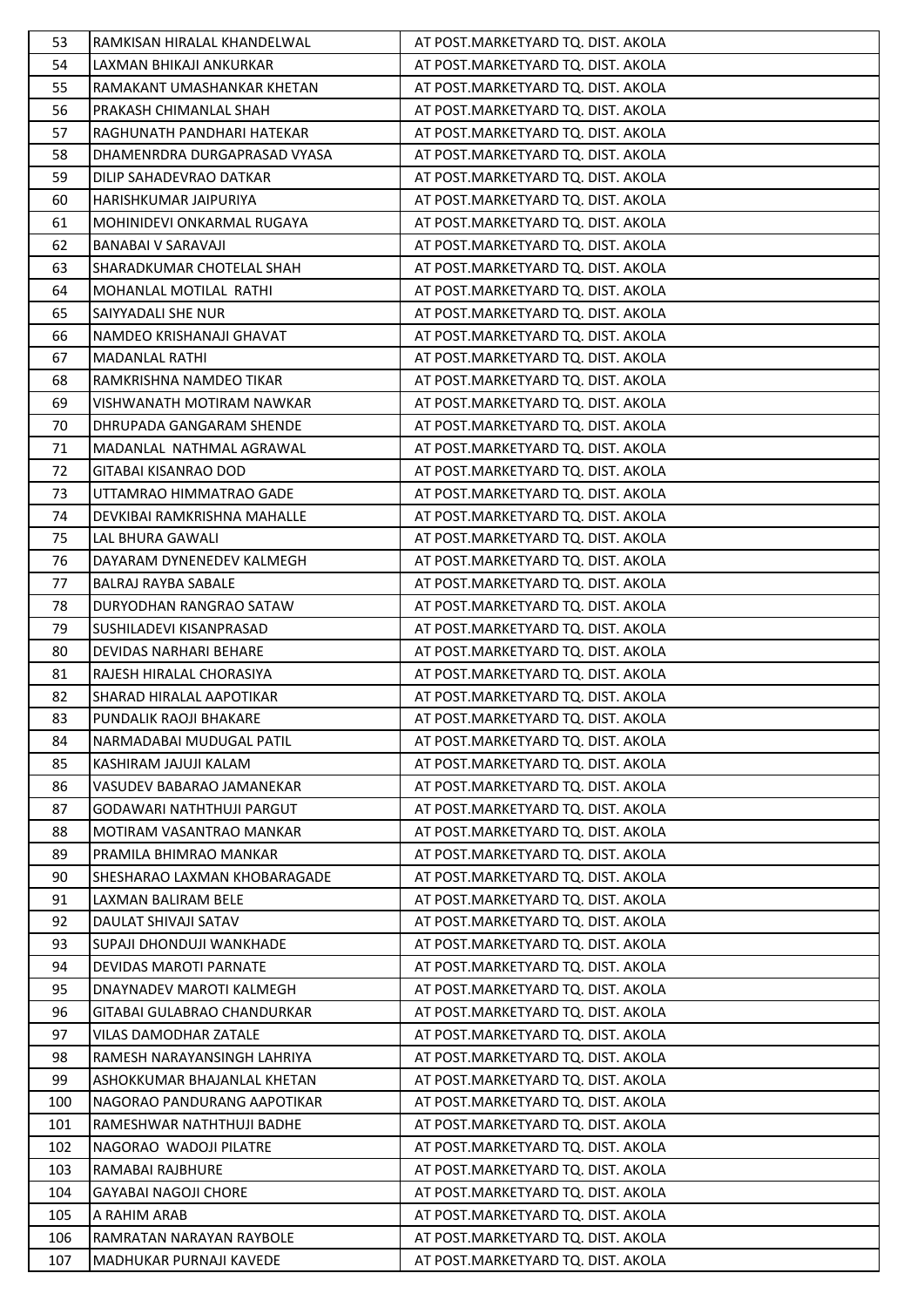| 53  | RAMKISAN HIRALAL KHANDELWAL  | AT POST.MARKETYARD TO. DIST. AKOLA |
|-----|------------------------------|------------------------------------|
| 54  | LAXMAN BHIKAJI ANKURKAR      | AT POST.MARKETYARD TQ. DIST. AKOLA |
| 55  | RAMAKANT UMASHANKAR KHETAN   | AT POST.MARKETYARD TQ. DIST. AKOLA |
| 56  | PRAKASH CHIMANLAL SHAH       | AT POST.MARKETYARD TQ. DIST. AKOLA |
| 57  | RAGHUNATH PANDHARI HATEKAR   | AT POST.MARKETYARD TQ. DIST. AKOLA |
| 58  | DHAMENRDRA DURGAPRASAD VYASA | AT POST.MARKETYARD TQ. DIST. AKOLA |
| 59  | DILIP SAHADEVRAO DATKAR      | AT POST.MARKETYARD TQ. DIST. AKOLA |
| 60  | HARISHKUMAR JAIPURIYA        | AT POST.MARKETYARD TQ. DIST. AKOLA |
| 61  | MOHINIDEVI ONKARMAL RUGAYA   | AT POST.MARKETYARD TQ. DIST. AKOLA |
| 62  | <b>BANABAI V SARAVAJI</b>    | AT POST.MARKETYARD TQ. DIST. AKOLA |
| 63  | SHARADKUMAR CHOTELAL SHAH    | AT POST.MARKETYARD TQ. DIST. AKOLA |
| 64  | MOHANLAL MOTILAL RATHI       | AT POST.MARKETYARD TQ. DIST. AKOLA |
| 65  | SAIYYADALI SHE NUR           | AT POST.MARKETYARD TQ. DIST. AKOLA |
| 66  | NAMDEO KRISHANAJI GHAVAT     | AT POST.MARKETYARD TQ. DIST. AKOLA |
| 67  | <b>MADANLAL RATHI</b>        | AT POST.MARKETYARD TQ. DIST. AKOLA |
| 68  | RAMKRISHNA NAMDEO TIKAR      | AT POST.MARKETYARD TQ. DIST. AKOLA |
| 69  | VISHWANATH MOTIRAM NAWKAR    | AT POST.MARKETYARD TQ. DIST. AKOLA |
| 70  | DHRUPADA GANGARAM SHENDE     | AT POST.MARKETYARD TQ. DIST. AKOLA |
| 71  | MADANLAL NATHMAL AGRAWAL     | AT POST.MARKETYARD TQ. DIST. AKOLA |
| 72  | <b>GITABAI KISANRAO DOD</b>  | AT POST.MARKETYARD TQ. DIST. AKOLA |
| 73  | UTTAMRAO HIMMATRAO GADE      | AT POST.MARKETYARD TQ. DIST. AKOLA |
| 74  | DEVKIBAI RAMKRISHNA MAHALLE  | AT POST.MARKETYARD TQ. DIST. AKOLA |
| 75  | LAL BHURA GAWALI             | AT POST.MARKETYARD TQ. DIST. AKOLA |
| 76  | DAYARAM DYNENEDEV KALMEGH    | AT POST.MARKETYARD TQ. DIST. AKOLA |
| 77  | BALRAJ RAYBA SABALE          | AT POST.MARKETYARD TQ. DIST. AKOLA |
| 78  | DURYODHAN RANGRAO SATAW      | AT POST.MARKETYARD TQ. DIST. AKOLA |
| 79  | SUSHILADEVI KISANPRASAD      | AT POST.MARKETYARD TQ. DIST. AKOLA |
| 80  | DEVIDAS NARHARI BEHARE       | AT POST.MARKETYARD TQ. DIST. AKOLA |
| 81  | RAJESH HIRALAL CHORASIYA     | AT POST.MARKETYARD TQ. DIST. AKOLA |
| 82  | SHARAD HIRALAL AAPOTIKAR     | AT POST.MARKETYARD TQ. DIST. AKOLA |
| 83  | PUNDALIK RAOJI BHAKARE       | AT POST.MARKETYARD TQ. DIST. AKOLA |
| 84  | NARMADABAI MUDUGAL PATIL     | AT POST.MARKETYARD TQ. DIST. AKOLA |
| 85  | KASHIRAM JAJUJI KALAM        | AT POST.MARKETYARD TQ. DIST. AKOLA |
| 86  | VASUDEV BABARAO JAMANEKAR    | AT POST.MARKETYARD TQ. DIST. AKOLA |
| 87  | GODAWARI NATHTHUJI PARGUT    | AT POST.MARKETYARD TQ. DIST. AKOLA |
| 88  | MOTIRAM VASANTRAO MANKAR     | AT POST.MARKETYARD TQ. DIST. AKOLA |
| 89  | PRAMILA BHIMRAO MANKAR       | AT POST.MARKETYARD TQ. DIST. AKOLA |
| 90  | SHESHARAO LAXMAN KHOBARAGADE | AT POST.MARKETYARD TQ. DIST. AKOLA |
| 91  | LAXMAN BALIRAM BELE          | AT POST.MARKETYARD TQ. DIST. AKOLA |
| 92  | DAULAT SHIVAJI SATAV         | AT POST.MARKETYARD TQ. DIST. AKOLA |
| 93  | SUPAJI DHONDUJI WANKHADE     | AT POST.MARKETYARD TQ. DIST. AKOLA |
| 94  | DEVIDAS MAROTI PARNATE       | AT POST.MARKETYARD TQ. DIST. AKOLA |
| 95  | DNAYNADEV MAROTI KALMEGH     | AT POST.MARKETYARD TQ. DIST. AKOLA |
| 96  | GITABAI GULABRAO CHANDURKAR  | AT POST.MARKETYARD TQ. DIST. AKOLA |
| 97  | VILAS DAMODHAR ZATALE        | AT POST.MARKETYARD TQ. DIST. AKOLA |
| 98  | RAMESH NARAYANSINGH LAHRIYA  | AT POST.MARKETYARD TQ. DIST. AKOLA |
| 99  | ASHOKKUMAR BHAJANLAL KHETAN  | AT POST.MARKETYARD TQ. DIST. AKOLA |
| 100 | NAGORAO PANDURANG AAPOTIKAR  | AT POST.MARKETYARD TQ. DIST. AKOLA |
| 101 | RAMESHWAR NATHTHUJI BADHE    | AT POST.MARKETYARD TQ. DIST. AKOLA |
| 102 | NAGORAO WADOJI PILATRE       | AT POST.MARKETYARD TQ. DIST. AKOLA |
| 103 | RAMABAI RAJBHURE             | AT POST.MARKETYARD TQ. DIST. AKOLA |
| 104 | <b>GAYABAI NAGOJI CHORE</b>  | AT POST.MARKETYARD TQ. DIST. AKOLA |
| 105 | A RAHIM ARAB                 | AT POST.MARKETYARD TQ. DIST. AKOLA |
| 106 | RAMRATAN NARAYAN RAYBOLE     | AT POST.MARKETYARD TQ. DIST. AKOLA |
| 107 | MADHUKAR PURNAJI KAVEDE      | AT POST.MARKETYARD TQ. DIST. AKOLA |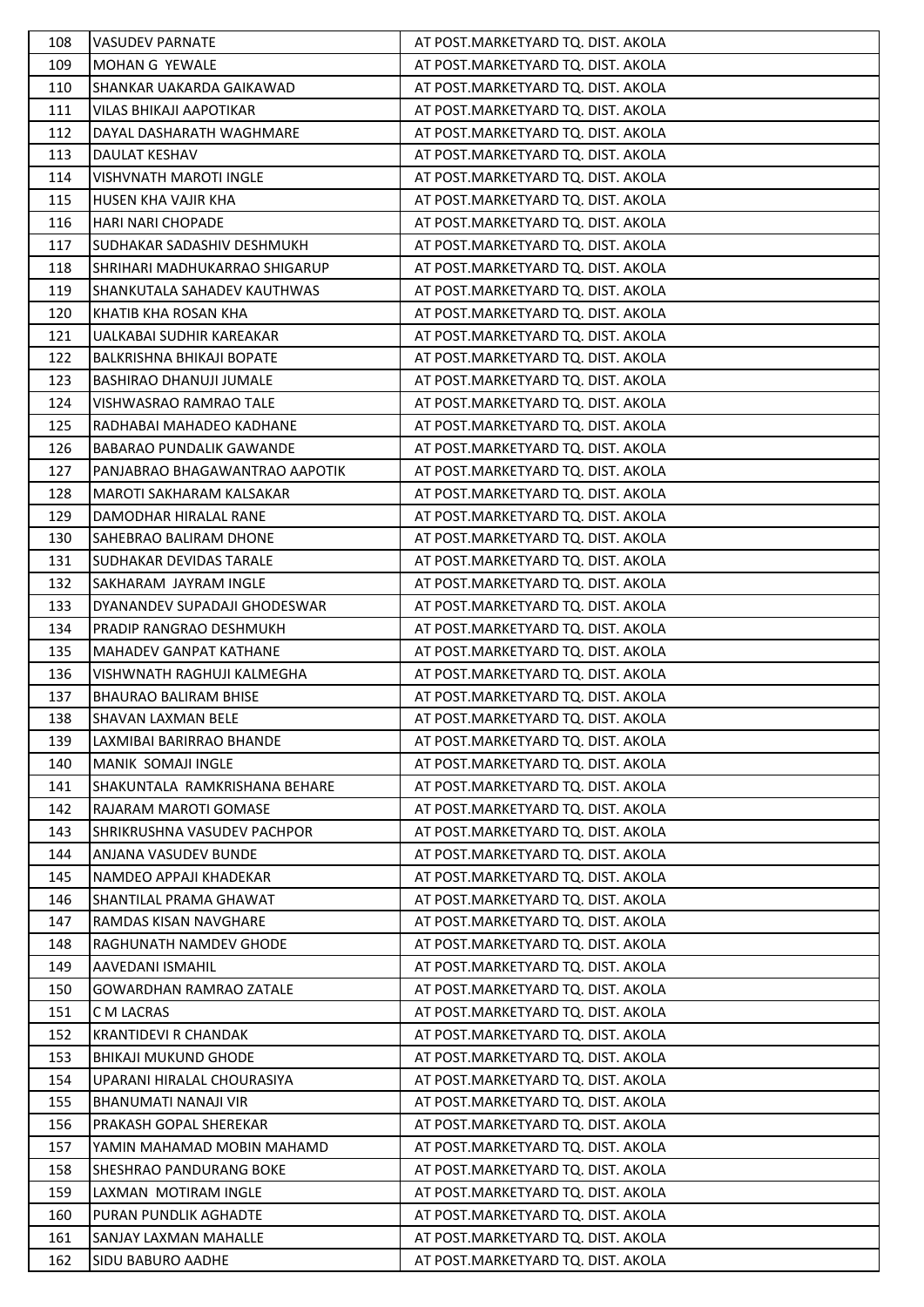| 108 | <b>VASUDEV PARNATE</b>          | AT POST.MARKETYARD TQ. DIST. AKOLA  |
|-----|---------------------------------|-------------------------------------|
| 109 | MOHAN G YEWALE                  | AT POST.MARKETYARD TQ. DIST. AKOLA  |
| 110 | SHANKAR UAKARDA GAIKAWAD        | AT POST.MARKETYARD TQ. DIST. AKOLA  |
| 111 | VILAS BHIKAJI AAPOTIKAR         | AT POST.MARKETYARD TQ. DIST. AKOLA  |
| 112 | DAYAL DASHARATH WAGHMARE        | AT POST.MARKETYARD TQ. DIST. AKOLA  |
| 113 | DAULAT KESHAV                   | AT POST.MARKETYARD TQ. DIST. AKOLA  |
| 114 | VISHVNATH MAROTI INGLE          | AT POST.MARKETYARD TQ. DIST. AKOLA  |
| 115 | <b>HUSEN KHA VAJIR KHA</b>      | AT POST.MARKETYARD TQ. DIST. AKOLA  |
| 116 | <b>HARI NARI CHOPADE</b>        | AT POST. MARKETYARD TQ. DIST. AKOLA |
| 117 | SUDHAKAR SADASHIV DESHMUKH      | AT POST. MARKETYARD TQ. DIST. AKOLA |
| 118 | SHRIHARI MADHUKARRAO SHIGARUP   | AT POST.MARKETYARD TQ. DIST. AKOLA  |
| 119 | SHANKUTALA SAHADEV KAUTHWAS     | AT POST.MARKETYARD TQ. DIST. AKOLA  |
| 120 | KHATIB KHA ROSAN KHA            | AT POST.MARKETYARD TQ. DIST. AKOLA  |
| 121 | UALKABAI SUDHIR KAREAKAR        | AT POST. MARKETYARD TQ. DIST. AKOLA |
| 122 | BALKRISHNA BHIKAJI BOPATE       | AT POST.MARKETYARD TQ. DIST. AKOLA  |
| 123 | <b>BASHIRAO DHANUJI JUMALE</b>  | AT POST.MARKETYARD TQ. DIST. AKOLA  |
| 124 | VISHWASRAO RAMRAO TALE          | AT POST.MARKETYARD TQ. DIST. AKOLA  |
| 125 | RADHABAI MAHADEO KADHANE        | AT POST.MARKETYARD TQ. DIST. AKOLA  |
| 126 | <b>BABARAO PUNDALIK GAWANDE</b> | AT POST.MARKETYARD TQ. DIST. AKOLA  |
| 127 | PANJABRAO BHAGAWANTRAO AAPOTIK  | AT POST.MARKETYARD TQ. DIST. AKOLA  |
| 128 | MAROTI SAKHARAM KALSAKAR        | AT POST.MARKETYARD TQ. DIST. AKOLA  |
| 129 | DAMODHAR HIRALAL RANE           | AT POST.MARKETYARD TQ. DIST. AKOLA  |
| 130 | SAHEBRAO BALIRAM DHONE          | AT POST.MARKETYARD TQ. DIST. AKOLA  |
| 131 | SUDHAKAR DEVIDAS TARALE         | AT POST.MARKETYARD TQ. DIST. AKOLA  |
| 132 | SAKHARAM JAYRAM INGLE           | AT POST.MARKETYARD TQ. DIST. AKOLA  |
| 133 | DYANANDEV SUPADAJI GHODESWAR    | AT POST.MARKETYARD TQ. DIST. AKOLA  |
| 134 | PRADIP RANGRAO DESHMUKH         | AT POST.MARKETYARD TQ. DIST. AKOLA  |
| 135 | <b>MAHADEV GANPAT KATHANE</b>   | AT POST.MARKETYARD TQ. DIST. AKOLA  |
| 136 | VISHWNATH RAGHUJI KALMEGHA      | AT POST.MARKETYARD TQ. DIST. AKOLA  |
| 137 | <b>BHAURAO BALIRAM BHISE</b>    | AT POST.MARKETYARD TQ. DIST. AKOLA  |
| 138 | <b>SHAVAN LAXMAN BELE</b>       | AT POST.MARKETYARD TQ. DIST. AKOLA  |
| 139 | LAXMIBAI BARIRRAO BHANDE        | AT POST.MARKETYARD TQ. DIST. AKOLA  |
| 140 | <b>MANIK SOMAJI INGLE</b>       | AT POST.MARKETYARD TQ. DIST. AKOLA  |
| 141 | SHAKUNTALA RAMKRISHANA BEHARE   | AT POST.MARKETYARD TQ. DIST. AKOLA  |
| 142 | RAJARAM MAROTI GOMASE           | AT POST. MARKETYARD TQ. DIST. AKOLA |
| 143 | SHRIKRUSHNA VASUDEV PACHPOR     | AT POST.MARKETYARD TQ. DIST. AKOLA  |
| 144 | ANJANA VASUDEV BUNDE            | AT POST.MARKETYARD TQ. DIST. AKOLA  |
| 145 | NAMDEO APPAJI KHADEKAR          | AT POST.MARKETYARD TQ. DIST. AKOLA  |
| 146 | SHANTILAL PRAMA GHAWAT          | AT POST.MARKETYARD TQ. DIST. AKOLA  |
| 147 | RAMDAS KISAN NAVGHARE           | AT POST.MARKETYARD TQ. DIST. AKOLA  |
| 148 | RAGHUNATH NAMDEV GHODE          | AT POST.MARKETYARD TQ. DIST. AKOLA  |
| 149 | AAVEDANI ISMAHIL                | AT POST.MARKETYARD TQ. DIST. AKOLA  |
| 150 | <b>GOWARDHAN RAMRAO ZATALE</b>  | AT POST.MARKETYARD TQ. DIST. AKOLA  |
| 151 | C M LACRAS                      | AT POST.MARKETYARD TQ. DIST. AKOLA  |
| 152 | <b>KRANTIDEVI R CHANDAK</b>     | AT POST.MARKETYARD TQ. DIST. AKOLA  |
| 153 | <b>BHIKAJI MUKUND GHODE</b>     | AT POST.MARKETYARD TQ. DIST. AKOLA  |
| 154 | UPARANI HIRALAL CHOURASIYA      | AT POST.MARKETYARD TQ. DIST. AKOLA  |
| 155 | <b>BHANUMATI NANAJI VIR</b>     | AT POST.MARKETYARD TQ. DIST. AKOLA  |
| 156 | PRAKASH GOPAL SHEREKAR          | AT POST.MARKETYARD TQ. DIST. AKOLA  |
| 157 | YAMIN MAHAMAD MOBIN MAHAMD      | AT POST.MARKETYARD TQ. DIST. AKOLA  |
| 158 | SHESHRAO PANDURANG BOKE         | AT POST.MARKETYARD TQ. DIST. AKOLA  |
| 159 | LAXMAN MOTIRAM INGLE            | AT POST.MARKETYARD TQ. DIST. AKOLA  |
| 160 | PURAN PUNDLIK AGHADTE           | AT POST.MARKETYARD TQ. DIST. AKOLA  |
| 161 | SANJAY LAXMAN MAHALLE           | AT POST.MARKETYARD TQ. DIST. AKOLA  |
| 162 | SIDU BABURO AADHE               | AT POST.MARKETYARD TQ. DIST. AKOLA  |
|     |                                 |                                     |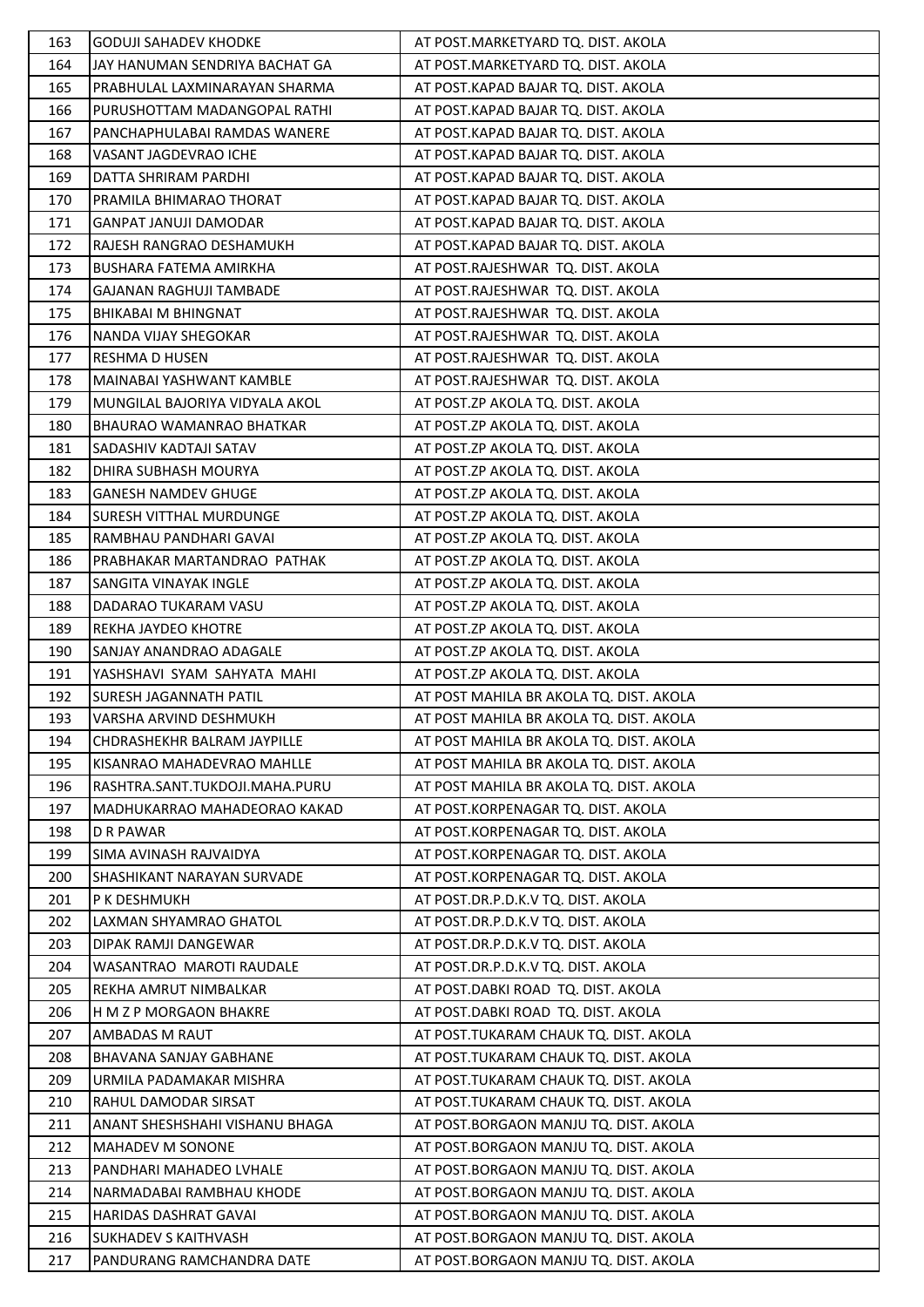| 163 | <b>GODUJI SAHADEV KHODKE</b>   | AT POST.MARKETYARD TQ. DIST. AKOLA      |
|-----|--------------------------------|-----------------------------------------|
| 164 | JAY HANUMAN SENDRIYA BACHAT GA | AT POST.MARKETYARD TQ. DIST. AKOLA      |
| 165 | PRABHULAL LAXMINARAYAN SHARMA  | AT POST.KAPAD BAJAR TQ. DIST. AKOLA     |
| 166 | PURUSHOTTAM MADANGOPAL RATHI   | AT POST.KAPAD BAJAR TQ. DIST. AKOLA     |
| 167 | PANCHAPHULABAI RAMDAS WANERE   | AT POST.KAPAD BAJAR TQ. DIST. AKOLA     |
| 168 | VASANT JAGDEVRAO ICHE          | AT POST.KAPAD BAJAR TQ. DIST. AKOLA     |
| 169 | DATTA SHRIRAM PARDHI           | AT POST.KAPAD BAJAR TQ. DIST. AKOLA     |
| 170 | PRAMILA BHIMARAO THORAT        | AT POST.KAPAD BAJAR TQ. DIST. AKOLA     |
| 171 | <b>GANPAT JANUJI DAMODAR</b>   | AT POST.KAPAD BAJAR TQ. DIST. AKOLA     |
| 172 | RAJESH RANGRAO DESHAMUKH       | AT POST.KAPAD BAJAR TQ. DIST. AKOLA     |
| 173 | BUSHARA FATEMA AMIRKHA         | AT POST.RAJESHWAR TQ. DIST. AKOLA       |
| 174 | <b>GAJANAN RAGHUJI TAMBADE</b> | AT POST.RAJESHWAR TQ. DIST. AKOLA       |
| 175 | BHIKABAI M BHINGNAT            | AT POST.RAJESHWAR TQ. DIST. AKOLA       |
| 176 | NANDA VIJAY SHEGOKAR           | AT POST.RAJESHWAR TQ. DIST. AKOLA       |
| 177 | RESHMA D HUSEN                 | AT POST.RAJESHWAR TQ. DIST. AKOLA       |
| 178 | MAINABAI YASHWANT KAMBLE       | AT POST.RAJESHWAR TQ. DIST. AKOLA       |
| 179 | MUNGILAL BAJORIYA VIDYALA AKOL | AT POST.ZP AKOLA TQ. DIST. AKOLA        |
| 180 | BHAURAO WAMANRAO BHATKAR       | AT POST.ZP AKOLA TQ. DIST. AKOLA        |
| 181 | SADASHIV KADTAJI SATAV         | AT POST.ZP AKOLA TQ. DIST. AKOLA        |
| 182 | DHIRA SUBHASH MOURYA           | AT POST.ZP AKOLA TQ. DIST. AKOLA        |
| 183 | <b>GANESH NAMDEV GHUGE</b>     | AT POST.ZP AKOLA TQ. DIST. AKOLA        |
| 184 | SURESH VITTHAL MURDUNGE        | AT POST.ZP AKOLA TQ. DIST. AKOLA        |
| 185 | RAMBHAU PANDHARI GAVAI         | AT POST.ZP AKOLA TQ. DIST. AKOLA        |
| 186 | PRABHAKAR MARTANDRAO PATHAK    | AT POST.ZP AKOLA TQ. DIST. AKOLA        |
| 187 | SANGITA VINAYAK INGLE          | AT POST.ZP AKOLA TQ. DIST. AKOLA        |
| 188 | DADARAO TUKARAM VASU           | AT POST.ZP AKOLA TQ. DIST. AKOLA        |
| 189 | REKHA JAYDEO KHOTRE            | AT POST.ZP AKOLA TQ. DIST. AKOLA        |
| 190 | SANJAY ANANDRAO ADAGALE        | AT POST.ZP AKOLA TQ. DIST. AKOLA        |
| 191 | YASHSHAVI SYAM SAHYATA MAHI    | AT POST.ZP AKOLA TQ. DIST. AKOLA        |
| 192 | SURESH JAGANNATH PATIL         | AT POST MAHILA BR AKOLA TQ. DIST. AKOLA |
| 193 | VARSHA ARVIND DESHMUKH         | AT POST MAHILA BR AKOLA TQ. DIST. AKOLA |
| 194 | CHDRASHEKHR BALRAM JAYPILLE    | AT POST MAHILA BR AKOLA TQ. DIST. AKOLA |
| 195 | KISANRAO MAHADEVRAO MAHLLE     | AT POST MAHILA BR AKOLA TQ. DIST. AKOLA |
| 196 | RASHTRA.SANT.TUKDOJI.MAHA.PURU | AT POST MAHILA BR AKOLA TQ. DIST. AKOLA |
| 197 | MADHUKARRAO MAHADEORAO KAKAD   | AT POST.KORPENAGAR TQ. DIST. AKOLA      |
| 198 | <b>D R PAWAR</b>               | AT POST.KORPENAGAR TQ. DIST. AKOLA      |
| 199 | SIMA AVINASH RAJVAIDYA         | AT POST.KORPENAGAR TQ. DIST. AKOLA      |
| 200 | SHASHIKANT NARAYAN SURVADE     | AT POST.KORPENAGAR TQ. DIST. AKOLA      |
| 201 | P K DESHMUKH                   | AT POST.DR.P.D.K.V TQ. DIST. AKOLA      |
| 202 | LAXMAN SHYAMRAO GHATOL         | AT POST.DR.P.D.K.V TQ. DIST. AKOLA      |
| 203 | DIPAK RAMJI DANGEWAR           | AT POST.DR.P.D.K.V TQ. DIST. AKOLA      |
| 204 | WASANTRAO MAROTI RAUDALE       | AT POST.DR.P.D.K.V TQ. DIST. AKOLA      |
| 205 | REKHA AMRUT NIMBALKAR          | AT POST.DABKI ROAD TQ. DIST. AKOLA      |
| 206 | H M Z P MORGAON BHAKRE         | AT POST.DABKI ROAD TQ. DIST. AKOLA      |
| 207 | <b>AMBADAS M RAUT</b>          | AT POST.TUKARAM CHAUK TQ. DIST. AKOLA   |
| 208 | BHAVANA SANJAY GABHANE         | AT POST.TUKARAM CHAUK TQ. DIST. AKOLA   |
| 209 | URMILA PADAMAKAR MISHRA        | AT POST.TUKARAM CHAUK TQ. DIST. AKOLA   |
| 210 | RAHUL DAMODAR SIRSAT           | AT POST.TUKARAM CHAUK TQ. DIST. AKOLA   |
| 211 | ANANT SHESHSHAHI VISHANU BHAGA | AT POST.BORGAON MANJU TQ. DIST. AKOLA   |
| 212 | <b>MAHADEV M SONONE</b>        | AT POST. BORGAON MANJU TQ. DIST. AKOLA  |
| 213 | PANDHARI MAHADEO LVHALE        | AT POST.BORGAON MANJU TQ. DIST. AKOLA   |
| 214 | NARMADABAI RAMBHAU KHODE       | AT POST.BORGAON MANJU TQ. DIST. AKOLA   |
| 215 | HARIDAS DASHRAT GAVAI          | AT POST.BORGAON MANJU TQ. DIST. AKOLA   |
| 216 | <b>SUKHADEV S KAITHVASH</b>    | AT POST.BORGAON MANJU TQ. DIST. AKOLA   |
| 217 | PANDURANG RAMCHANDRA DATE      | AT POST.BORGAON MANJU TQ. DIST. AKOLA   |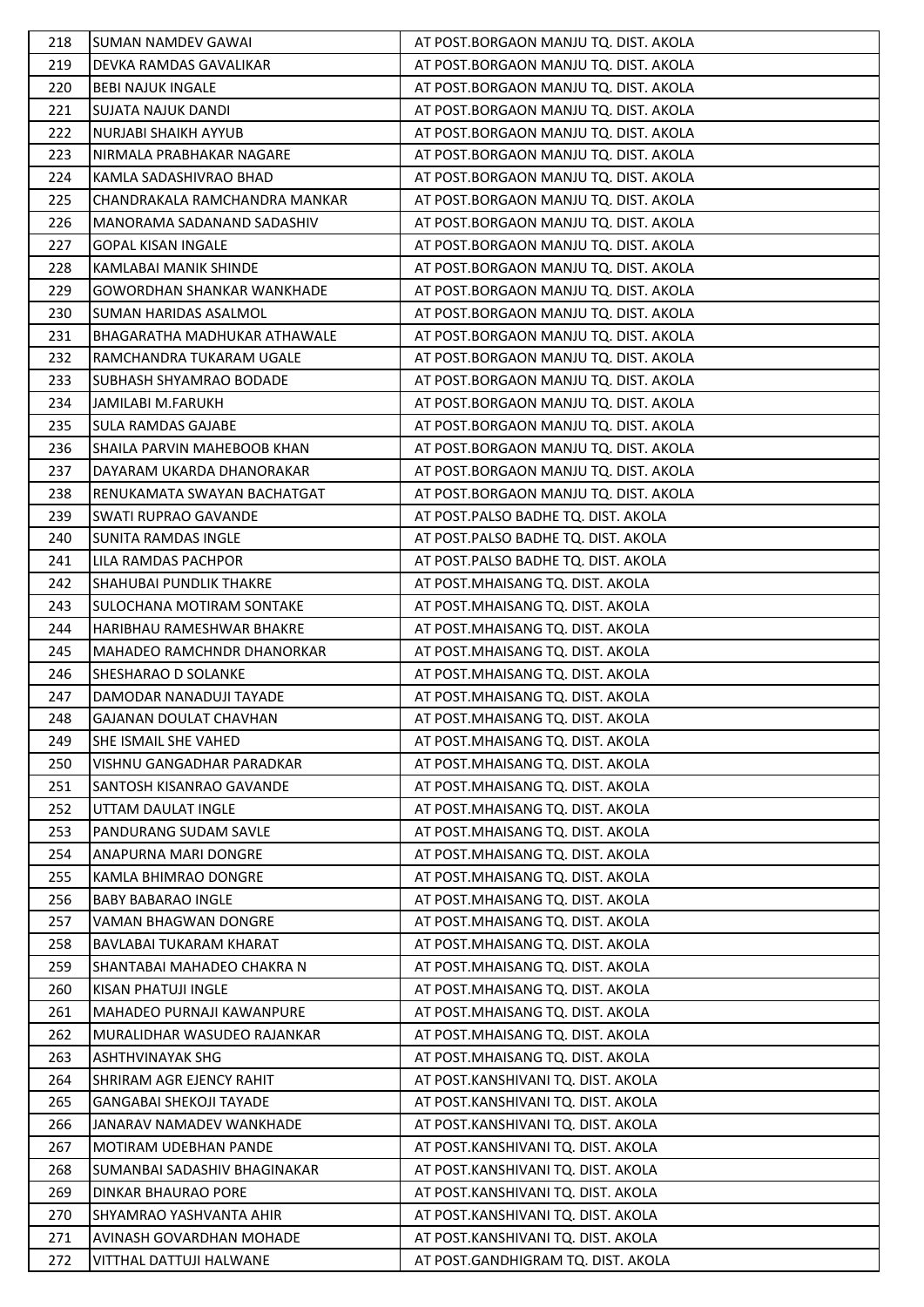| 218 | <b>SUMAN NAMDEV GAWAI</b>         | AT POST. BORGAON MANJU TQ. DIST. AKOLA |
|-----|-----------------------------------|----------------------------------------|
| 219 | DEVKA RAMDAS GAVALIKAR            | AT POST.BORGAON MANJU TQ. DIST. AKOLA  |
| 220 | <b>BEBI NAJUK INGALE</b>          | AT POST.BORGAON MANJU TQ. DIST. AKOLA  |
| 221 | <b>SUJATA NAJUK DANDI</b>         | AT POST.BORGAON MANJU TQ. DIST. AKOLA  |
| 222 | NURJABI SHAIKH AYYUB              | AT POST.BORGAON MANJU TQ. DIST. AKOLA  |
| 223 | NIRMALA PRABHAKAR NAGARE          | AT POST.BORGAON MANJU TQ. DIST. AKOLA  |
| 224 | KAMLA SADASHIVRAO BHAD            | AT POST.BORGAON MANJU TQ. DIST. AKOLA  |
| 225 | CHANDRAKALA RAMCHANDRA MANKAR     | AT POST.BORGAON MANJU TQ. DIST. AKOLA  |
| 226 | MANORAMA SADANAND SADASHIV        | AT POST.BORGAON MANJU TQ. DIST. AKOLA  |
| 227 | <b>GOPAL KISAN INGALE</b>         | AT POST.BORGAON MANJU TQ. DIST. AKOLA  |
| 228 | KAMLABAI MANIK SHINDE             | AT POST.BORGAON MANJU TQ. DIST. AKOLA  |
| 229 | <b>GOWORDHAN SHANKAR WANKHADE</b> | AT POST.BORGAON MANJU TQ. DIST. AKOLA  |
| 230 | SUMAN HARIDAS ASALMOL             | AT POST.BORGAON MANJU TQ. DIST. AKOLA  |
| 231 | BHAGARATHA MADHUKAR ATHAWALE      | AT POST.BORGAON MANJU TQ. DIST. AKOLA  |
| 232 | RAMCHANDRA TUKARAM UGALE          | AT POST.BORGAON MANJU TQ. DIST. AKOLA  |
| 233 | SUBHASH SHYAMRAO BODADE           | AT POST.BORGAON MANJU TQ. DIST. AKOLA  |
| 234 | JAMILABI M.FARUKH                 | AT POST.BORGAON MANJU TQ. DIST. AKOLA  |
| 235 | <b>SULA RAMDAS GAJABE</b>         | AT POST.BORGAON MANJU TQ. DIST. AKOLA  |
| 236 | SHAILA PARVIN MAHEBOOB KHAN       | AT POST.BORGAON MANJU TQ. DIST. AKOLA  |
| 237 | DAYARAM UKARDA DHANORAKAR         | AT POST.BORGAON MANJU TQ. DIST. AKOLA  |
| 238 | RENUKAMATA SWAYAN BACHATGAT       | AT POST.BORGAON MANJU TQ. DIST. AKOLA  |
| 239 | SWATI RUPRAO GAVANDE              | AT POST.PALSO BADHE TQ. DIST. AKOLA    |
| 240 | <b>SUNITA RAMDAS INGLE</b>        | AT POST.PALSO BADHE TQ. DIST. AKOLA    |
| 241 | LILA RAMDAS PACHPOR               | AT POST.PALSO BADHE TQ. DIST. AKOLA    |
| 242 | SHAHUBAI PUNDLIK THAKRE           | AT POST.MHAISANG TQ. DIST. AKOLA       |
| 243 | <b>SULOCHANA MOTIRAM SONTAKE</b>  | AT POST.MHAISANG TQ. DIST. AKOLA       |
| 244 | HARIBHAU RAMESHWAR BHAKRE         | AT POST.MHAISANG TQ. DIST. AKOLA       |
| 245 | MAHADEO RAMCHNDR DHANORKAR        | AT POST.MHAISANG TQ. DIST. AKOLA       |
| 246 | SHESHARAO D SOLANKE               | AT POST.MHAISANG TQ. DIST. AKOLA       |
| 247 | DAMODAR NANADUJI TAYADE           | AT POST.MHAISANG TQ. DIST. AKOLA       |
| 248 | GAJANAN DOULAT CHAVHAN            | AT POST.MHAISANG TQ. DIST. AKOLA       |
| 249 | SHE ISMAIL SHE VAHED              | AT POST.MHAISANG TQ. DIST. AKOLA       |
| 250 | VISHNU GANGADHAR PARADKAR         | AT POST.MHAISANG TQ. DIST. AKOLA       |
| 251 | SANTOSH KISANRAO GAVANDE          | AT POST.MHAISANG TQ. DIST. AKOLA       |
| 252 | UTTAM DAULAT INGLE                | AT POST.MHAISANG TQ. DIST. AKOLA       |
| 253 | PANDURANG SUDAM SAVLE             | AT POST.MHAISANG TQ. DIST. AKOLA       |
| 254 | ANAPURNA MARI DONGRE              | AT POST.MHAISANG TQ. DIST. AKOLA       |
| 255 | KAMLA BHIMRAO DONGRE              | AT POST.MHAISANG TQ. DIST. AKOLA       |
| 256 | <b>BABY BABARAO INGLE</b>         | AT POST.MHAISANG TQ. DIST. AKOLA       |
| 257 | VAMAN BHAGWAN DONGRE              | AT POST.MHAISANG TQ. DIST. AKOLA       |
| 258 | BAVLABAI TUKARAM KHARAT           | AT POST.MHAISANG TQ. DIST. AKOLA       |
| 259 | SHANTABAI MAHADEO CHAKRA N        | AT POST.MHAISANG TQ. DIST. AKOLA       |
| 260 | KISAN PHATUJI INGLE               | AT POST.MHAISANG TQ. DIST. AKOLA       |
| 261 | MAHADEO PURNAJI KAWANPURE         | AT POST.MHAISANG TQ. DIST. AKOLA       |
| 262 | MURALIDHAR WASUDEO RAJANKAR       | AT POST.MHAISANG TQ. DIST. AKOLA       |
| 263 | ASHTHVINAYAK SHG                  | AT POST.MHAISANG TQ. DIST. AKOLA       |
| 264 | SHRIRAM AGR EJENCY RAHIT          | AT POST.KANSHIVANI TQ. DIST. AKOLA     |
| 265 | <b>GANGABAI SHEKOJI TAYADE</b>    | AT POST.KANSHIVANI TQ. DIST. AKOLA     |
| 266 | JANARAV NAMADEV WANKHADE          | AT POST.KANSHIVANI TQ. DIST. AKOLA     |
| 267 | MOTIRAM UDEBHAN PANDE             | AT POST.KANSHIVANI TQ. DIST. AKOLA     |
| 268 | SUMANBAI SADASHIV BHAGINAKAR      | AT POST.KANSHIVANI TQ. DIST. AKOLA     |
| 269 | DINKAR BHAURAO PORE               | AT POST.KANSHIVANI TQ. DIST. AKOLA     |
| 270 | SHYAMRAO YASHVANTA AHIR           | AT POST.KANSHIVANI TQ. DIST. AKOLA     |
| 271 | AVINASH GOVARDHAN MOHADE          | AT POST.KANSHIVANI TQ. DIST. AKOLA     |
| 272 | VITTHAL DATTUJI HALWANE           | AT POST.GANDHIGRAM TQ. DIST. AKOLA     |
|     |                                   |                                        |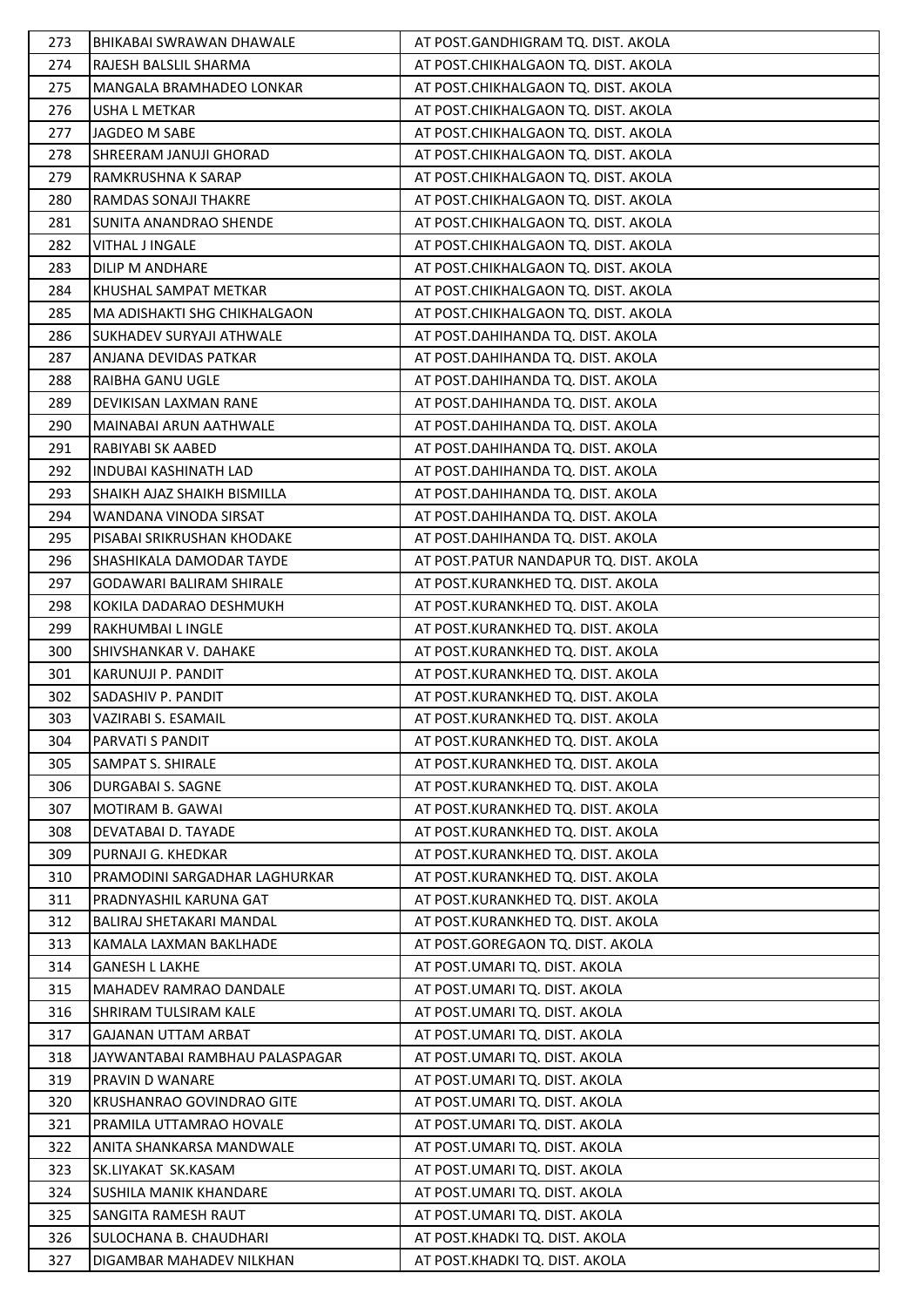| 273 | <b>BHIKABAI SWRAWAN DHAWALE</b> | AT POST.GANDHIGRAM TQ. DIST. AKOLA     |
|-----|---------------------------------|----------------------------------------|
| 274 | RAJESH BALSLIL SHARMA           | AT POST.CHIKHALGAON TQ. DIST. AKOLA    |
| 275 | <b>MANGALA BRAMHADEO LONKAR</b> | AT POST.CHIKHALGAON TQ. DIST. AKOLA    |
| 276 | USHA L METKAR                   | AT POST.CHIKHALGAON TQ. DIST. AKOLA    |
| 277 | JAGDEO M SABE                   | AT POST.CHIKHALGAON TQ. DIST. AKOLA    |
| 278 | SHREERAM JANUJI GHORAD          | AT POST.CHIKHALGAON TQ. DIST. AKOLA    |
| 279 | RAMKRUSHNA K SARAP              | AT POST.CHIKHALGAON TQ. DIST. AKOLA    |
| 280 | RAMDAS SONAJI THAKRE            | AT POST.CHIKHALGAON TQ. DIST. AKOLA    |
| 281 | SUNITA ANANDRAO SHENDE          | AT POST.CHIKHALGAON TQ. DIST. AKOLA    |
| 282 | VITHAL J INGALE                 | AT POST.CHIKHALGAON TQ. DIST. AKOLA    |
| 283 | DILIP M ANDHARE                 | AT POST.CHIKHALGAON TQ. DIST. AKOLA    |
| 284 | KHUSHAL SAMPAT METKAR           | AT POST.CHIKHALGAON TQ. DIST. AKOLA    |
| 285 | MA ADISHAKTI SHG CHIKHALGAON    | AT POST.CHIKHALGAON TQ. DIST. AKOLA    |
| 286 | SUKHADEV SURYAJI ATHWALE        | AT POST.DAHIHANDA TQ. DIST. AKOLA      |
| 287 | ANJANA DEVIDAS PATKAR           | AT POST.DAHIHANDA TQ. DIST. AKOLA      |
| 288 | RAIBHA GANU UGLE                | AT POST.DAHIHANDA TQ. DIST. AKOLA      |
| 289 | DEVIKISAN LAXMAN RANE           | AT POST.DAHIHANDA TQ. DIST. AKOLA      |
| 290 | MAINABAI ARUN AATHWALE          | AT POST.DAHIHANDA TQ. DIST. AKOLA      |
| 291 | RABIYABI SK AABED               | AT POST.DAHIHANDA TQ. DIST. AKOLA      |
| 292 | <b>INDUBAI KASHINATH LAD</b>    | AT POST.DAHIHANDA TQ. DIST. AKOLA      |
| 293 | SHAIKH AJAZ SHAIKH BISMILLA     | AT POST.DAHIHANDA TQ. DIST. AKOLA      |
| 294 | WANDANA VINODA SIRSAT           | AT POST.DAHIHANDA TQ. DIST. AKOLA      |
| 295 | PISABAI SRIKRUSHAN KHODAKE      | AT POST.DAHIHANDA TQ. DIST. AKOLA      |
| 296 | SHASHIKALA DAMODAR TAYDE        | AT POST.PATUR NANDAPUR TQ. DIST. AKOLA |
| 297 | <b>GODAWARI BALIRAM SHIRALE</b> | AT POST.KURANKHED TQ. DIST. AKOLA      |
| 298 | KOKILA DADARAO DESHMUKH         | AT POST.KURANKHED TQ. DIST. AKOLA      |
| 299 | RAKHUMBAI L INGLE               | AT POST.KURANKHED TQ. DIST. AKOLA      |
| 300 | SHIVSHANKAR V. DAHAKE           | AT POST.KURANKHED TQ. DIST. AKOLA      |
| 301 | KARUNUJI P. PANDIT              | AT POST.KURANKHED TQ. DIST. AKOLA      |
| 302 | SADASHIV P. PANDIT              | AT POST.KURANKHED TQ. DIST. AKOLA      |
| 303 | VAZIRABI S. ESAMAIL             | AT POST.KURANKHED TQ. DIST. AKOLA      |
| 304 | PARVATI S PANDIT                | AT POST.KURANKHED TQ. DIST. AKOLA      |
| 305 | SAMPAT S. SHIRALE               | AT POST.KURANKHED TQ. DIST. AKOLA      |
| 306 | <b>DURGABAI S. SAGNE</b>        | AT POST.KURANKHED TQ. DIST. AKOLA      |
| 307 | MOTIRAM B. GAWAI                | AT POST.KURANKHED TQ. DIST. AKOLA      |
| 308 | DEVATABAI D. TAYADE             | AT POST.KURANKHED TQ. DIST. AKOLA      |
| 309 | PURNAJI G. KHEDKAR              | AT POST.KURANKHED TQ. DIST. AKOLA      |
| 310 | PRAMODINI SARGADHAR LAGHURKAR   | AT POST.KURANKHED TQ. DIST. AKOLA      |
| 311 | PRADNYASHIL KARUNA GAT          | AT POST.KURANKHED TQ. DIST. AKOLA      |
| 312 | <b>BALIRAJ SHETAKARI MANDAL</b> | AT POST.KURANKHED TQ. DIST. AKOLA      |
| 313 | KAMALA LAXMAN BAKLHADE          | AT POST.GOREGAON TQ. DIST. AKOLA       |
| 314 | <b>GANESH L LAKHE</b>           | AT POST.UMARI TQ. DIST. AKOLA          |
| 315 | MAHADEV RAMRAO DANDALE          | AT POST.UMARI TQ. DIST. AKOLA          |
| 316 | SHRIRAM TULSIRAM KALE           | AT POST.UMARI TQ. DIST. AKOLA          |
| 317 | <b>GAJANAN UTTAM ARBAT</b>      | AT POST.UMARI TQ. DIST. AKOLA          |
| 318 | JAYWANTABAI RAMBHAU PALASPAGAR  | AT POST.UMARI TQ. DIST. AKOLA          |
| 319 | PRAVIN D WANARE                 | AT POST.UMARI TQ. DIST. AKOLA          |
| 320 | KRUSHANRAO GOVINDRAO GITE       | AT POST.UMARI TQ. DIST. AKOLA          |
| 321 | PRAMILA UTTAMRAO HOVALE         | AT POST.UMARI TQ. DIST. AKOLA          |
| 322 | ANITA SHANKARSA MANDWALE        | AT POST.UMARI TQ. DIST. AKOLA          |
| 323 | SK.LIYAKAT SK.KASAM             | AT POST.UMARI TQ. DIST. AKOLA          |
| 324 | SUSHILA MANIK KHANDARE          | AT POST.UMARI TQ. DIST. AKOLA          |
| 325 | SANGITA RAMESH RAUT             | AT POST.UMARI TQ. DIST. AKOLA          |
| 326 | SULOCHANA B. CHAUDHARI          | AT POST.KHADKI TQ. DIST. AKOLA         |
| 327 | DIGAMBAR MAHADEV NILKHAN        | AT POST.KHADKI TQ. DIST. AKOLA         |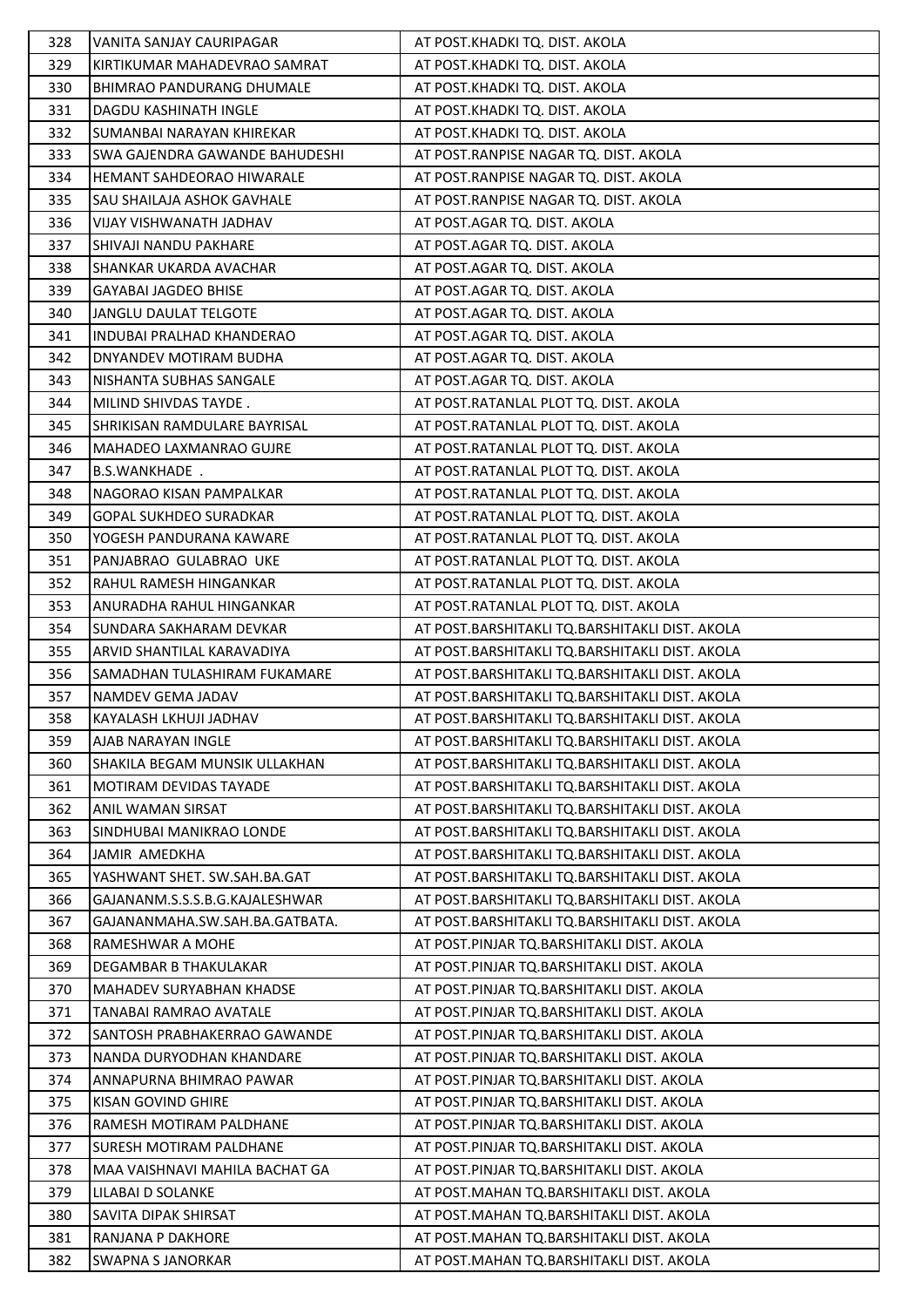| 328 | VANITA SANJAY CAURIPAGAR              | AT POST.KHADKI TQ. DIST. AKOLA                 |
|-----|---------------------------------------|------------------------------------------------|
| 329 | KIRTIKUMAR MAHADEVRAO SAMRAT          | AT POST.KHADKI TQ. DIST. AKOLA                 |
| 330 | BHIMRAO PANDURANG DHUMALE             | AT POST.KHADKI TQ. DIST. AKOLA                 |
| 331 | DAGDU KASHINATH INGLE                 | AT POST.KHADKI TQ. DIST. AKOLA                 |
| 332 | SUMANBAI NARAYAN KHIREKAR             | AT POST.KHADKI TQ. DIST. AKOLA                 |
| 333 | <b>SWA GAJENDRA GAWANDE BAHUDESHI</b> | AT POST.RANPISE NAGAR TQ. DIST. AKOLA          |
| 334 | HEMANT SAHDEORAO HIWARALE             | AT POST.RANPISE NAGAR TQ. DIST. AKOLA          |
| 335 | SAU SHAILAJA ASHOK GAVHALE            | AT POST.RANPISE NAGAR TQ. DIST. AKOLA          |
| 336 | VIJAY VISHWANATH JADHAV               | AT POST.AGAR TQ. DIST. AKOLA                   |
| 337 | SHIVAJI NANDU PAKHARE                 | AT POST.AGAR TQ. DIST. AKOLA                   |
| 338 | SHANKAR UKARDA AVACHAR                | AT POST.AGAR TQ. DIST. AKOLA                   |
| 339 | <b>GAYABAI JAGDEO BHISE</b>           | AT POST.AGAR TQ. DIST. AKOLA                   |
| 340 | JANGLU DAULAT TELGOTE                 | AT POST.AGAR TQ. DIST. AKOLA                   |
| 341 | INDUBAI PRALHAD KHANDERAO             | AT POST.AGAR TQ. DIST. AKOLA                   |
| 342 | DNYANDEV MOTIRAM BUDHA                | AT POST.AGAR TQ. DIST. AKOLA                   |
| 343 | NISHANTA SUBHAS SANGALE               | AT POST.AGAR TQ. DIST. AKOLA                   |
| 344 | MILIND SHIVDAS TAYDE.                 | AT POST.RATANLAL PLOT TQ. DIST. AKOLA          |
| 345 | SHRIKISAN RAMDULARE BAYRISAL          | AT POST.RATANLAL PLOT TQ. DIST. AKOLA          |
| 346 | MAHADEO LAXMANRAO GUJRE               | AT POST.RATANLAL PLOT TQ. DIST. AKOLA          |
| 347 | B.S.WANKHADE .                        | AT POST.RATANLAL PLOT TQ. DIST. AKOLA          |
| 348 | NAGORAO KISAN PAMPALKAR               | AT POST.RATANLAL PLOT TQ. DIST. AKOLA          |
| 349 | <b>GOPAL SUKHDEO SURADKAR</b>         | AT POST.RATANLAL PLOT TQ. DIST. AKOLA          |
| 350 | YOGESH PANDURANA KAWARE               | AT POST.RATANLAL PLOT TQ. DIST. AKOLA          |
| 351 | PANJABRAO GULABRAO UKE                | AT POST.RATANLAL PLOT TQ. DIST. AKOLA          |
| 352 | RAHUL RAMESH HINGANKAR                | AT POST.RATANLAL PLOT TQ. DIST. AKOLA          |
| 353 | ANURADHA RAHUL HINGANKAR              | AT POST.RATANLAL PLOT TQ. DIST. AKOLA          |
| 354 | SUNDARA SAKHARAM DEVKAR               | AT POST.BARSHITAKLI TQ.BARSHITAKLI DIST. AKOLA |
| 355 | ARVID SHANTILAL KARAVADIYA            | AT POST.BARSHITAKLI TQ.BARSHITAKLI DIST. AKOLA |
| 356 | SAMADHAN TULASHIRAM FUKAMARE          | AT POST.BARSHITAKLI TQ.BARSHITAKLI DIST. AKOLA |
| 357 | NAMDEV GEMA JADAV                     | AT POST.BARSHITAKLI TQ.BARSHITAKLI DIST. AKOLA |
| 358 | KAYALASH LKHUJI JADHAV                | AT POST.BARSHITAKLI TQ.BARSHITAKLI DIST. AKOLA |
| 359 | AJAB NARAYAN INGLE                    | AT POST.BARSHITAKLI TQ.BARSHITAKLI DIST. AKOLA |
| 360 | SHAKILA BEGAM MUNSIK ULLAKHAN         | AT POST.BARSHITAKLI TQ.BARSHITAKLI DIST. AKOLA |
| 361 | MOTIRAM DEVIDAS TAYADE                | AT POST.BARSHITAKLI TQ.BARSHITAKLI DIST. AKOLA |
| 362 | <b>ANIL WAMAN SIRSAT</b>              | AT POST.BARSHITAKLI TO.BARSHITAKLI DIST. AKOLA |
| 363 | SINDHUBAI MANIKRAO LONDE              | AT POST.BARSHITAKLI TQ.BARSHITAKLI DIST. AKOLA |
| 364 | JAMIR AMEDKHA                         | AT POST.BARSHITAKLI TQ.BARSHITAKLI DIST. AKOLA |
| 365 | YASHWANT SHET. SW.SAH.BA.GAT          | AT POST.BARSHITAKLI TQ.BARSHITAKLI DIST. AKOLA |
| 366 | GAJANANM.S.S.S.B.G.KAJALESHWAR        | AT POST.BARSHITAKLI TQ.BARSHITAKLI DIST. AKOLA |
| 367 | GAJANANMAHA.SW.SAH.BA.GATBATA.        | AT POST.BARSHITAKLI TQ.BARSHITAKLI DIST. AKOLA |
| 368 | RAMESHWAR A MOHE                      | AT POST.PINJAR TQ.BARSHITAKLI DIST. AKOLA      |
| 369 | DEGAMBAR B THAKULAKAR                 | AT POST.PINJAR TQ.BARSHITAKLI DIST. AKOLA      |
| 370 | <b>MAHADEV SURYABHAN KHADSE</b>       | AT POST.PINJAR TQ.BARSHITAKLI DIST. AKOLA      |
| 371 | TANABAI RAMRAO AVATALE                | AT POST.PINJAR TQ.BARSHITAKLI DIST. AKOLA      |
| 372 | <b>SANTOSH PRABHAKERRAO GAWANDE</b>   | AT POST.PINJAR TQ.BARSHITAKLI DIST. AKOLA      |
| 373 | NANDA DURYODHAN KHANDARE              | AT POST.PINJAR TQ.BARSHITAKLI DIST. AKOLA      |
| 374 | ANNAPURNA BHIMRAO PAWAR               | AT POST.PINJAR TQ.BARSHITAKLI DIST. AKOLA      |
| 375 | KISAN GOVIND GHIRE                    | AT POST.PINJAR TQ.BARSHITAKLI DIST. AKOLA      |
|     | RAMESH MOTIRAM PALDHANE               | AT POST.PINJAR TQ.BARSHITAKLI DIST. AKOLA      |
| 376 |                                       |                                                |
| 377 | SURESH MOTIRAM PALDHANE               | AT POST.PINJAR TQ.BARSHITAKLI DIST. AKOLA      |
| 378 | MAA VAISHNAVI MAHILA BACHAT GA        | AT POST.PINJAR TQ.BARSHITAKLI DIST. AKOLA      |
| 379 | LILABAI D SOLANKE                     | AT POST.MAHAN TQ.BARSHITAKLI DIST. AKOLA       |
| 380 | SAVITA DIPAK SHIRSAT                  | AT POST.MAHAN TQ.BARSHITAKLI DIST. AKOLA       |
| 381 | <b>RANJANA P DAKHORE</b>              | AT POST.MAHAN TQ.BARSHITAKLI DIST. AKOLA       |
| 382 | <b>SWAPNA S JANORKAR</b>              | AT POST.MAHAN TQ.BARSHITAKLI DIST. AKOLA       |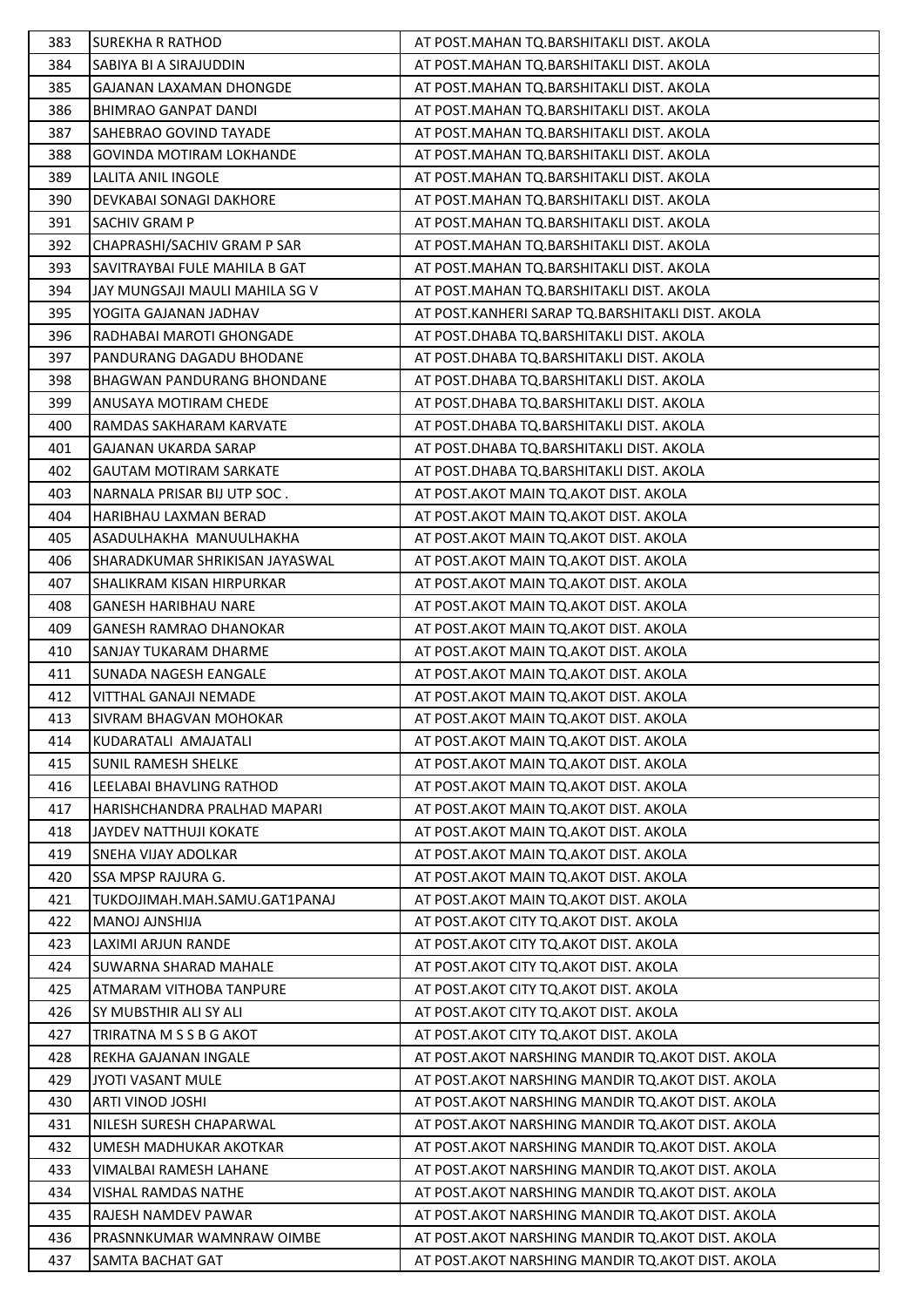| 383        | <b>SUREKHA R RATHOD</b>                                       | AT POST.MAHAN TQ.BARSHITAKLI DIST. AKOLA                                       |
|------------|---------------------------------------------------------------|--------------------------------------------------------------------------------|
| 384        | SABIYA BI A SIRAJUDDIN                                        | AT POST.MAHAN TQ.BARSHITAKLI DIST. AKOLA                                       |
| 385        | GAJANAN LAXAMAN DHONGDE                                       | AT POST.MAHAN TQ.BARSHITAKLI DIST. AKOLA                                       |
| 386        | <b>BHIMRAO GANPAT DANDI</b>                                   | AT POST.MAHAN TQ.BARSHITAKLI DIST. AKOLA                                       |
| 387        | SAHEBRAO GOVIND TAYADE                                        | AT POST.MAHAN TQ.BARSHITAKLI DIST. AKOLA                                       |
| 388        | <b>GOVINDA MOTIRAM LOKHANDE</b>                               | AT POST.MAHAN TQ.BARSHITAKLI DIST. AKOLA                                       |
| 389        | LALITA ANIL INGOLE                                            | AT POST.MAHAN TQ.BARSHITAKLI DIST. AKOLA                                       |
| 390        | DEVKABAI SONAGI DAKHORE                                       | AT POST.MAHAN TQ.BARSHITAKLI DIST. AKOLA                                       |
| 391        | SACHIV GRAM P                                                 | AT POST.MAHAN TQ.BARSHITAKLI DIST. AKOLA                                       |
| 392        | CHAPRASHI/SACHIV GRAM P SAR                                   | AT POST.MAHAN TQ.BARSHITAKLI DIST. AKOLA                                       |
| 393        | SAVITRAYBAI FULE MAHILA B GAT                                 | AT POST.MAHAN TQ.BARSHITAKLI DIST. AKOLA                                       |
| 394        | JAY MUNGSAJI MAULI MAHILA SG V                                | AT POST.MAHAN TQ.BARSHITAKLI DIST. AKOLA                                       |
| 395        | YOGITA GAJANAN JADHAV                                         | AT POST.KANHERI SARAP TQ.BARSHITAKLI DIST. AKOLA                               |
| 396        | RADHABAI MAROTI GHONGADE                                      | AT POST.DHABA TQ.BARSHITAKLI DIST. AKOLA                                       |
| 397        | PANDURANG DAGADU BHODANE                                      | AT POST.DHABA TQ.BARSHITAKLI DIST. AKOLA                                       |
| 398        | <b>BHAGWAN PANDURANG BHONDANE</b>                             | AT POST.DHABA TQ.BARSHITAKLI DIST. AKOLA                                       |
| 399        | ANUSAYA MOTIRAM CHEDE                                         | AT POST.DHABA TQ.BARSHITAKLI DIST. AKOLA                                       |
| 400        | RAMDAS SAKHARAM KARVATE                                       | AT POST.DHABA TQ.BARSHITAKLI DIST. AKOLA                                       |
| 401        | GAJANAN UKARDA SARAP                                          | AT POST.DHABA TQ.BARSHITAKLI DIST. AKOLA                                       |
| 402        | <b>GAUTAM MOTIRAM SARKATE</b>                                 | AT POST.DHABA TQ.BARSHITAKLI DIST. AKOLA                                       |
| 403        | NARNALA PRISAR BIJ UTP SOC.                                   | AT POST.AKOT MAIN TQ.AKOT DIST. AKOLA                                          |
| 404        | HARIBHAU LAXMAN BERAD                                         | AT POST.AKOT MAIN TQ.AKOT DIST. AKOLA                                          |
| 405        | ASADULHAKHA MANUULHAKHA                                       | AT POST.AKOT MAIN TQ.AKOT DIST. AKOLA                                          |
| 406        | SHARADKUMAR SHRIKISAN JAYASWAL                                | AT POST.AKOT MAIN TQ.AKOT DIST. AKOLA                                          |
| 407        | SHALIKRAM KISAN HIRPURKAR                                     | AT POST.AKOT MAIN TQ.AKOT DIST. AKOLA                                          |
| 408        | GANESH HARIBHAU NARE                                          | AT POST.AKOT MAIN TQ.AKOT DIST. AKOLA                                          |
| 409        |                                                               |                                                                                |
|            | GANESH RAMRAO DHANOKAR<br>SANJAY TUKARAM DHARME               | AT POST.AKOT MAIN TQ.AKOT DIST. AKOLA                                          |
| 410        |                                                               | AT POST.AKOT MAIN TQ.AKOT DIST. AKOLA                                          |
| 411        | SUNADA NAGESH EANGALE                                         | AT POST.AKOT MAIN TQ.AKOT DIST. AKOLA<br>AT POST.AKOT MAIN TQ.AKOT DIST. AKOLA |
| 412        | VITTHAL GANAJI NEMADE                                         |                                                                                |
| 413<br>414 | <b>SIVRAM BHAGVAN MOHOKAR</b><br>KUDARATALI AMAJATALI         | AT POST.AKOT MAIN TQ.AKOT DIST. AKOLA<br>AT POST.AKOT MAIN TQ.AKOT DIST. AKOLA |
|            |                                                               | AT POST. AKOT MAIN TO. AKOT DIST. AKOLA                                        |
| 415        | <b>SUNIL RAMESH SHELKE</b><br><b>LEELABAI BHAVLING RATHOD</b> | AT POST. AKOT MAIN TO. AKOT DIST. AKOLA                                        |
| 416        |                                                               |                                                                                |
| 417        | HARISHCHANDRA PRALHAD MAPARI                                  | AT POST. AKOT MAIN TO. AKOT DIST. AKOLA                                        |
| 418        | JAYDEV NATTHUJI KOKATE                                        | AT POST.AKOT MAIN TQ.AKOT DIST. AKOLA                                          |
| 419        | SNEHA VIJAY ADOLKAR                                           | AT POST.AKOT MAIN TQ.AKOT DIST. AKOLA                                          |
| 420        | <b>SSA MPSP RAJURA G.</b>                                     | AT POST.AKOT MAIN TQ.AKOT DIST. AKOLA                                          |
| 421        | TUKDOJIMAH.MAH.SAMU.GAT1PANAJ                                 | AT POST. AKOT MAIN TO AKOT DIST. AKOLA                                         |
| 422        | MANOJ AJNSHIJA                                                | AT POST.AKOT CITY TQ.AKOT DIST. AKOLA                                          |
| 423        | LAXIMI ARJUN RANDE                                            | AT POST.AKOT CITY TQ.AKOT DIST. AKOLA                                          |
| 424        | SUWARNA SHARAD MAHALE                                         | AT POST. AKOT CITY TO. AKOT DIST. AKOLA                                        |
| 425        | ATMARAM VITHOBA TANPURE                                       | AT POST. AKOT CITY TQ. AKOT DIST. AKOLA                                        |
| 426        | SY MUBSTHIR ALI SY ALI                                        | AT POST. AKOT CITY TO. AKOT DIST. AKOLA                                        |
| 427        | TRIRATNA M S S B G AKOT                                       | AT POST. AKOT CITY TO. AKOT DIST. AKOLA                                        |
| 428        | REKHA GAJANAN INGALE                                          | AT POST. AKOT NARSHING MANDIR TO AKOT DIST. AKOLA                              |
| 429        | <b>JYOTI VASANT MULE</b>                                      | AT POST. AKOT NARSHING MANDIR TQ. AKOT DIST. AKOLA                             |
| 430        | <b>ARTI VINOD JOSHI</b>                                       | AT POST.AKOT NARSHING MANDIR TQ.AKOT DIST. AKOLA                               |
| 431        | NILESH SURESH CHAPARWAL                                       | AT POST. AKOT NARSHING MANDIR TO AKOT DIST. AKOLA                              |
| 432        | UMESH MADHUKAR AKOTKAR                                        | AT POST. AKOT NARSHING MANDIR TO. AKOT DIST. AKOLA                             |
| 433        | VIMALBAI RAMESH LAHANE                                        | AT POST. AKOT NARSHING MANDIR TQ. AKOT DIST. AKOLA                             |
| 434        | <b>VISHAL RAMDAS NATHE</b>                                    | AT POST. AKOT NARSHING MANDIR TO AKOT DIST. AKOLA                              |
| 435        | RAJESH NAMDEV PAWAR                                           | AT POST. AKOT NARSHING MANDIR TO. AKOT DIST. AKOLA                             |
| 436        | PRASNNKUMAR WAMNRAW OIMBE                                     | AT POST. AKOT NARSHING MANDIR TQ. AKOT DIST. AKOLA                             |
| 437        | SAMTA BACHAT GAT                                              | AT POST. AKOT NARSHING MANDIR TO AKOT DIST. AKOLA                              |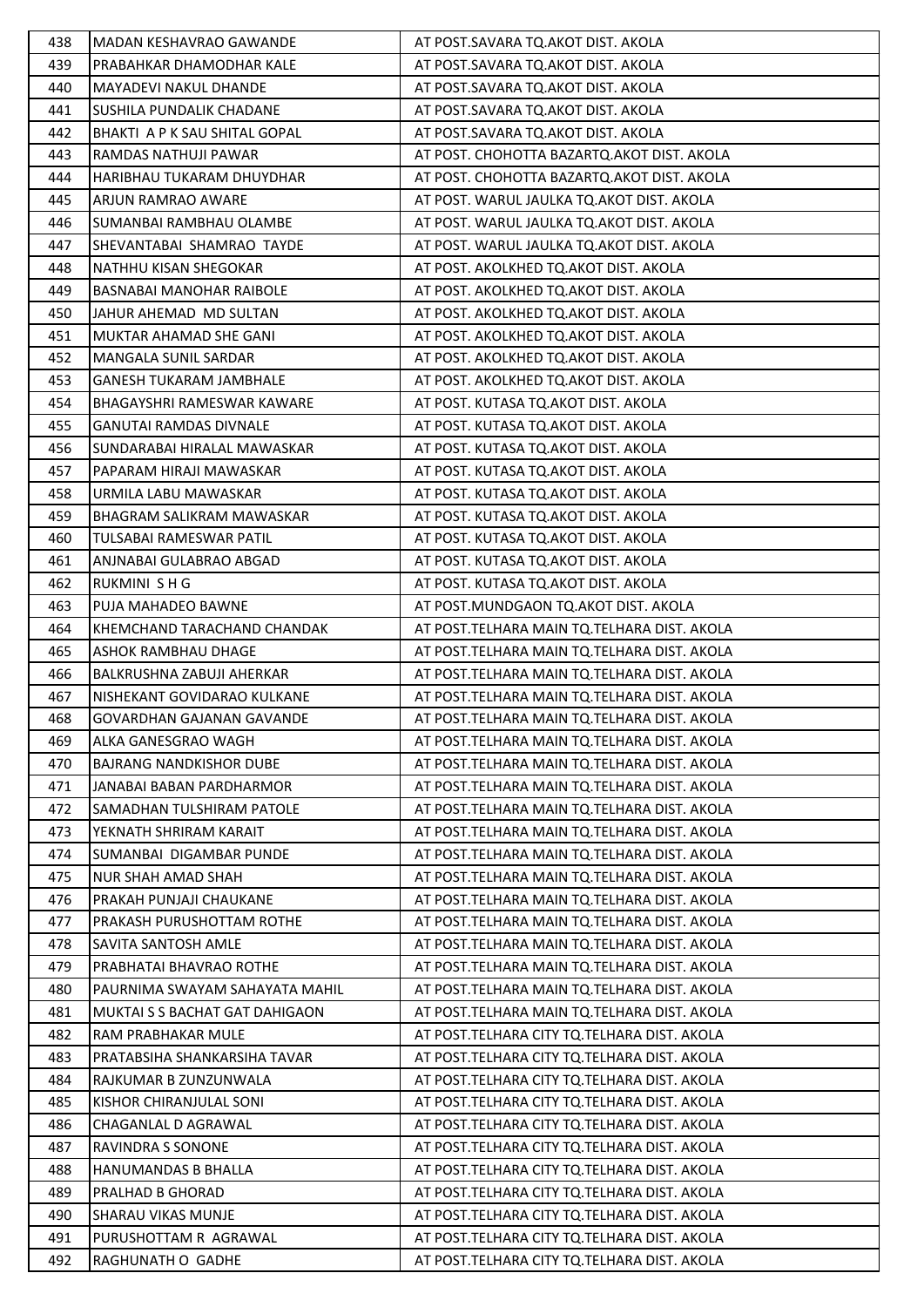| 438 | <b>MADAN KESHAVRAO GAWANDE</b>   | AT POST.SAVARA TQ.AKOT DIST. AKOLA            |
|-----|----------------------------------|-----------------------------------------------|
| 439 | PRABAHKAR DHAMODHAR KALE         | AT POST.SAVARA TQ.AKOT DIST. AKOLA            |
| 440 | MAYADEVI NAKUL DHANDE            | AT POST.SAVARA TQ.AKOT DIST. AKOLA            |
| 441 | SUSHILA PUNDALIK CHADANE         | AT POST.SAVARA TQ.AKOT DIST. AKOLA            |
| 442 | BHAKTI A P K SAU SHITAL GOPAL    | AT POST.SAVARA TQ.AKOT DIST. AKOLA            |
| 443 | RAMDAS NATHUJI PAWAR             | AT POST. CHOHOTTA BAZARTQ.AKOT DIST. AKOLA    |
| 444 | HARIBHAU TUKARAM DHUYDHAR        | AT POST. CHOHOTTA BAZARTQ.AKOT DIST. AKOLA    |
| 445 | ARJUN RAMRAO AWARE               | AT POST. WARUL JAULKA TO.AKOT DIST. AKOLA     |
| 446 | SUMANBAI RAMBHAU OLAMBE          | AT POST. WARUL JAULKA TQ.AKOT DIST. AKOLA     |
| 447 | SHEVANTABAI SHAMRAO TAYDE        | AT POST. WARUL JAULKA TQ.AKOT DIST. AKOLA     |
| 448 | NATHHU KISAN SHEGOKAR            | AT POST. AKOLKHED TQ.AKOT DIST. AKOLA         |
| 449 | BASNABAI MANOHAR RAIBOLE         | AT POST. AKOLKHED TQ.AKOT DIST. AKOLA         |
| 450 | JAHUR AHEMAD MD SULTAN           | AT POST. AKOLKHED TQ.AKOT DIST. AKOLA         |
| 451 | MUKTAR AHAMAD SHE GANI           | AT POST. AKOLKHED TQ.AKOT DIST. AKOLA         |
| 452 | MANGALA SUNIL SARDAR             | AT POST. AKOLKHED TQ.AKOT DIST. AKOLA         |
| 453 | <b>GANESH TUKARAM JAMBHALE</b>   | AT POST. AKOLKHED TQ.AKOT DIST. AKOLA         |
| 454 | BHAGAYSHRI RAMESWAR KAWARE       | AT POST. KUTASA TQ.AKOT DIST. AKOLA           |
| 455 | <b>GANUTAI RAMDAS DIVNALE</b>    | AT POST. KUTASA TQ.AKOT DIST. AKOLA           |
| 456 | SUNDARABAI HIRALAL MAWASKAR      | AT POST. KUTASA TQ.AKOT DIST. AKOLA           |
| 457 | PAPARAM HIRAJI MAWASKAR          | AT POST. KUTASA TQ.AKOT DIST. AKOLA           |
| 458 | URMILA LABU MAWASKAR             | AT POST. KUTASA TQ.AKOT DIST. AKOLA           |
| 459 | BHAGRAM SALIKRAM MAWASKAR        | AT POST. KUTASA TQ.AKOT DIST. AKOLA           |
| 460 | TULSABAI RAMESWAR PATIL          | AT POST. KUTASA TQ.AKOT DIST. AKOLA           |
| 461 | ANJNABAI GULABRAO ABGAD          | AT POST. KUTASA TQ.AKOT DIST. AKOLA           |
| 462 | RUKMINI SHG                      | AT POST. KUTASA TQ.AKOT DIST. AKOLA           |
| 463 | PUJA MAHADEO BAWNE               | AT POST.MUNDGAON TQ.AKOT DIST. AKOLA          |
| 464 | KHEMCHAND TARACHAND CHANDAK      | AT POST. TELHARA MAIN TQ. TELHARA DIST. AKOLA |
| 465 | ASHOK RAMBHAU DHAGE              | AT POST. TELHARA MAIN TQ. TELHARA DIST. AKOLA |
| 466 | BALKRUSHNA ZABUJI AHERKAR        | AT POST. TELHARA MAIN TQ. TELHARA DIST. AKOLA |
| 467 | NISHEKANT GOVIDARAO KULKANE      | AT POST.TELHARA MAIN TQ.TELHARA DIST. AKOLA   |
| 468 | <b>GOVARDHAN GAJANAN GAVANDE</b> | AT POST. TELHARA MAIN TQ. TELHARA DIST. AKOLA |
| 469 | ALKA GANESGRAO WAGH              | AT POST. TELHARA MAIN TO. TELHARA DIST. AKOLA |
| 470 | <b>BAJRANG NANDKISHOR DUBE</b>   | AT POST. TELHARA MAIN TQ. TELHARA DIST. AKOLA |
| 471 | JANABAI BABAN PARDHARMOR         | AT POST. TELHARA MAIN TO. TELHARA DIST. AKOLA |
| 472 | <b>SAMADHAN TULSHIRAM PATOLE</b> | AT POST. TELHARA MAIN TQ. TELHARA DIST. AKOLA |
| 473 | YEKNATH SHRIRAM KARAIT           | AT POST.TELHARA MAIN TQ.TELHARA DIST. AKOLA   |
| 474 | SUMANBAI DIGAMBAR PUNDE          | AT POST. TELHARA MAIN TQ. TELHARA DIST. AKOLA |
| 475 | NUR SHAH AMAD SHAH               | AT POST. TELHARA MAIN TQ. TELHARA DIST. AKOLA |
| 476 | PRAKAH PUNJAJI CHAUKANE          | AT POST. TELHARA MAIN TQ. TELHARA DIST. AKOLA |
| 477 | PRAKASH PURUSHOTTAM ROTHE        | AT POST. TELHARA MAIN TO. TELHARA DIST. AKOLA |
| 478 | SAVITA SANTOSH AMLE              | AT POST. TELHARA MAIN TQ. TELHARA DIST. AKOLA |
| 479 | PRABHATAI BHAVRAO ROTHE          | AT POST. TELHARA MAIN TQ. TELHARA DIST. AKOLA |
| 480 | PAURNIMA SWAYAM SAHAYATA MAHIL   | AT POST.TELHARA MAIN TQ.TELHARA DIST. AKOLA   |
| 481 | MUKTAI S S BACHAT GAT DAHIGAON   | AT POST. TELHARA MAIN TQ. TELHARA DIST. AKOLA |
| 482 | RAM PRABHAKAR MULE               | AT POST. TELHARA CITY TO. TELHARA DIST. AKOLA |
| 483 | PRATABSIHA SHANKARSIHA TAVAR     | AT POST. TELHARA CITY TO. TELHARA DIST. AKOLA |
| 484 | RAJKUMAR B ZUNZUNWALA            | AT POST. TELHARA CITY TQ. TELHARA DIST. AKOLA |
| 485 | KISHOR CHIRANJULAL SONI          | AT POST. TELHARA CITY TO. TELHARA DIST. AKOLA |
| 486 | CHAGANLAL D AGRAWAL              | AT POST. TELHARA CITY TQ. TELHARA DIST. AKOLA |
| 487 | RAVINDRA S SONONE                | AT POST. TELHARA CITY TQ. TELHARA DIST. AKOLA |
| 488 | HANUMANDAS B BHALLA              | AT POST. TELHARA CITY TQ. TELHARA DIST. AKOLA |
| 489 | PRALHAD B GHORAD                 | AT POST.TELHARA CITY TQ.TELHARA DIST. AKOLA   |
| 490 | <b>SHARAU VIKAS MUNJE</b>        | AT POST. TELHARA CITY TO. TELHARA DIST. AKOLA |
| 491 | PURUSHOTTAM R AGRAWAL            | AT POST. TELHARA CITY TQ. TELHARA DIST. AKOLA |
| 492 | RAGHUNATH O GADHE                | AT POST.TELHARA CITY TQ.TELHARA DIST. AKOLA   |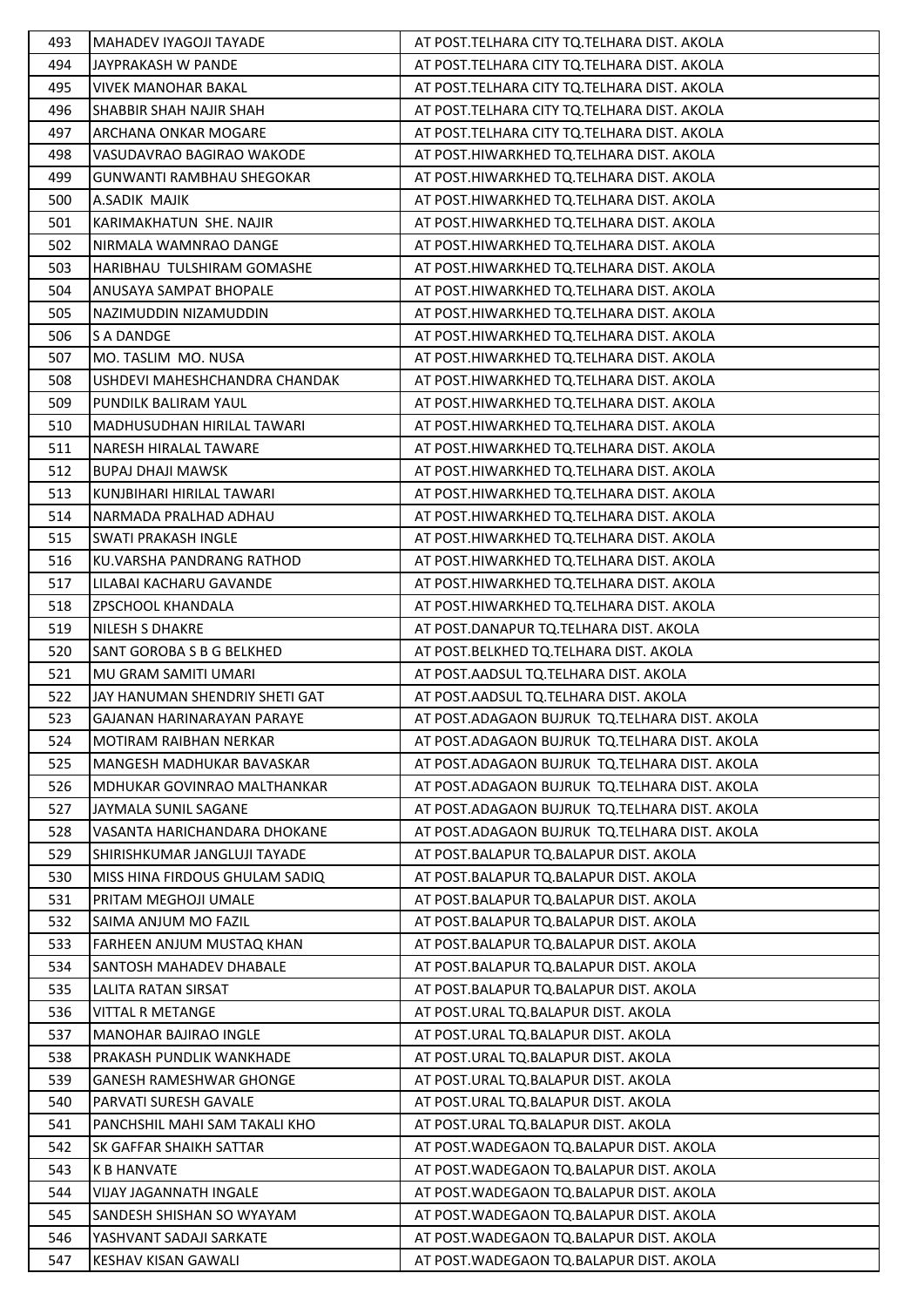| 493 | <b>MAHADEV IYAGOJI TAYADE</b>     | AT POST. TELHARA CITY TO. TELHARA DIST. AKOLA   |
|-----|-----------------------------------|-------------------------------------------------|
| 494 | JAYPRAKASH W PANDE                | AT POST.TELHARA CITY TQ.TELHARA DIST. AKOLA     |
| 495 | <b>VIVEK MANOHAR BAKAL</b>        | AT POST. TELHARA CITY TQ. TELHARA DIST. AKOLA   |
| 496 | SHABBIR SHAH NAJIR SHAH           | AT POST. TELHARA CITY TQ. TELHARA DIST. AKOLA   |
| 497 | ARCHANA ONKAR MOGARE              | AT POST. TELHARA CITY TQ. TELHARA DIST. AKOLA   |
| 498 | VASUDAVRAO BAGIRAO WAKODE         | AT POST.HIWARKHED TQ.TELHARA DIST. AKOLA        |
| 499 | GUNWANTI RAMBHAU SHEGOKAR         | AT POST.HIWARKHED TQ.TELHARA DIST. AKOLA        |
| 500 | A.SADIK MAJIK                     | AT POST.HIWARKHED TQ.TELHARA DIST. AKOLA        |
| 501 | KARIMAKHATUN SHE. NAJIR           | AT POST.HIWARKHED TQ.TELHARA DIST. AKOLA        |
| 502 | NIRMALA WAMNRAO DANGE             | AT POST.HIWARKHED TQ.TELHARA DIST. AKOLA        |
| 503 | HARIBHAU TULSHIRAM GOMASHE        | AT POST.HIWARKHED TQ.TELHARA DIST. AKOLA        |
| 504 | ANUSAYA SAMPAT BHOPALE            | AT POST.HIWARKHED TQ.TELHARA DIST. AKOLA        |
| 505 | NAZIMUDDIN NIZAMUDDIN             | AT POST.HIWARKHED TQ.TELHARA DIST. AKOLA        |
| 506 | S A DANDGE                        | AT POST.HIWARKHED TQ.TELHARA DIST. AKOLA        |
| 507 | MO. TASLIM MO. NUSA               | AT POST.HIWARKHED TQ.TELHARA DIST. AKOLA        |
| 508 | USHDEVI MAHESHCHANDRA CHANDAK     | AT POST.HIWARKHED TQ.TELHARA DIST. AKOLA        |
| 509 | PUNDILK BALIRAM YAUL              | AT POST.HIWARKHED TQ.TELHARA DIST. AKOLA        |
| 510 | <b>MADHUSUDHAN HIRILAL TAWARI</b> | AT POST.HIWARKHED TQ.TELHARA DIST. AKOLA        |
| 511 | <b>NARESH HIRALAL TAWARE</b>      | AT POST.HIWARKHED TQ.TELHARA DIST. AKOLA        |
| 512 | <b>BUPAJ DHAJI MAWSK</b>          | AT POST.HIWARKHED TQ.TELHARA DIST. AKOLA        |
| 513 | KUNJBIHARI HIRILAL TAWARI         | AT POST.HIWARKHED TQ.TELHARA DIST. AKOLA        |
| 514 | NARMADA PRALHAD ADHAU             | AT POST.HIWARKHED TQ.TELHARA DIST. AKOLA        |
| 515 | <b>SWATI PRAKASH INGLE</b>        | AT POST.HIWARKHED TQ.TELHARA DIST. AKOLA        |
| 516 | KU.VARSHA PANDRANG RATHOD         | AT POST.HIWARKHED TQ.TELHARA DIST. AKOLA        |
| 517 | LILABAI KACHARU GAVANDE           | AT POST.HIWARKHED TQ.TELHARA DIST. AKOLA        |
| 518 | <b>ZPSCHOOL KHANDALA</b>          | AT POST.HIWARKHED TQ.TELHARA DIST. AKOLA        |
| 519 | <b>NILESH S DHAKRE</b>            | AT POST.DANAPUR TQ.TELHARA DIST. AKOLA          |
| 520 | SANT GOROBA S B G BELKHED         | AT POST.BELKHED TQ.TELHARA DIST. AKOLA          |
| 521 | MU GRAM SAMITI UMARI              | AT POST.AADSUL TQ.TELHARA DIST. AKOLA           |
| 522 | JAY HANUMAN SHENDRIY SHETI GAT    | AT POST.AADSUL TQ.TELHARA DIST. AKOLA           |
| 523 | GAJANAN HARINARAYAN PARAYE        | AT POST.ADAGAON BUJRUK TQ.TELHARA DIST. AKOLA   |
| 524 | <b>MOTIRAM RAIBHAN NERKAR</b>     | AT POST. ADAGAON BUJRUK TO. TELHARA DIST. AKOLA |
| 525 | <b>MANGESH MADHUKAR BAVASKAR</b>  | AT POST.ADAGAON BUJRUK TQ.TELHARA DIST. AKOLA   |
| 526 | MDHUKAR GOVINRAO MALTHANKAR       | AT POST.ADAGAON BUJRUK TQ.TELHARA DIST. AKOLA   |
| 527 | JAYMALA SUNIL SAGANE              | AT POST.ADAGAON BUJRUK TQ.TELHARA DIST. AKOLA   |
| 528 | VASANTA HARICHANDARA DHOKANE      | AT POST. ADAGAON BUJRUK TO. TELHARA DIST. AKOLA |
| 529 | SHIRISHKUMAR JANGLUJI TAYADE      | AT POST. BALAPUR TO. BALAPUR DIST. AKOLA        |
| 530 | MISS HINA FIRDOUS GHULAM SADIO    | AT POST. BALAPUR TO. BALAPUR DIST. AKOLA        |
| 531 | PRITAM MEGHOJI UMALE              | AT POST. BALAPUR TO. BALAPUR DIST. AKOLA        |
| 532 | SAIMA ANJUM MO FAZIL              | AT POST.BALAPUR TQ.BALAPUR DIST. AKOLA          |
| 533 | FARHEEN ANJUM MUSTAQ KHAN         | AT POST.BALAPUR TQ.BALAPUR DIST. AKOLA          |
| 534 | <b>SANTOSH MAHADEV DHABALE</b>    | AT POST. BALAPUR TO. BALAPUR DIST. AKOLA        |
| 535 | LALITA RATAN SIRSAT               | AT POST. BALAPUR TO. BALAPUR DIST. AKOLA        |
| 536 | <b>VITTAL R METANGE</b>           | AT POST.URAL TQ.BALAPUR DIST. AKOLA             |
| 537 | <b>MANOHAR BAJIRAO INGLE</b>      | AT POST.URAL TQ.BALAPUR DIST. AKOLA             |
| 538 | PRAKASH PUNDLIK WANKHADE          | AT POST.URAL TQ.BALAPUR DIST. AKOLA             |
| 539 | <b>GANESH RAMESHWAR GHONGE</b>    | AT POST.URAL TQ.BALAPUR DIST. AKOLA             |
| 540 | PARVATI SURESH GAVALE             | AT POST.URAL TQ.BALAPUR DIST. AKOLA             |
| 541 | PANCHSHIL MAHI SAM TAKALI KHO     | AT POST.URAL TQ.BALAPUR DIST. AKOLA             |
| 542 | <b>SK GAFFAR SHAIKH SATTAR</b>    | AT POST. WADEGAON TO. BALAPUR DIST. AKOLA       |
| 543 | <b>K B HANVATE</b>                | AT POST. WADEGAON TO. BALAPUR DIST. AKOLA       |
| 544 | VIJAY JAGANNATH INGALE            | AT POST. WADEGAON TO. BALAPUR DIST. AKOLA       |
| 545 | SANDESH SHISHAN SO WYAYAM         | AT POST. WADEGAON TO. BALAPUR DIST. AKOLA       |
| 546 | YASHVANT SADAJI SARKATE           | AT POST. WADEGAON TQ. BALAPUR DIST. AKOLA       |
| 547 | KESHAV KISAN GAWALI               | AT POST. WADEGAON TO. BALAPUR DIST. AKOLA       |
|     |                                   |                                                 |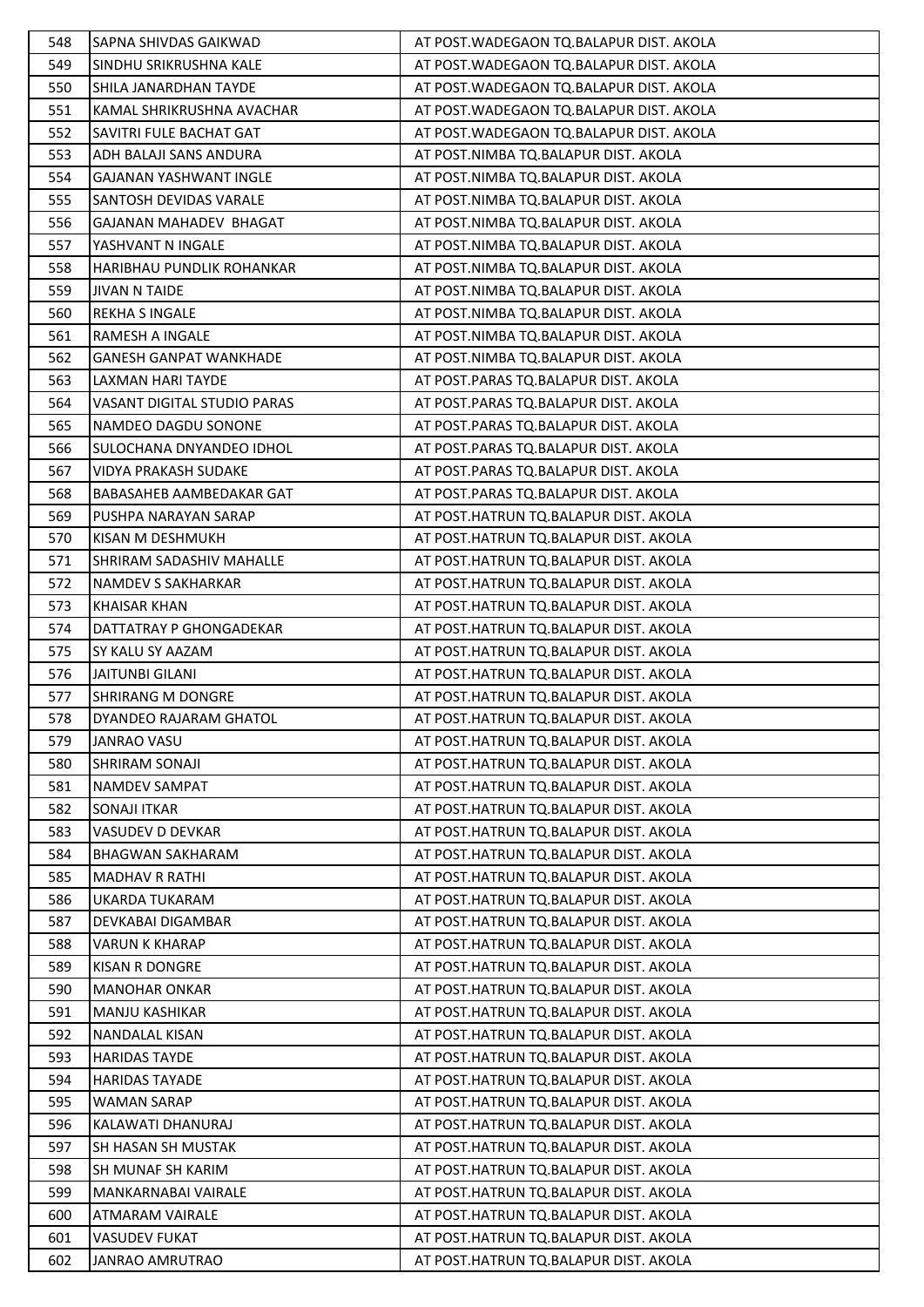| 548 | SAPNA SHIVDAS GAIKWAD              | AT POST. WADEGAON TO. BALAPUR DIST. AKOLA |
|-----|------------------------------------|-------------------------------------------|
| 549 | SINDHU SRIKRUSHNA KALE             | AT POST. WADEGAON TO. BALAPUR DIST. AKOLA |
| 550 | SHILA JANARDHAN TAYDE              | AT POST. WADEGAON TO. BALAPUR DIST. AKOLA |
| 551 | KAMAL SHRIKRUSHNA AVACHAR          | AT POST. WADEGAON TO. BALAPUR DIST. AKOLA |
| 552 | SAVITRI FULE BACHAT GAT            | AT POST. WADEGAON TO BALAPUR DIST. AKOLA  |
| 553 | ADH BALAJI SANS ANDURA             | AT POST.NIMBA TQ.BALAPUR DIST. AKOLA      |
| 554 | GAJANAN YASHWANT INGLE             | AT POST.NIMBA TQ.BALAPUR DIST. AKOLA      |
| 555 | SANTOSH DEVIDAS VARALE             | AT POST.NIMBA TQ.BALAPUR DIST. AKOLA      |
| 556 | GAJANAN MAHADEV BHAGAT             | AT POST.NIMBA TQ.BALAPUR DIST. AKOLA      |
| 557 | YASHVANT N INGALE                  | AT POST.NIMBA TQ.BALAPUR DIST. AKOLA      |
| 558 | HARIBHAU PUNDLIK ROHANKAR          | AT POST.NIMBA TQ.BALAPUR DIST. AKOLA      |
| 559 | <b>JIVAN N TAIDE</b>               | AT POST.NIMBA TQ.BALAPUR DIST. AKOLA      |
| 560 | <b>REKHA S INGALE</b>              | AT POST.NIMBA TQ.BALAPUR DIST. AKOLA      |
| 561 | <b>RAMESH A INGALE</b>             | AT POST.NIMBA TQ.BALAPUR DIST. AKOLA      |
| 562 | <b>GANESH GANPAT WANKHADE</b>      | AT POST.NIMBA TQ.BALAPUR DIST. AKOLA      |
| 563 | LAXMAN HARI TAYDE                  | AT POST.PARAS TQ.BALAPUR DIST. AKOLA      |
| 564 | <b>VASANT DIGITAL STUDIO PARAS</b> | AT POST.PARAS TQ.BALAPUR DIST. AKOLA      |
| 565 | NAMDEO DAGDU SONONE                | AT POST.PARAS TQ.BALAPUR DIST. AKOLA      |
| 566 | SULOCHANA DNYANDEO IDHOL           | AT POST.PARAS TQ.BALAPUR DIST. AKOLA      |
| 567 | <b>VIDYA PRAKASH SUDAKE</b>        | AT POST.PARAS TQ.BALAPUR DIST. AKOLA      |
| 568 | <b>BABASAHEB AAMBEDAKAR GAT</b>    | AT POST.PARAS TQ.BALAPUR DIST. AKOLA      |
| 569 | PUSHPA NARAYAN SARAP               | AT POST.HATRUN TQ.BALAPUR DIST. AKOLA     |
| 570 | KISAN M DESHMUKH                   | AT POST.HATRUN TQ.BALAPUR DIST. AKOLA     |
| 571 | SHRIRAM SADASHIV MAHALLE           | AT POST.HATRUN TQ.BALAPUR DIST. AKOLA     |
| 572 | NAMDEV S SAKHARKAR                 | AT POST.HATRUN TQ.BALAPUR DIST. AKOLA     |
| 573 | <b>KHAISAR KHAN</b>                | AT POST.HATRUN TQ.BALAPUR DIST. AKOLA     |
| 574 | DATTATRAY P GHONGADEKAR            | AT POST.HATRUN TQ.BALAPUR DIST. AKOLA     |
| 575 | SY KALU SY AAZAM                   | AT POST.HATRUN TQ.BALAPUR DIST. AKOLA     |
| 576 | <b>JAITUNBI GILANI</b>             | AT POST.HATRUN TQ.BALAPUR DIST. AKOLA     |
| 577 | <b>SHRIRANG M DONGRE</b>           | AT POST.HATRUN TQ.BALAPUR DIST. AKOLA     |
| 578 | DYANDEO RAJARAM GHATOL             | AT POST.HATRUN TQ.BALAPUR DIST. AKOLA     |
| 579 | <b>JANRAO VASU</b>                 | AT POST.HATRUN TQ.BALAPUR DIST. AKOLA     |
| 580 | SHRIRAM SONAJI                     | AT POST.HATRUN TQ.BALAPUR DIST. AKOLA     |
| 581 | <b>NAMDEV SAMPAT</b>               | AT POST.HATRUN TQ.BALAPUR DIST. AKOLA     |
| 582 | <b>SONAJI ITKAR</b>                | AT POST.HATRUN TQ.BALAPUR DIST. AKOLA     |
| 583 | VASUDEV D DEVKAR                   | AT POST.HATRUN TQ.BALAPUR DIST. AKOLA     |
| 584 | <b>BHAGWAN SAKHARAM</b>            | AT POST.HATRUN TQ.BALAPUR DIST. AKOLA     |
| 585 | MADHAV R RATHI                     | AT POST.HATRUN TQ.BALAPUR DIST. AKOLA     |
| 586 | UKARDA TUKARAM                     | AT POST.HATRUN TO.BALAPUR DIST. AKOLA     |
| 587 | DEVKABAI DIGAMBAR                  | AT POST.HATRUN TQ.BALAPUR DIST. AKOLA     |
| 588 | <b>VARUN K KHARAP</b>              | AT POST.HATRUN TQ.BALAPUR DIST. AKOLA     |
| 589 | <b>KISAN R DONGRE</b>              | AT POST.HATRUN TQ.BALAPUR DIST. AKOLA     |
| 590 | <b>MANOHAR ONKAR</b>               | AT POST.HATRUN TQ.BALAPUR DIST. AKOLA     |
| 591 | MANJU KASHIKAR                     | AT POST.HATRUN TQ.BALAPUR DIST. AKOLA     |
| 592 | NANDALAL KISAN                     | AT POST.HATRUN TQ.BALAPUR DIST. AKOLA     |
| 593 | <b>HARIDAS TAYDE</b>               | AT POST.HATRUN TQ.BALAPUR DIST. AKOLA     |
| 594 | <b>HARIDAS TAYADE</b>              | AT POST.HATRUN TQ.BALAPUR DIST. AKOLA     |
| 595 | WAMAN SARAP                        | AT POST.HATRUN TQ.BALAPUR DIST. AKOLA     |
| 596 | KALAWATI DHANURAJ                  | AT POST.HATRUN TQ.BALAPUR DIST. AKOLA     |
| 597 | <b>SH HASAN SH MUSTAK</b>          | AT POST.HATRUN TQ.BALAPUR DIST. AKOLA     |
| 598 | SH MUNAF SH KARIM                  | AT POST.HATRUN TQ.BALAPUR DIST. AKOLA     |
| 599 | MANKARNABAI VAIRALE                | AT POST.HATRUN TQ.BALAPUR DIST. AKOLA     |
| 600 | ATMARAM VAIRALE                    | AT POST.HATRUN TQ.BALAPUR DIST. AKOLA     |
| 601 | <b>VASUDEV FUKAT</b>               | AT POST.HATRUN TQ.BALAPUR DIST. AKOLA     |
| 602 | JANRAO AMRUTRAO                    | AT POST.HATRUN TQ.BALAPUR DIST. AKOLA     |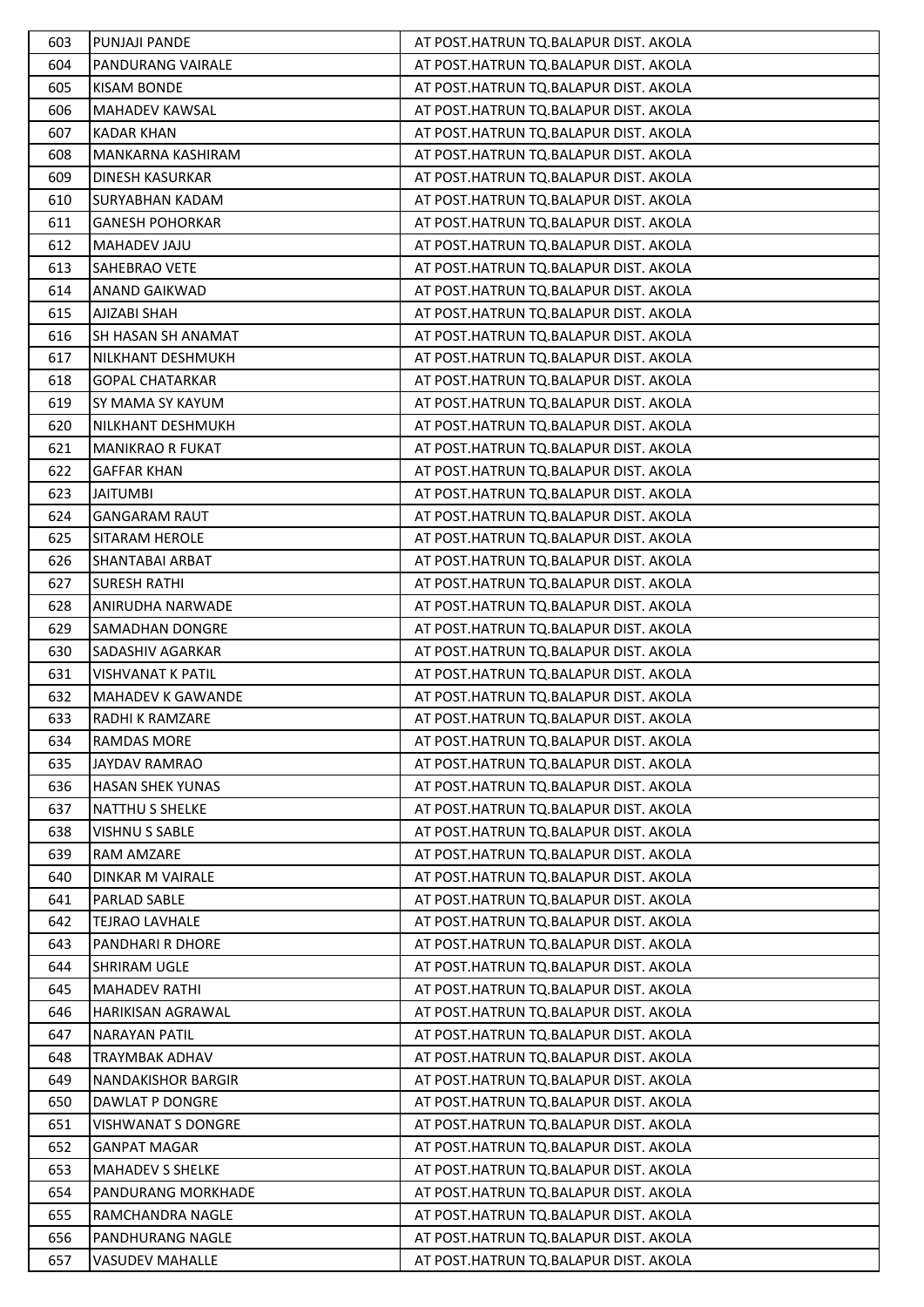| 603 | <b>PUNJAJI PANDE</b>      | AT POST.HATRUN TQ.BALAPUR DIST. AKOLA |
|-----|---------------------------|---------------------------------------|
| 604 | <b>PANDURANG VAIRALE</b>  | AT POST.HATRUN TQ.BALAPUR DIST. AKOLA |
| 605 | <b>KISAM BONDE</b>        | AT POST.HATRUN TQ.BALAPUR DIST. AKOLA |
| 606 | MAHADEV KAWSAL            | AT POST.HATRUN TQ.BALAPUR DIST. AKOLA |
| 607 | <b>KADAR KHAN</b>         | AT POST.HATRUN TQ.BALAPUR DIST. AKOLA |
| 608 | MANKARNA KASHIRAM         | AT POST.HATRUN TQ.BALAPUR DIST. AKOLA |
| 609 | DINESH KASURKAR           | AT POST.HATRUN TQ.BALAPUR DIST. AKOLA |
| 610 | <b>SURYABHAN KADAM</b>    | AT POST.HATRUN TQ.BALAPUR DIST. AKOLA |
| 611 | <b>GANESH POHORKAR</b>    | AT POST.HATRUN TQ.BALAPUR DIST. AKOLA |
| 612 | MAHADEV JAJU              | AT POST.HATRUN TQ.BALAPUR DIST. AKOLA |
| 613 | SAHEBRAO VETE             | AT POST.HATRUN TQ.BALAPUR DIST. AKOLA |
| 614 | <b>ANAND GAIKWAD</b>      | AT POST.HATRUN TQ.BALAPUR DIST. AKOLA |
| 615 | AJIZABI SHAH              | AT POST.HATRUN TQ.BALAPUR DIST. AKOLA |
| 616 | SH HASAN SH ANAMAT        | AT POST.HATRUN TQ.BALAPUR DIST. AKOLA |
| 617 | NILKHANT DESHMUKH         | AT POST.HATRUN TQ.BALAPUR DIST. AKOLA |
| 618 | <b>GOPAL CHATARKAR</b>    | AT POST.HATRUN TQ.BALAPUR DIST. AKOLA |
| 619 | SY MAMA SY KAYUM          | AT POST.HATRUN TQ.BALAPUR DIST. AKOLA |
| 620 | NILKHANT DESHMUKH         | AT POST.HATRUN TQ.BALAPUR DIST. AKOLA |
| 621 | <b>MANIKRAO R FUKAT</b>   | AT POST.HATRUN TO.BALAPUR DIST. AKOLA |
| 622 | <b>GAFFAR KHAN</b>        | AT POST.HATRUN TQ.BALAPUR DIST. AKOLA |
| 623 | <b>JAITUMBI</b>           | AT POST.HATRUN TQ.BALAPUR DIST. AKOLA |
| 624 | <b>GANGARAM RAUT</b>      | AT POST.HATRUN TQ.BALAPUR DIST. AKOLA |
| 625 | SITARAM HEROLE            | AT POST.HATRUN TQ.BALAPUR DIST. AKOLA |
| 626 | SHANTABAI ARBAT           | AT POST.HATRUN TQ.BALAPUR DIST. AKOLA |
| 627 | <b>SURESH RATHI</b>       | AT POST.HATRUN TQ.BALAPUR DIST. AKOLA |
| 628 | <b>ANIRUDHA NARWADE</b>   | AT POST.HATRUN TQ.BALAPUR DIST. AKOLA |
| 629 | SAMADHAN DONGRE           | AT POST.HATRUN TQ.BALAPUR DIST. AKOLA |
| 630 | <b>SADASHIV AGARKAR</b>   | AT POST.HATRUN TQ.BALAPUR DIST. AKOLA |
| 631 | <b>VISHVANAT K PATIL</b>  | AT POST.HATRUN TQ.BALAPUR DIST. AKOLA |
| 632 | MAHADEV K GAWANDE         | AT POST.HATRUN TQ.BALAPUR DIST. AKOLA |
| 633 | <b>RADHI K RAMZARE</b>    | AT POST.HATRUN TQ.BALAPUR DIST. AKOLA |
| 634 | <b>RAMDAS MORE</b>        | AT POST.HATRUN TQ.BALAPUR DIST. AKOLA |
| 635 | <b>JAYDAV RAMRAO</b>      | AT POST.HATRUN TQ.BALAPUR DIST. AKOLA |
| 636 | <b>HASAN SHEK YUNAS</b>   | AT POST.HATRUN TO.BALAPUR DIST. AKOLA |
| 637 | <b>NATTHU S SHELKE</b>    | AT POST.HATRUN TQ.BALAPUR DIST. AKOLA |
| 638 | VISHNU S SABLE            | AT POST.HATRUN TQ.BALAPUR DIST. AKOLA |
| 639 | RAM AMZARE                | AT POST.HATRUN TQ.BALAPUR DIST. AKOLA |
| 640 | DINKAR M VAIRALE          | AT POST.HATRUN TQ.BALAPUR DIST. AKOLA |
| 641 | PARLAD SABLE              | AT POST.HATRUN TQ.BALAPUR DIST. AKOLA |
| 642 | <b>TEJRAO LAVHALE</b>     | AT POST.HATRUN TQ.BALAPUR DIST. AKOLA |
| 643 | PANDHARI R DHORE          | AT POST.HATRUN TQ.BALAPUR DIST. AKOLA |
| 644 | SHRIRAM UGLE              | AT POST.HATRUN TQ.BALAPUR DIST. AKOLA |
| 645 | <b>MAHADEV RATHI</b>      | AT POST.HATRUN TQ.BALAPUR DIST. AKOLA |
| 646 | <b>HARIKISAN AGRAWAL</b>  | AT POST.HATRUN TQ.BALAPUR DIST. AKOLA |
| 647 | <b>NARAYAN PATIL</b>      | AT POST.HATRUN TQ.BALAPUR DIST. AKOLA |
| 648 | <b>TRAYMBAK ADHAV</b>     | AT POST.HATRUN TQ.BALAPUR DIST. AKOLA |
| 649 | <b>NANDAKISHOR BARGIR</b> | AT POST.HATRUN TQ.BALAPUR DIST. AKOLA |
| 650 | DAWLAT P DONGRE           | AT POST.HATRUN TQ.BALAPUR DIST. AKOLA |
| 651 | <b>VISHWANAT S DONGRE</b> | AT POST.HATRUN TQ.BALAPUR DIST. AKOLA |
| 652 | <b>GANPAT MAGAR</b>       | AT POST.HATRUN TQ.BALAPUR DIST. AKOLA |
| 653 | <b>MAHADEV S SHELKE</b>   | AT POST.HATRUN TQ.BALAPUR DIST. AKOLA |
| 654 | PANDURANG MORKHADE        | AT POST.HATRUN TQ.BALAPUR DIST. AKOLA |
| 655 | RAMCHANDRA NAGLE          | AT POST.HATRUN TQ.BALAPUR DIST. AKOLA |
| 656 | PANDHURANG NAGLE          | AT POST.HATRUN TQ.BALAPUR DIST. AKOLA |
| 657 | <b>VASUDEV MAHALLE</b>    | AT POST.HATRUN TQ.BALAPUR DIST. AKOLA |
|     |                           |                                       |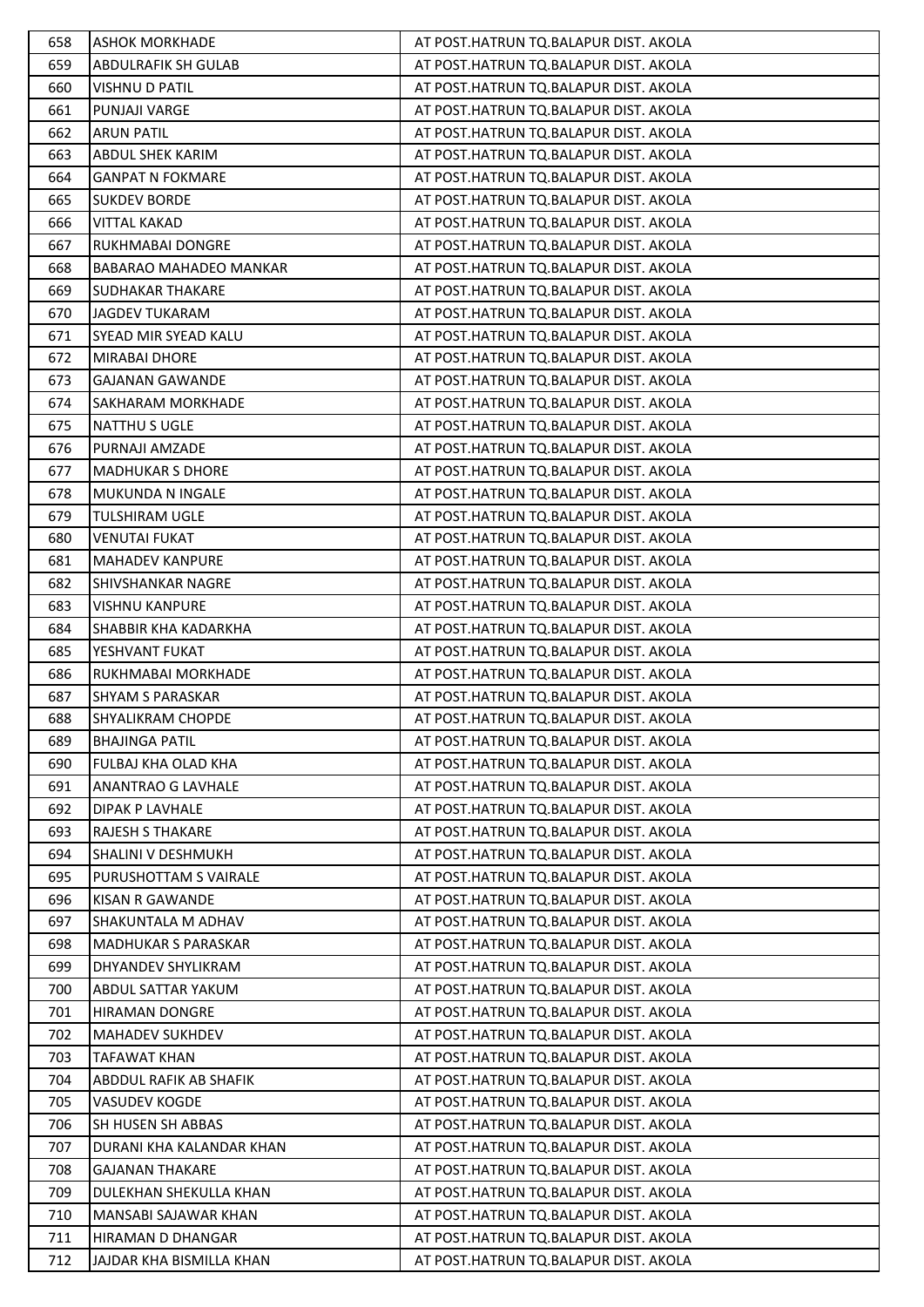| 658 | <b>ASHOK MORKHADE</b>         | AT POST.HATRUN TQ.BALAPUR DIST. AKOLA |
|-----|-------------------------------|---------------------------------------|
| 659 | <b>ABDULRAFIK SH GULAB</b>    | AT POST.HATRUN TQ.BALAPUR DIST. AKOLA |
| 660 | <b>VISHNU D PATIL</b>         | AT POST.HATRUN TQ.BALAPUR DIST. AKOLA |
| 661 | PUNJAJI VARGE                 | AT POST.HATRUN TQ.BALAPUR DIST. AKOLA |
| 662 | <b>ARUN PATIL</b>             | AT POST.HATRUN TQ.BALAPUR DIST. AKOLA |
| 663 | ABDUL SHEK KARIM              | AT POST.HATRUN TQ.BALAPUR DIST. AKOLA |
| 664 | <b>GANPAT N FOKMARE</b>       | AT POST.HATRUN TQ.BALAPUR DIST. AKOLA |
| 665 | <b>SUKDEV BORDE</b>           | AT POST.HATRUN TQ.BALAPUR DIST. AKOLA |
| 666 | <b>VITTAL KAKAD</b>           | AT POST.HATRUN TQ.BALAPUR DIST. AKOLA |
| 667 | RUKHMABAI DONGRE              | AT POST.HATRUN TQ.BALAPUR DIST. AKOLA |
| 668 | <b>BABARAO MAHADEO MANKAR</b> | AT POST.HATRUN TQ.BALAPUR DIST. AKOLA |
| 669 | <b>SUDHAKAR THAKARE</b>       | AT POST.HATRUN TQ.BALAPUR DIST. AKOLA |
| 670 | <b>JAGDEV TUKARAM</b>         | AT POST.HATRUN TQ.BALAPUR DIST. AKOLA |
| 671 | SYEAD MIR SYEAD KALU          | AT POST.HATRUN TQ.BALAPUR DIST. AKOLA |
| 672 | <b>MIRABAI DHORE</b>          | AT POST.HATRUN TQ.BALAPUR DIST. AKOLA |
| 673 | <b>GAJANAN GAWANDE</b>        | AT POST.HATRUN TQ.BALAPUR DIST. AKOLA |
| 674 | SAKHARAM MORKHADE             | AT POST.HATRUN TQ.BALAPUR DIST. AKOLA |
| 675 | NATTHU S UGLE                 | AT POST.HATRUN TQ.BALAPUR DIST. AKOLA |
| 676 | PURNAJI AMZADE                | AT POST.HATRUN TQ.BALAPUR DIST. AKOLA |
| 677 | <b>MADHUKAR S DHORE</b>       | AT POST.HATRUN TQ.BALAPUR DIST. AKOLA |
| 678 | MUKUNDA N INGALE              | AT POST.HATRUN TQ.BALAPUR DIST. AKOLA |
| 679 | <b>TULSHIRAM UGLE</b>         | AT POST.HATRUN TQ.BALAPUR DIST. AKOLA |
| 680 | <b>VENUTAI FUKAT</b>          | AT POST.HATRUN TQ.BALAPUR DIST. AKOLA |
| 681 | <b>MAHADEV KANPURE</b>        | AT POST.HATRUN TQ.BALAPUR DIST. AKOLA |
| 682 | <b>SHIVSHANKAR NAGRE</b>      | AT POST.HATRUN TQ.BALAPUR DIST. AKOLA |
| 683 | <b>VISHNU KANPURE</b>         | AT POST.HATRUN TQ.BALAPUR DIST. AKOLA |
| 684 | SHABBIR KHA KADARKHA          | AT POST.HATRUN TQ.BALAPUR DIST. AKOLA |
| 685 | YESHVANT FUKAT                | AT POST.HATRUN TQ.BALAPUR DIST. AKOLA |
| 686 | RUKHMABAI MORKHADE            | AT POST.HATRUN TQ.BALAPUR DIST. AKOLA |
| 687 | <b>SHYAM S PARASKAR</b>       | AT POST.HATRUN TQ.BALAPUR DIST. AKOLA |
| 688 | <b>SHYALIKRAM CHOPDE</b>      | AT POST.HATRUN TQ.BALAPUR DIST. AKOLA |
| 689 | <b>BHAJINGA PATIL</b>         | AT POST.HATRUN TQ.BALAPUR DIST. AKOLA |
| 690 | FULBAJ KHA OLAD KHA           | AT POST.HATRUN TO.BALAPUR DIST. AKOLA |
| 691 | ANANTRAO G LAVHALE            | AT POST.HATRUN TQ.BALAPUR DIST. AKOLA |
| 692 | <b>DIPAK P LAVHALE</b>        | AT POST.HATRUN TQ.BALAPUR DIST. AKOLA |
| 693 | <b>RAJESH S THAKARE</b>       | AT POST.HATRUN TQ.BALAPUR DIST. AKOLA |
| 694 | SHALINI V DESHMUKH            | AT POST.HATRUN TQ.BALAPUR DIST. AKOLA |
| 695 | PURUSHOTTAM S VAIRALE         | AT POST.HATRUN TQ.BALAPUR DIST. AKOLA |
| 696 | <b>KISAN R GAWANDE</b>        | AT POST.HATRUN TQ.BALAPUR DIST. AKOLA |
| 697 | SHAKUNTALA M ADHAV            | AT POST.HATRUN TQ.BALAPUR DIST. AKOLA |
| 698 | <b>MADHUKAR S PARASKAR</b>    | AT POST.HATRUN TQ.BALAPUR DIST. AKOLA |
| 699 | DHYANDEV SHYLIKRAM            | AT POST.HATRUN TQ.BALAPUR DIST. AKOLA |
| 700 | ABDUL SATTAR YAKUM            | AT POST.HATRUN TQ.BALAPUR DIST. AKOLA |
| 701 | <b>HIRAMAN DONGRE</b>         | AT POST.HATRUN TQ.BALAPUR DIST. AKOLA |
| 702 | <b>MAHADEV SUKHDEV</b>        | AT POST.HATRUN TQ.BALAPUR DIST. AKOLA |
| 703 | <b>TAFAWAT KHAN</b>           | AT POST.HATRUN TQ.BALAPUR DIST. AKOLA |
| 704 | ABDDUL RAFIK AB SHAFIK        | AT POST.HATRUN TQ.BALAPUR DIST. AKOLA |
| 705 | VASUDEV KOGDE                 | AT POST.HATRUN TQ.BALAPUR DIST. AKOLA |
| 706 | SH HUSEN SH ABBAS             | AT POST.HATRUN TQ.BALAPUR DIST. AKOLA |
| 707 | DURANI KHA KALANDAR KHAN      | AT POST.HATRUN TQ.BALAPUR DIST. AKOLA |
| 708 | <b>GAJANAN THAKARE</b>        | AT POST.HATRUN TQ.BALAPUR DIST. AKOLA |
| 709 | DULEKHAN SHEKULLA KHAN        | AT POST.HATRUN TQ.BALAPUR DIST. AKOLA |
| 710 | MANSABI SAJAWAR KHAN          | AT POST.HATRUN TQ.BALAPUR DIST. AKOLA |
| 711 | HIRAMAN D DHANGAR             | AT POST.HATRUN TQ.BALAPUR DIST. AKOLA |
| 712 | JAJDAR KHA BISMILLA KHAN      | AT POST.HATRUN TQ.BALAPUR DIST. AKOLA |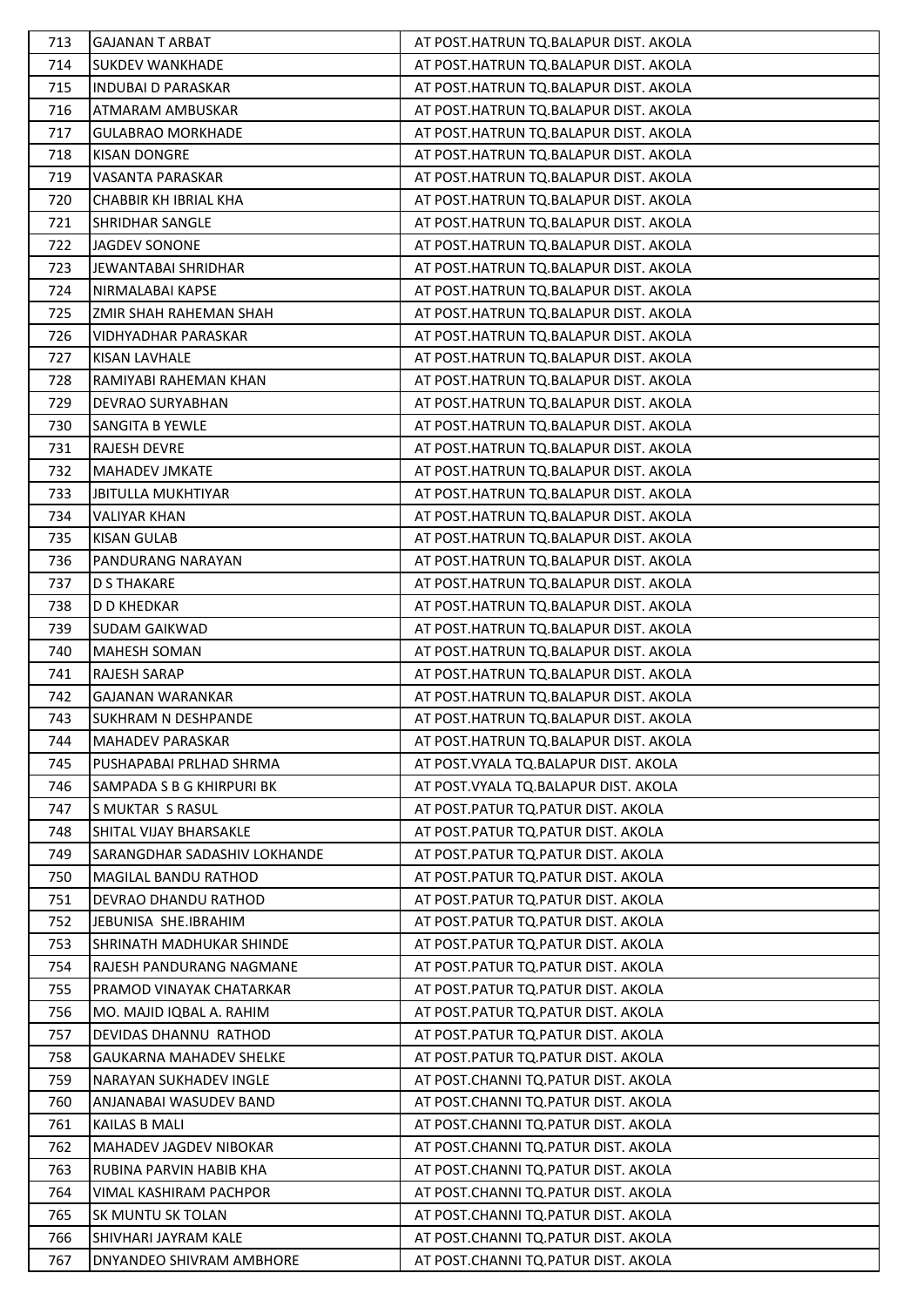| 713        | <b>GAJANAN T ARBAT</b>         | AT POST.HATRUN TQ.BALAPUR DIST. AKOLA                                          |
|------------|--------------------------------|--------------------------------------------------------------------------------|
| 714        | <b>SUKDEV WANKHADE</b>         | AT POST.HATRUN TQ.BALAPUR DIST. AKOLA                                          |
| 715        | <b>INDUBAI D PARASKAR</b>      | AT POST.HATRUN TQ.BALAPUR DIST. AKOLA                                          |
| 716        | ATMARAM AMBUSKAR               | AT POST.HATRUN TQ.BALAPUR DIST. AKOLA                                          |
| 717        | <b>GULABRAO MORKHADE</b>       | AT POST.HATRUN TQ.BALAPUR DIST. AKOLA                                          |
| 718        | <b>KISAN DONGRE</b>            | AT POST.HATRUN TQ.BALAPUR DIST. AKOLA                                          |
| 719        | <b>VASANTA PARASKAR</b>        | AT POST.HATRUN TQ.BALAPUR DIST. AKOLA                                          |
| 720        | CHABBIR KH IBRIAL KHA          | AT POST.HATRUN TQ.BALAPUR DIST. AKOLA                                          |
| 721        | SHRIDHAR SANGLE                | AT POST.HATRUN TQ.BALAPUR DIST. AKOLA                                          |
| 722        | JAGDEV SONONE                  | AT POST.HATRUN TQ.BALAPUR DIST. AKOLA                                          |
| 723        | JEWANTABAI SHRIDHAR            | AT POST.HATRUN TQ.BALAPUR DIST. AKOLA                                          |
| 724        | NIRMALABAI KAPSE               | AT POST.HATRUN TQ.BALAPUR DIST. AKOLA                                          |
| 725        | ZMIR SHAH RAHEMAN SHAH         | AT POST.HATRUN TQ.BALAPUR DIST. AKOLA                                          |
| 726        | <b>VIDHYADHAR PARASKAR</b>     | AT POST.HATRUN TQ.BALAPUR DIST. AKOLA                                          |
| 727        | <b>KISAN LAVHALE</b>           | AT POST.HATRUN TQ.BALAPUR DIST. AKOLA                                          |
| 728        | RAMIYABI RAHEMAN KHAN          | AT POST.HATRUN TQ.BALAPUR DIST. AKOLA                                          |
| 729        | DEVRAO SURYABHAN               | AT POST.HATRUN TQ.BALAPUR DIST. AKOLA                                          |
| 730        | SANGITA B YEWLE                | AT POST.HATRUN TQ.BALAPUR DIST. AKOLA                                          |
| 731        | <b>RAJESH DEVRE</b>            | AT POST.HATRUN TQ.BALAPUR DIST. AKOLA                                          |
| 732        | <b>MAHADEV JMKATE</b>          | AT POST.HATRUN TQ.BALAPUR DIST. AKOLA                                          |
| 733        | <b>JBITULLA MUKHTIYAR</b>      | AT POST.HATRUN TQ.BALAPUR DIST. AKOLA                                          |
| 734        | <b>VALIYAR KHAN</b>            | AT POST.HATRUN TQ.BALAPUR DIST. AKOLA                                          |
| 735        | <b>KISAN GULAB</b>             | AT POST.HATRUN TQ.BALAPUR DIST. AKOLA                                          |
| 736        | PANDURANG NARAYAN              | AT POST.HATRUN TQ.BALAPUR DIST. AKOLA                                          |
| 737        | <b>D S THAKARE</b>             | AT POST.HATRUN TQ.BALAPUR DIST. AKOLA                                          |
| 738        | D D KHEDKAR                    | AT POST.HATRUN TQ.BALAPUR DIST. AKOLA                                          |
| 739        | <b>SUDAM GAIKWAD</b>           | AT POST.HATRUN TQ.BALAPUR DIST. AKOLA<br>AT POST.HATRUN TQ.BALAPUR DIST. AKOLA |
| 740        | MAHESH SOMAN<br>RAJESH SARAP   |                                                                                |
| 741<br>742 | <b>GAJANAN WARANKAR</b>        | AT POST.HATRUN TQ.BALAPUR DIST. AKOLA<br>AT POST.HATRUN TQ.BALAPUR DIST. AKOLA |
| 743        | <b>SUKHRAM N DESHPANDE</b>     | AT POST.HATRUN TQ.BALAPUR DIST. AKOLA                                          |
| 744        | <b>MAHADEV PARASKAR</b>        | AT POST.HATRUN TQ.BALAPUR DIST. AKOLA                                          |
| 745        | PUSHAPABAI PRLHAD SHRMA        | AT POST. VYALA TQ. BALAPUR DIST. AKOLA                                         |
| 746        | SAMPADA S B G KHIRPURI BK      | AT POST. VYALA TO. BALAPUR DIST. AKOLA                                         |
| 747        | <b>S MUKTAR S RASUL</b>        | AT POST.PATUR TQ.PATUR DIST. AKOLA                                             |
| 748        | SHITAL VIJAY BHARSAKLE         | AT POST.PATUR TQ.PATUR DIST. AKOLA                                             |
| 749        | SARANGDHAR SADASHIV LOKHANDE   | AT POST.PATUR TQ.PATUR DIST. AKOLA                                             |
| 750        | MAGILAL BANDU RATHOD           | AT POST.PATUR TQ.PATUR DIST. AKOLA                                             |
| 751        | DEVRAO DHANDU RATHOD           | AT POST. PATUR TO. PATUR DIST. AKOLA                                           |
| 752        | JEBUNISA SHE.IBRAHIM           | AT POST. PATUR TO. PATUR DIST. AKOLA                                           |
| 753        | SHRINATH MADHUKAR SHINDE       | AT POST.PATUR TQ.PATUR DIST. AKOLA                                             |
| 754        | RAJESH PANDURANG NAGMANE       | AT POST.PATUR TQ.PATUR DIST. AKOLA                                             |
| 755        | PRAMOD VINAYAK CHATARKAR       | AT POST.PATUR TQ.PATUR DIST. AKOLA                                             |
| 756        | MO. MAJID IQBAL A. RAHIM       | AT POST. PATUR TO. PATUR DIST. AKOLA                                           |
| 757        | DEVIDAS DHANNU RATHOD          | AT POST. PATUR TO. PATUR DIST. AKOLA                                           |
| 758        | <b>GAUKARNA MAHADEV SHELKE</b> | AT POST.PATUR TQ.PATUR DIST. AKOLA                                             |
| 759        | NARAYAN SUKHADEV INGLE         | AT POST.CHANNI TQ.PATUR DIST. AKOLA                                            |
| 760        | ANJANABAI WASUDEV BAND         | AT POST.CHANNI TQ.PATUR DIST. AKOLA                                            |
| 761        | <b>KAILAS B MALI</b>           | AT POST.CHANNI TQ.PATUR DIST. AKOLA                                            |
| 762        | MAHADEV JAGDEV NIBOKAR         | AT POST.CHANNI TQ.PATUR DIST. AKOLA                                            |
| 763        | RUBINA PARVIN HABIB KHA        | AT POST.CHANNI TQ.PATUR DIST. AKOLA                                            |
| 764        | VIMAL KASHIRAM PACHPOR         | AT POST.CHANNI TQ.PATUR DIST. AKOLA                                            |
| 765        | SK MUNTU SK TOLAN              | AT POST.CHANNI TQ.PATUR DIST. AKOLA                                            |
| 766        | SHIVHARI JAYRAM KALE           | AT POST.CHANNI TQ.PATUR DIST. AKOLA                                            |
| 767        | DNYANDEO SHIVRAM AMBHORE       | AT POST.CHANNI TQ.PATUR DIST. AKOLA                                            |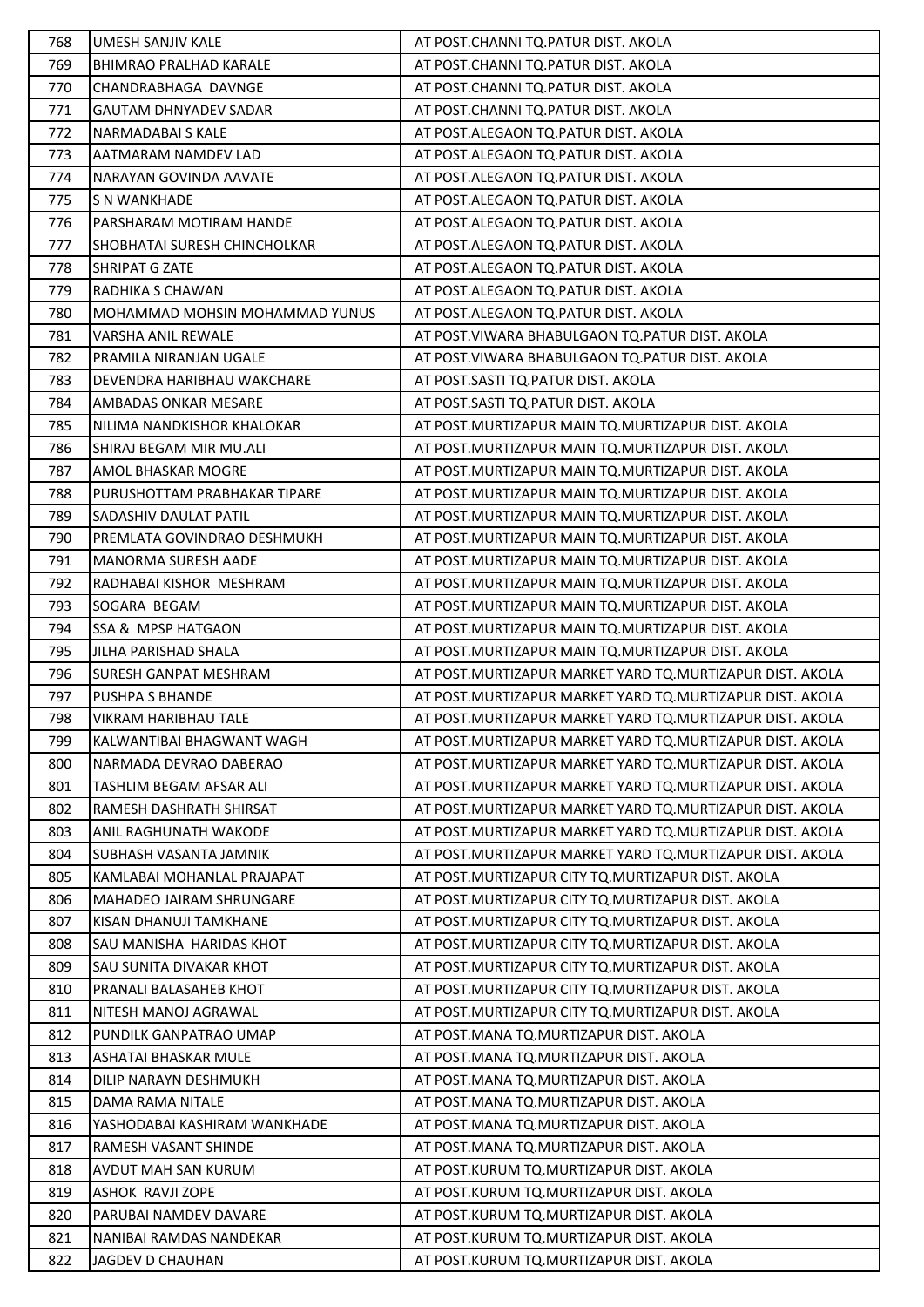| 768 | UMESH SANJIV KALE                   | AT POST.CHANNI TO.PATUR DIST. AKOLA                        |
|-----|-------------------------------------|------------------------------------------------------------|
| 769 | <b>BHIMRAO PRALHAD KARALE</b>       | AT POST.CHANNI TQ.PATUR DIST. AKOLA                        |
| 770 | CHANDRABHAGA DAVNGE                 | AT POST.CHANNI TQ.PATUR DIST. AKOLA                        |
| 771 | <b>GAUTAM DHNYADEV SADAR</b>        | AT POST.CHANNI TQ.PATUR DIST. AKOLA                        |
| 772 | NARMADABAI S KALE                   | AT POST.ALEGAON TQ.PATUR DIST. AKOLA                       |
| 773 | AATMARAM NAMDEV LAD                 | AT POST.ALEGAON TQ.PATUR DIST. AKOLA                       |
| 774 | NARAYAN GOVINDA AAVATE              | AT POST.ALEGAON TQ.PATUR DIST. AKOLA                       |
| 775 | <b>S N WANKHADE</b>                 | AT POST.ALEGAON TQ.PATUR DIST. AKOLA                       |
| 776 | PARSHARAM MOTIRAM HANDE             | AT POST.ALEGAON TQ.PATUR DIST. AKOLA                       |
| 777 | <b>SHOBHATAI SURESH CHINCHOLKAR</b> | AT POST.ALEGAON TQ.PATUR DIST. AKOLA                       |
| 778 | <b>SHRIPAT G ZATE</b>               | AT POST.ALEGAON TQ.PATUR DIST. AKOLA                       |
| 779 | RADHIKA S CHAWAN                    | AT POST.ALEGAON TQ.PATUR DIST. AKOLA                       |
| 780 | MOHAMMAD MOHSIN MOHAMMAD YUNUS      | AT POST.ALEGAON TQ.PATUR DIST. AKOLA                       |
| 781 | VARSHA ANIL REWALE                  | AT POST. VIWARA BHABULGAON TO. PATUR DIST. AKOLA           |
| 782 | PRAMILA NIRANJAN UGALE              | AT POST. VIWARA BHABULGAON TO. PATUR DIST. AKOLA           |
| 783 | DEVENDRA HARIBHAU WAKCHARE          | AT POST.SASTI TQ.PATUR DIST. AKOLA                         |
| 784 | <b>AMBADAS ONKAR MESARE</b>         | AT POST.SASTI TQ.PATUR DIST. AKOLA                         |
| 785 | NILIMA NANDKISHOR KHALOKAR          | AT POST. MURTIZAPUR MAIN TQ. MURTIZAPUR DIST. AKOLA        |
| 786 | SHIRAJ BEGAM MIR MU.ALI             | AT POST. MURTIZAPUR MAIN TQ. MURTIZAPUR DIST. AKOLA        |
| 787 | AMOL BHASKAR MOGRE                  | AT POST. MURTIZAPUR MAIN TO. MURTIZAPUR DIST. AKOLA        |
| 788 | PURUSHOTTAM PRABHAKAR TIPARE        | AT POST. MURTIZAPUR MAIN TQ. MURTIZAPUR DIST. AKOLA        |
| 789 | SADASHIV DAULAT PATIL               | AT POST. MURTIZAPUR MAIN TQ. MURTIZAPUR DIST. AKOLA        |
| 790 | PREMLATA GOVINDRAO DESHMUKH         | AT POST. MURTIZAPUR MAIN TQ. MURTIZAPUR DIST. AKOLA        |
| 791 | <b>MANORMA SURESH AADE</b>          | AT POST. MURTIZAPUR MAIN TO. MURTIZAPUR DIST. AKOLA        |
| 792 | RADHABAI KISHOR MESHRAM             | AT POST. MURTIZAPUR MAIN TQ. MURTIZAPUR DIST. AKOLA        |
| 793 | SOGARA BEGAM                        | AT POST. MURTIZAPUR MAIN TQ. MURTIZAPUR DIST. AKOLA        |
| 794 | <b>SSA &amp; MPSP HATGAON</b>       | AT POST. MURTIZAPUR MAIN TQ. MURTIZAPUR DIST. AKOLA        |
| 795 | JILHA PARISHAD SHALA                | AT POST. MURTIZAPUR MAIN TQ. MURTIZAPUR DIST. AKOLA        |
| 796 | SURESH GANPAT MESHRAM               | AT POST. MURTIZAPUR MARKET YARD TO. MURTIZAPUR DIST. AKOLA |
| 797 | <b>PUSHPA S BHANDE</b>              | AT POST. MURTIZAPUR MARKET YARD TO. MURTIZAPUR DIST. AKOLA |
| 798 | <b>VIKRAM HARIBHAU TALE</b>         | AT POST. MURTIZAPUR MARKET YARD TQ. MURTIZAPUR DIST. AKOLA |
| 799 | KALWANTIBAI BHAGWANT WAGH           | AT POST. MURTIZAPUR MARKET YARD TO. MURTIZAPUR DIST. AKOLA |
| 800 | NARMADA DEVRAO DABERAO              | AT POST. MURTIZAPUR MARKET YARD TO. MURTIZAPUR DIST. AKOLA |
| 801 | TASHLIM BEGAM AFSAR ALI             | AT POST. MURTIZAPUR MARKET YARD TQ. MURTIZAPUR DIST. AKOLA |
| 802 | RAMESH DASHRATH SHIRSAT             | AT POST. MURTIZAPUR MARKET YARD TO. MURTIZAPUR DIST. AKOLA |
| 803 | ANIL RAGHUNATH WAKODE               | AT POST.MURTIZAPUR MARKET YARD TO.MURTIZAPUR DIST. AKOLA   |
| 804 | SUBHASH VASANTA JAMNIK              | AT POST. MURTIZAPUR MARKET YARD TQ. MURTIZAPUR DIST. AKOLA |
| 805 | KAMLABAI MOHANLAL PRAJAPAT          | AT POST. MURTIZAPUR CITY TQ. MURTIZAPUR DIST. AKOLA        |
| 806 | MAHADEO JAIRAM SHRUNGARE            | AT POST. MURTIZAPUR CITY TO. MURTIZAPUR DIST. AKOLA        |
| 807 | KISAN DHANUJI TAMKHANE              | AT POST. MURTIZAPUR CITY TQ. MURTIZAPUR DIST. AKOLA        |
| 808 | SAU MANISHA HARIDAS KHOT            | AT POST. MURTIZAPUR CITY TQ. MURTIZAPUR DIST. AKOLA        |
| 809 | <b>SAU SUNITA DIVAKAR KHOT</b>      | AT POST. MURTIZAPUR CITY TO. MURTIZAPUR DIST. AKOLA        |
| 810 | PRANALI BALASAHEB KHOT              | AT POST. MURTIZAPUR CITY TO. MURTIZAPUR DIST. AKOLA        |
| 811 | NITESH MANOJ AGRAWAL                | AT POST. MURTIZAPUR CITY TO. MURTIZAPUR DIST. AKOLA        |
| 812 | PUNDILK GANPATRAO UMAP              | AT POST.MANA TQ.MURTIZAPUR DIST. AKOLA                     |
| 813 | ASHATAI BHASKAR MULE                | AT POST.MANA TQ.MURTIZAPUR DIST. AKOLA                     |
| 814 | DILIP NARAYN DESHMUKH               | AT POST.MANA TQ.MURTIZAPUR DIST. AKOLA                     |
| 815 | DAMA RAMA NITALE                    | AT POST.MANA TQ.MURTIZAPUR DIST. AKOLA                     |
| 816 | YASHODABAI KASHIRAM WANKHADE        | AT POST.MANA TQ.MURTIZAPUR DIST. AKOLA                     |
| 817 | <b>RAMESH VASANT SHINDE</b>         | AT POST.MANA TQ.MURTIZAPUR DIST. AKOLA                     |
| 818 | AVDUT MAH SAN KURUM                 | AT POST.KURUM TQ.MURTIZAPUR DIST. AKOLA                    |
| 819 | ASHOK RAVJI ZOPE                    | AT POST.KURUM TQ.MURTIZAPUR DIST. AKOLA                    |
| 820 | PARUBAI NAMDEV DAVARE               | AT POST.KURUM TQ.MURTIZAPUR DIST. AKOLA                    |
| 821 | NANIBAI RAMDAS NANDEKAR             | AT POST.KURUM TQ.MURTIZAPUR DIST. AKOLA                    |
| 822 | JAGDEV D CHAUHAN                    | AT POST.KURUM TQ.MURTIZAPUR DIST. AKOLA                    |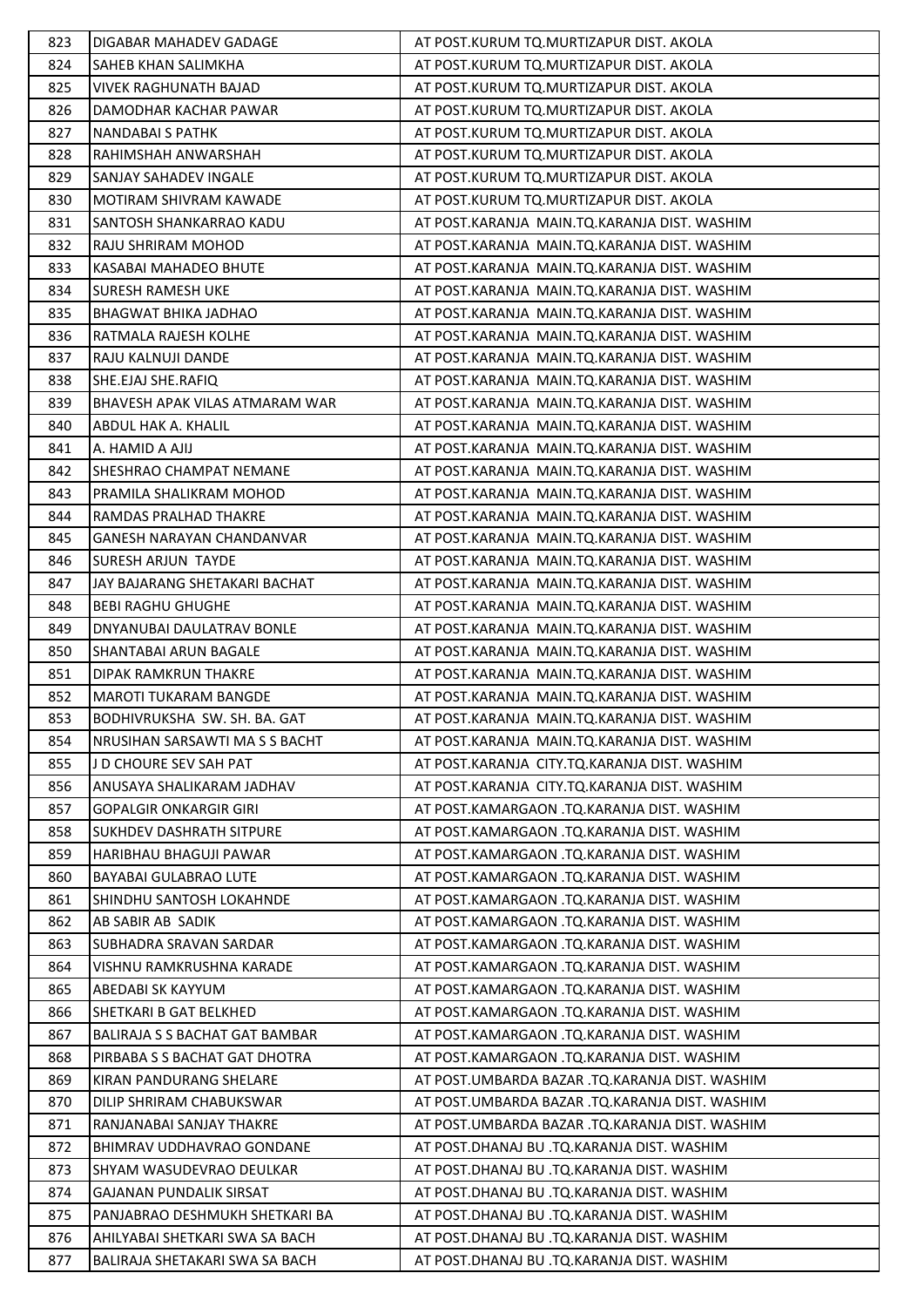| 823 | DIGABAR MAHADEV GADAGE                | AT POST.KURUM TO.MURTIZAPUR DIST. AKOLA        |
|-----|---------------------------------------|------------------------------------------------|
| 824 | SAHEB KHAN SALIMKHA                   | AT POST.KURUM TQ.MURTIZAPUR DIST. AKOLA        |
| 825 | <b>VIVEK RAGHUNATH BAJAD</b>          | AT POST.KURUM TQ.MURTIZAPUR DIST. AKOLA        |
| 826 | DAMODHAR KACHAR PAWAR                 | AT POST.KURUM TQ.MURTIZAPUR DIST. AKOLA        |
| 827 | <b>NANDABAI S PATHK</b>               | AT POST.KURUM TQ.MURTIZAPUR DIST. AKOLA        |
| 828 | RAHIMSHAH ANWARSHAH                   | AT POST.KURUM TQ.MURTIZAPUR DIST. AKOLA        |
| 829 | SANJAY SAHADEV INGALE                 | AT POST.KURUM TQ.MURTIZAPUR DIST. AKOLA        |
| 830 | MOTIRAM SHIVRAM KAWADE                | AT POST.KURUM TQ.MURTIZAPUR DIST. AKOLA        |
| 831 | SANTOSH SHANKARRAO KADU               | AT POST.KARANJA MAIN.TQ.KARANJA DIST. WASHIM   |
| 832 | RAJU SHRIRAM MOHOD                    | AT POST.KARANJA MAIN.TQ.KARANJA DIST. WASHIM   |
| 833 | KASABAI MAHADEO BHUTE                 | AT POST.KARANJA MAIN.TQ.KARANJA DIST. WASHIM   |
| 834 | SURESH RAMESH UKE                     | AT POST.KARANJA MAIN.TQ.KARANJA DIST. WASHIM   |
| 835 | BHAGWAT BHIKA JADHAO                  | AT POST.KARANJA MAIN.TQ.KARANJA DIST. WASHIM   |
| 836 | RATMALA RAJESH KOLHE                  | AT POST.KARANJA MAIN.TQ.KARANJA DIST. WASHIM   |
| 837 | RAJU KALNUJI DANDE                    | AT POST.KARANJA MAIN.TQ.KARANJA DIST. WASHIM   |
| 838 | SHE.EJAJ SHE.RAFIQ                    | AT POST.KARANJA MAIN.TQ.KARANJA DIST. WASHIM   |
| 839 | BHAVESH APAK VILAS ATMARAM WAR        | AT POST.KARANJA MAIN.TQ.KARANJA DIST. WASHIM   |
| 840 | ABDUL HAK A. KHALIL                   | AT POST.KARANJA MAIN.TQ.KARANJA DIST. WASHIM   |
| 841 | A. HAMID A AJIJ                       | AT POST.KARANJA MAIN.TQ.KARANJA DIST. WASHIM   |
| 842 | SHESHRAO CHAMPAT NEMANE               | AT POST.KARANJA MAIN.TQ.KARANJA DIST. WASHIM   |
| 843 | PRAMILA SHALIKRAM MOHOD               | AT POST.KARANJA MAIN.TQ.KARANJA DIST. WASHIM   |
| 844 | RAMDAS PRALHAD THAKRE                 | AT POST.KARANJA MAIN.TQ.KARANJA DIST. WASHIM   |
| 845 | <b>GANESH NARAYAN CHANDANVAR</b>      | AT POST.KARANJA MAIN.TQ.KARANJA DIST. WASHIM   |
| 846 | <b>SURESH ARJUN TAYDE</b>             | AT POST.KARANJA MAIN.TQ.KARANJA DIST. WASHIM   |
| 847 | JAY BAJARANG SHETAKARI BACHAT         | AT POST.KARANJA MAIN.TQ.KARANJA DIST. WASHIM   |
| 848 | <b>BEBI RAGHU GHUGHE</b>              | AT POST.KARANJA MAIN.TQ.KARANJA DIST. WASHIM   |
| 849 | DNYANUBAI DAULATRAV BONLE             | AT POST.KARANJA MAIN.TQ.KARANJA DIST. WASHIM   |
| 850 | SHANTABAI ARUN BAGALE                 | AT POST.KARANJA MAIN.TQ.KARANJA DIST. WASHIM   |
| 851 | DIPAK RAMKRUN THAKRE                  | AT POST.KARANJA MAIN.TQ.KARANJA DIST. WASHIM   |
| 852 | <b>MAROTI TUKARAM BANGDE</b>          | AT POST.KARANJA MAIN.TQ.KARANJA DIST. WASHIM   |
| 853 | BODHIVRUKSHA SW. SH. BA. GAT          | AT POST.KARANJA MAIN.TQ.KARANJA DIST. WASHIM   |
| 854 | NRUSIHAN SARSAWTI MASS BACHT          | AT POST.KARANJA MAIN.TO.KARANJA DIST. WASHIM   |
| 855 | J D CHOURE SEV SAH PAT                | AT POST.KARANJA CITY.TQ.KARANJA DIST. WASHIM   |
| 856 | ANUSAYA SHALIKARAM JADHAV             | AT POST.KARANJA CITY.TQ.KARANJA DIST. WASHIM   |
| 857 | <b>GOPALGIR ONKARGIR GIRI</b>         | AT POST.KAMARGAON .TQ.KARANJA DIST. WASHIM     |
| 858 | <b>SUKHDEV DASHRATH SITPURE</b>       | AT POST.KAMARGAON .TQ.KARANJA DIST. WASHIM     |
| 859 | HARIBHAU BHAGUJI PAWAR                | AT POST.KAMARGAON .TQ.KARANJA DIST. WASHIM     |
| 860 | <b>BAYABAI GULABRAO LUTE</b>          | AT POST.KAMARGAON .TO.KARANJA DIST. WASHIM     |
| 861 | SHINDHU SANTOSH LOKAHNDE              | AT POST.KAMARGAON .TQ.KARANJA DIST. WASHIM     |
| 862 | AB SABIR AB SADIK                     | AT POST.KAMARGAON .TQ.KARANJA DIST. WASHIM     |
| 863 | SUBHADRA SRAVAN SARDAR                | AT POST.KAMARGAON .TQ.KARANJA DIST. WASHIM     |
| 864 | VISHNU RAMKRUSHNA KARADE              | AT POST.KAMARGAON .TQ.KARANJA DIST. WASHIM     |
| 865 | ABEDABI SK KAYYUM                     | AT POST.KAMARGAON .TQ.KARANJA DIST. WASHIM     |
| 866 | SHETKARI B GAT BELKHED                | AT POST.KAMARGAON .TQ.KARANJA DIST. WASHIM     |
| 867 | <b>BALIRAJA S S BACHAT GAT BAMBAR</b> | AT POST.KAMARGAON .TQ.KARANJA DIST. WASHIM     |
| 868 | PIRBABA S S BACHAT GAT DHOTRA         | AT POST.KAMARGAON .TQ.KARANJA DIST. WASHIM     |
| 869 | KIRAN PANDURANG SHELARE               | AT POST.UMBARDA BAZAR .TQ.KARANJA DIST. WASHIM |
| 870 | DILIP SHRIRAM CHABUKSWAR              | AT POST.UMBARDA BAZAR .TQ.KARANJA DIST. WASHIM |
| 871 | RANJANABAI SANJAY THAKRE              | AT POST.UMBARDA BAZAR .TQ.KARANJA DIST. WASHIM |
| 872 | BHIMRAV UDDHAVRAO GONDANE             | AT POST.DHANAJ BU .TQ.KARANJA DIST. WASHIM     |
| 873 | SHYAM WASUDEVRAO DEULKAR              | AT POST.DHANAJ BU .TQ.KARANJA DIST. WASHIM     |
| 874 | <b>GAJANAN PUNDALIK SIRSAT</b>        | AT POST.DHANAJ BU .TQ.KARANJA DIST. WASHIM     |
| 875 | PANJABRAO DESHMUKH SHETKARI BA        | AT POST.DHANAJ BU .TQ.KARANJA DIST. WASHIM     |
| 876 | AHILYABAI SHETKARI SWA SA BACH        | AT POST.DHANAJ BU .TQ.KARANJA DIST. WASHIM     |
| 877 | BALIRAJA SHETAKARI SWA SA BACH        | AT POST.DHANAJ BU .TQ.KARANJA DIST. WASHIM     |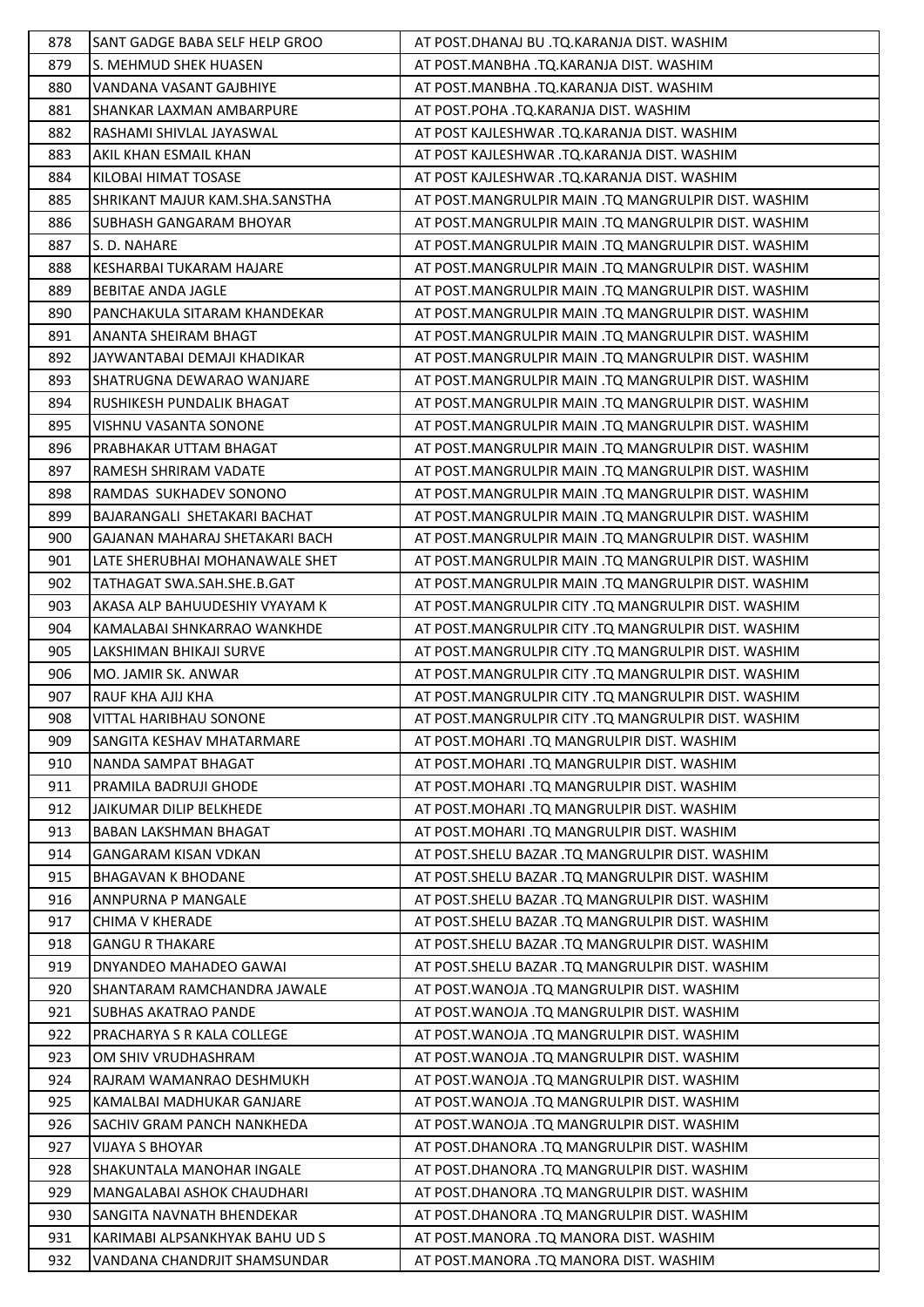| 878 | SANT GADGE BABA SELF HELP GROO  | AT POST.DHANAJ BU .TQ.KARANJA DIST. WASHIM           |
|-----|---------------------------------|------------------------------------------------------|
| 879 | S. MEHMUD SHEK HUASEN           | AT POST.MANBHA .TQ.KARANJA DIST. WASHIM              |
| 880 | VANDANA VASANT GAJBHIYE         | AT POST.MANBHA .TQ.KARANJA DIST. WASHIM              |
| 881 | <b>SHANKAR LAXMAN AMBARPURE</b> | AT POST.POHA .TQ.KARANJA DIST. WASHIM                |
| 882 | RASHAMI SHIVLAL JAYASWAL        | AT POST KAJLESHWAR .TQ.KARANJA DIST. WASHIM          |
| 883 | AKIL KHAN ESMAIL KHAN           | AT POST KAJLESHWAR .TQ.KARANJA DIST. WASHIM          |
| 884 | KILOBAI HIMAT TOSASE            | AT POST KAJLESHWAR .TQ.KARANJA DIST. WASHIM          |
| 885 | SHRIKANT MAJUR KAM.SHA.SANSTHA  | AT POST.MANGRULPIR MAIN .TQ MANGRULPIR DIST. WASHIM  |
| 886 | <b>SUBHASH GANGARAM BHOYAR</b>  | AT POST.MANGRULPIR MAIN .TQ MANGRULPIR DIST. WASHIM  |
| 887 | S. D. NAHARE                    | AT POST.MANGRULPIR MAIN .TQ MANGRULPIR DIST. WASHIM  |
| 888 | KESHARBAI TUKARAM HAJARE        | AT POST.MANGRULPIR MAIN .TQ MANGRULPIR DIST. WASHIM  |
| 889 | <b>BEBITAE ANDA JAGLE</b>       | AT POST.MANGRULPIR MAIN .TQ MANGRULPIR DIST. WASHIM  |
| 890 | PANCHAKULA SITARAM KHANDEKAR    | AT POST.MANGRULPIR MAIN .TQ MANGRULPIR DIST. WASHIM  |
| 891 | <b>ANANTA SHEIRAM BHAGT</b>     | AT POST.MANGRULPIR MAIN .TQ MANGRULPIR DIST. WASHIM  |
| 892 | JAYWANTABAI DEMAJI KHADIKAR     | AT POST.MANGRULPIR MAIN .TQ MANGRULPIR DIST. WASHIM  |
| 893 | SHATRUGNA DEWARAO WANJARE       | AT POST.MANGRULPIR MAIN .TQ MANGRULPIR DIST. WASHIM  |
| 894 | RUSHIKESH PUNDALIK BHAGAT       | AT POST.MANGRULPIR MAIN .TQ MANGRULPIR DIST. WASHIM  |
| 895 | <b>VISHNU VASANTA SONONE</b>    | AT POST.MANGRULPIR MAIN .TQ MANGRULPIR DIST. WASHIM  |
| 896 | PRABHAKAR UTTAM BHAGAT          | AT POST.MANGRULPIR MAIN .TQ MANGRULPIR DIST. WASHIM  |
| 897 | RAMESH SHRIRAM VADATE           | AT POST.MANGRULPIR MAIN .TQ MANGRULPIR DIST. WASHIM  |
| 898 | RAMDAS SUKHADEV SONONO          | AT POST.MANGRULPIR MAIN .TQ MANGRULPIR DIST. WASHIM  |
| 899 | BAJARANGALI SHETAKARI BACHAT    | AT POST.MANGRULPIR MAIN .TQ MANGRULPIR DIST. WASHIM  |
| 900 | GAJANAN MAHARAJ SHETAKARI BACH  | AT POST. MANGRULPIR MAIN .TQ MANGRULPIR DIST. WASHIM |
| 901 | LATE SHERUBHAI MOHANAWALE SHET  | AT POST.MANGRULPIR MAIN .TQ MANGRULPIR DIST. WASHIM  |
| 902 | TATHAGAT SWA.SAH.SHE.B.GAT      | AT POST.MANGRULPIR MAIN .TQ MANGRULPIR DIST. WASHIM  |
| 903 | AKASA ALP BAHUUDESHIY VYAYAM K  | AT POST.MANGRULPIR CITY .TQ MANGRULPIR DIST. WASHIM  |
| 904 | KAMALABAI SHNKARRAO WANKHDE     | AT POST.MANGRULPIR CITY .TQ MANGRULPIR DIST. WASHIM  |
| 905 | LAKSHIMAN BHIKAJI SURVE         | AT POST.MANGRULPIR CITY .TQ MANGRULPIR DIST. WASHIM  |
| 906 | MO. JAMIR SK. ANWAR             | AT POST.MANGRULPIR CITY .TQ MANGRULPIR DIST. WASHIM  |
| 907 | <b>RAUF KHA AJIJ KHA</b>        | AT POST.MANGRULPIR CITY .TQ MANGRULPIR DIST. WASHIM  |
| 908 | <b>VITTAL HARIBHAU SONONE</b>   | AT POST.MANGRULPIR CITY .TQ MANGRULPIR DIST. WASHIM  |
| 909 | SANGITA KESHAV MHATARMARE       | AT POST. MOHARI .TQ MANGRULPIR DIST. WASHIM          |
| 910 | NANDA SAMPAT BHAGAT             | AT POST. MOHARI .TQ MANGRULPIR DIST. WASHIM          |
| 911 | PRAMILA BADRUJI GHODE           | AT POST.MOHARI .TQ MANGRULPIR DIST. WASHIM           |
| 912 | JAIKUMAR DILIP BELKHEDE         | AT POST.MOHARI .TQ MANGRULPIR DIST. WASHIM           |
| 913 | BABAN LAKSHMAN BHAGAT           | AT POST. MOHARI .TQ MANGRULPIR DIST. WASHIM          |
| 914 | <b>GANGARAM KISAN VDKAN</b>     | AT POST.SHELU BAZAR .TQ MANGRULPIR DIST. WASHIM      |
| 915 | <b>BHAGAVAN K BHODANE</b>       | AT POST. SHELU BAZAR .TO MANGRULPIR DIST. WASHIM     |
| 916 | ANNPURNA P MANGALE              | AT POST. SHELU BAZAR .TQ MANGRULPIR DIST. WASHIM     |
| 917 | CHIMA V KHERADE                 | AT POST.SHELU BAZAR .TQ MANGRULPIR DIST. WASHIM      |
| 918 | <b>GANGU R THAKARE</b>          | AT POST.SHELU BAZAR .TQ MANGRULPIR DIST. WASHIM      |
| 919 | DNYANDEO MAHADEO GAWAI          | AT POST.SHELU BAZAR .TQ MANGRULPIR DIST. WASHIM      |
| 920 | SHANTARAM RAMCHANDRA JAWALE     | AT POST. WANOJA .TQ MANGRULPIR DIST. WASHIM          |
| 921 | <b>SUBHAS AKATRAO PANDE</b>     | AT POST. WANOJA .TQ MANGRULPIR DIST. WASHIM          |
| 922 | PRACHARYA S R KALA COLLEGE      | AT POST. WANOJA .TQ MANGRULPIR DIST. WASHIM          |
| 923 | OM SHIV VRUDHASHRAM             | AT POST. WANOJA .TQ MANGRULPIR DIST. WASHIM          |
| 924 | RAJRAM WAMANRAO DESHMUKH        | AT POST. WANOJA .TQ MANGRULPIR DIST. WASHIM          |
| 925 | KAMALBAI MADHUKAR GANJARE       | AT POST. WANOJA .TQ MANGRULPIR DIST. WASHIM          |
| 926 | SACHIV GRAM PANCH NANKHEDA      | AT POST. WANOJA .TQ MANGRULPIR DIST. WASHIM          |
| 927 | VIJAYA S BHOYAR                 | AT POST.DHANORA .TQ MANGRULPIR DIST. WASHIM          |
| 928 | SHAKUNTALA MANOHAR INGALE       | AT POST.DHANORA .TQ MANGRULPIR DIST. WASHIM          |
| 929 | MANGALABAI ASHOK CHAUDHARI      | AT POST.DHANORA .TQ MANGRULPIR DIST. WASHIM          |
| 930 | SANGITA NAVNATH BHENDEKAR       | AT POST.DHANORA .TQ MANGRULPIR DIST. WASHIM          |
| 931 | KARIMABI ALPSANKHYAK BAHU UD S  | AT POST.MANORA .TQ MANORA DIST. WASHIM               |
| 932 | VANDANA CHANDRJIT SHAMSUNDAR    | AT POST.MANORA .TQ MANORA DIST. WASHIM               |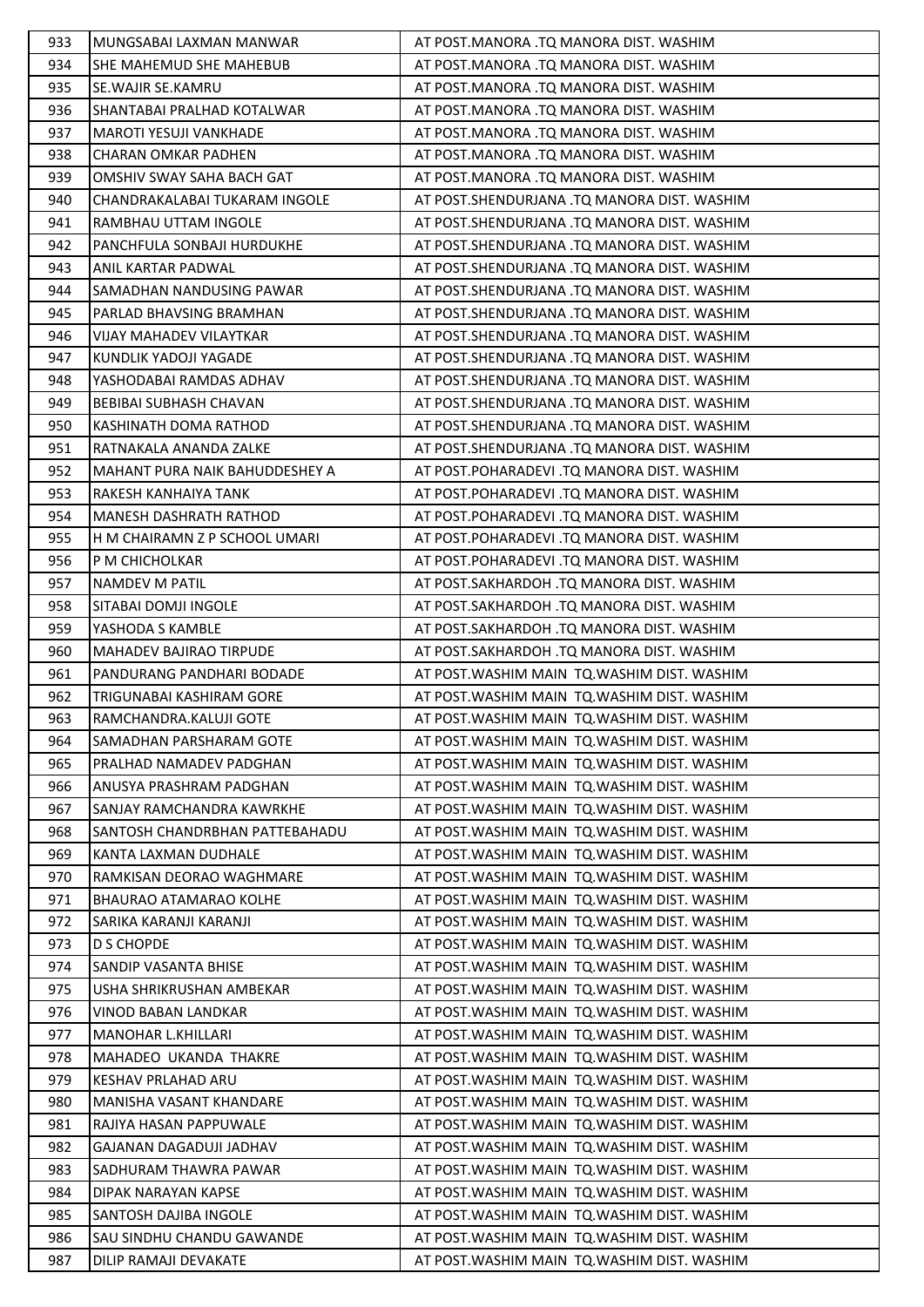| 933 | MUNGSABAI LAXMAN MANWAR        | AT POST.MANORA .TQ MANORA DIST. WASHIM       |
|-----|--------------------------------|----------------------------------------------|
| 934 | SHE MAHEMUD SHE MAHEBUB        | AT POST.MANORA .TQ MANORA DIST. WASHIM       |
| 935 | SE. WAJIR SE. KAMRU            | AT POST.MANORA .TQ MANORA DIST. WASHIM       |
| 936 | SHANTABAI PRALHAD KOTALWAR     | AT POST.MANORA .TQ MANORA DIST. WASHIM       |
| 937 | <b>MAROTI YESUJI VANKHADE</b>  | AT POST.MANORA .TQ MANORA DIST. WASHIM       |
| 938 | CHARAN OMKAR PADHEN            | AT POST.MANORA .TQ MANORA DIST. WASHIM       |
| 939 | OMSHIV SWAY SAHA BACH GAT      | AT POST.MANORA .TQ MANORA DIST. WASHIM       |
| 940 | CHANDRAKALABAI TUKARAM INGOLE  | AT POST.SHENDURJANA .TQ MANORA DIST. WASHIM  |
| 941 | RAMBHAU UTTAM INGOLE           | AT POST.SHENDURJANA .TQ MANORA DIST. WASHIM  |
| 942 | PANCHFULA SONBAJI HURDUKHE     | AT POST.SHENDURJANA .TQ MANORA DIST. WASHIM  |
| 943 | ANIL KARTAR PADWAL             | AT POST.SHENDURJANA .TQ MANORA DIST. WASHIM  |
| 944 | SAMADHAN NANDUSING PAWAR       | AT POST.SHENDURJANA .TQ MANORA DIST. WASHIM  |
| 945 | PARLAD BHAVSING BRAMHAN        | AT POST.SHENDURJANA .TQ MANORA DIST. WASHIM  |
| 946 | <b>VIJAY MAHADEV VILAYTKAR</b> | AT POST.SHENDURJANA .TQ MANORA DIST. WASHIM  |
| 947 | KUNDLIK YADOJI YAGADE          | AT POST.SHENDURJANA .TQ MANORA DIST. WASHIM  |
| 948 | YASHODABAI RAMDAS ADHAV        | AT POST. SHENDURJANA .TQ MANORA DIST. WASHIM |
| 949 | <b>BEBIBAI SUBHASH CHAVAN</b>  | AT POST. SHENDURJANA .TQ MANORA DIST. WASHIM |
| 950 | KASHINATH DOMA RATHOD          | AT POST.SHENDURJANA .TQ MANORA DIST. WASHIM  |
| 951 | RATNAKALA ANANDA ZALKE         | AT POST.SHENDURJANA .TQ MANORA DIST. WASHIM  |
| 952 | MAHANT PURA NAIK BAHUDDESHEY A | AT POST.POHARADEVI .TQ MANORA DIST. WASHIM   |
| 953 | RAKESH KANHAIYA TANK           | AT POST.POHARADEVI .TQ MANORA DIST. WASHIM   |
| 954 | <b>MANESH DASHRATH RATHOD</b>  | AT POST.POHARADEVI .TQ MANORA DIST. WASHIM   |
| 955 | H M CHAIRAMN Z P SCHOOL UMARI  | AT POST.POHARADEVI .TQ MANORA DIST. WASHIM   |
| 956 | P M CHICHOLKAR                 | AT POST.POHARADEVI .TQ MANORA DIST. WASHIM   |
| 957 | <b>NAMDEV M PATIL</b>          | AT POST.SAKHARDOH .TQ MANORA DIST. WASHIM    |
| 958 | SITABAI DOMJI INGOLE           | AT POST.SAKHARDOH .TQ MANORA DIST. WASHIM    |
| 959 | YASHODA S KAMBLE               | AT POST.SAKHARDOH .TQ MANORA DIST. WASHIM    |
| 960 | <b>MAHADEV BAJIRAO TIRPUDE</b> | AT POST.SAKHARDOH .TQ MANORA DIST. WASHIM    |
| 961 | PANDURANG PANDHARI BODADE      | AT POST. WASHIM MAIN TO. WASHIM DIST. WASHIM |
| 962 | TRIGUNABAI KASHIRAM GORE       | AT POST. WASHIM MAIN TQ. WASHIM DIST. WASHIM |
| 963 | RAMCHANDRA.KALUJI GOTE         | AT POST. WASHIM MAIN TQ. WASHIM DIST. WASHIM |
| 964 | SAMADHAN PARSHARAM GOTE        | AT POST. WASHIM MAIN TQ. WASHIM DIST. WASHIM |
| 965 | PRALHAD NAMADEV PADGHAN        | AT POST. WASHIM MAIN TQ. WASHIM DIST. WASHIM |
| 966 | ANUSYA PRASHRAM PADGHAN        | AT POST. WASHIM MAIN TQ. WASHIM DIST. WASHIM |
| 967 | SANJAY RAMCHANDRA KAWRKHE      | AT POST. WASHIM MAIN TQ. WASHIM DIST. WASHIM |
| 968 | SANTOSH CHANDRBHAN PATTEBAHADU | AT POST.WASHIM MAIN TQ.WASHIM DIST. WASHIM   |
| 969 | KANTA LAXMAN DUDHALE           | AT POST. WASHIM MAIN TQ. WASHIM DIST. WASHIM |
| 970 | RAMKISAN DEORAO WAGHMARE       | AT POST. WASHIM MAIN TO. WASHIM DIST. WASHIM |
| 971 | <b>BHAURAO ATAMARAO KOLHE</b>  | AT POST. WASHIM MAIN TQ. WASHIM DIST. WASHIM |
| 972 | SARIKA KARANJI KARANJI         | AT POST. WASHIM MAIN TO. WASHIM DIST. WASHIM |
| 973 | <b>D S CHOPDE</b>              | AT POST. WASHIM MAIN TO. WASHIM DIST. WASHIM |
| 974 | SANDIP VASANTA BHISE           | AT POST. WASHIM MAIN TO. WASHIM DIST. WASHIM |
| 975 | USHA SHRIKRUSHAN AMBEKAR       | AT POST. WASHIM MAIN TO. WASHIM DIST. WASHIM |
| 976 | VINOD BABAN LANDKAR            | AT POST. WASHIM MAIN TQ. WASHIM DIST. WASHIM |
| 977 | MANOHAR L.KHILLARI             | AT POST. WASHIM MAIN TO. WASHIM DIST. WASHIM |
| 978 | MAHADEO UKANDA THAKRE          | AT POST. WASHIM MAIN TQ. WASHIM DIST. WASHIM |
| 979 | KESHAV PRLAHAD ARU             | AT POST. WASHIM MAIN TQ. WASHIM DIST. WASHIM |
| 980 | MANISHA VASANT KHANDARE        | AT POST. WASHIM MAIN TQ. WASHIM DIST. WASHIM |
| 981 | RAJIYA HASAN PAPPUWALE         | AT POST. WASHIM MAIN TO. WASHIM DIST. WASHIM |
| 982 | GAJANAN DAGADUJI JADHAV        | AT POST. WASHIM MAIN TO. WASHIM DIST. WASHIM |
| 983 | SADHURAM THAWRA PAWAR          | AT POST. WASHIM MAIN TQ. WASHIM DIST. WASHIM |
| 984 | DIPAK NARAYAN KAPSE            | AT POST. WASHIM MAIN TQ. WASHIM DIST. WASHIM |
| 985 | SANTOSH DAJIBA INGOLE          | AT POST. WASHIM MAIN TQ. WASHIM DIST. WASHIM |
| 986 | SAU SINDHU CHANDU GAWANDE      | AT POST. WASHIM MAIN TO. WASHIM DIST. WASHIM |
| 987 | DILIP RAMAJI DEVAKATE          | AT POST. WASHIM MAIN TO. WASHIM DIST. WASHIM |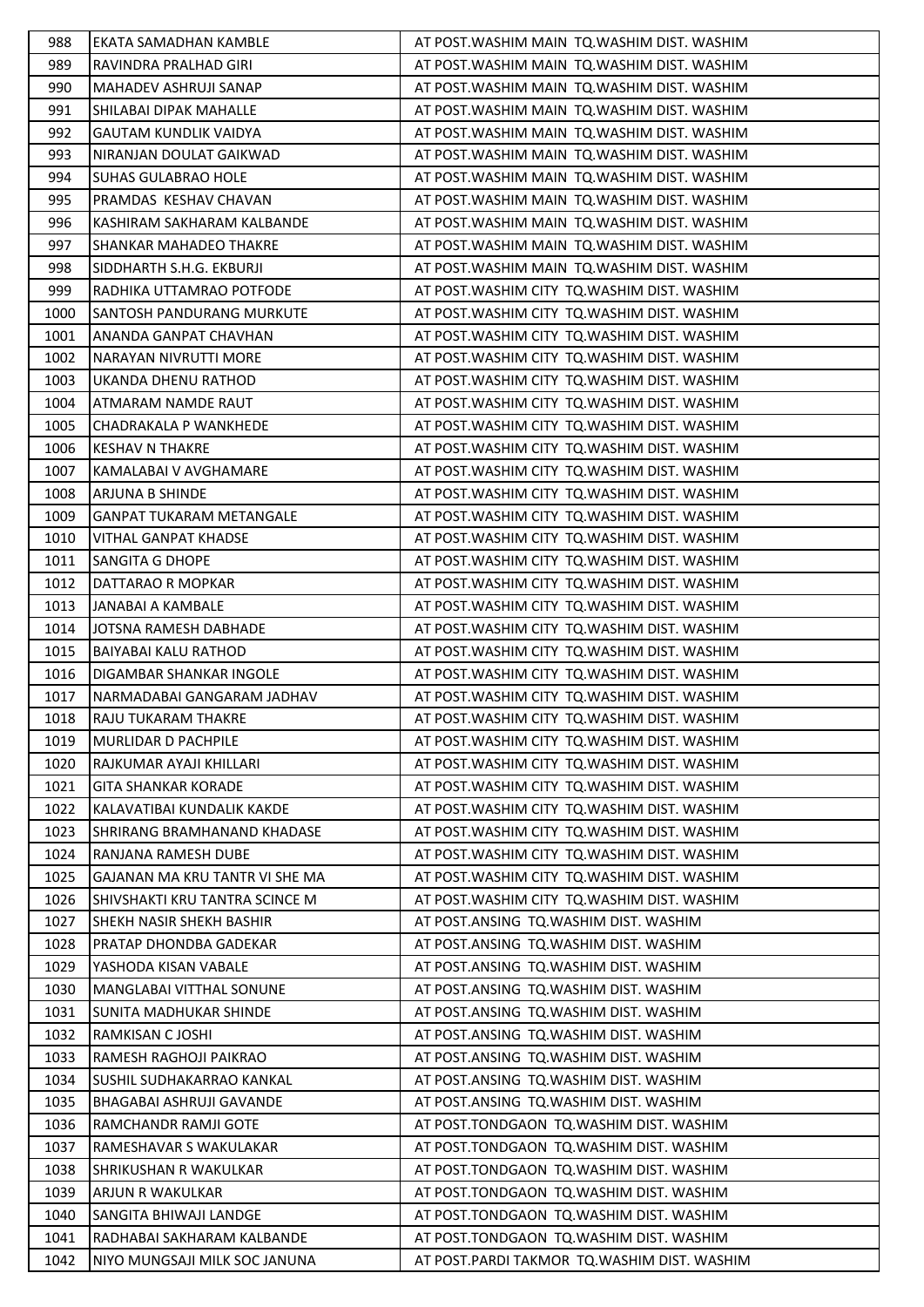| 988  | EKATA SAMADHAN KAMBLE              | AT POST. WASHIM MAIN TQ. WASHIM DIST. WASHIM |
|------|------------------------------------|----------------------------------------------|
| 989  | RAVINDRA PRALHAD GIRI              | AT POST. WASHIM MAIN TQ. WASHIM DIST. WASHIM |
| 990  | MAHADEV ASHRUJI SANAP              | AT POST. WASHIM MAIN TO. WASHIM DIST. WASHIM |
| 991  | SHILABAI DIPAK MAHALLE             | AT POST. WASHIM MAIN TQ. WASHIM DIST. WASHIM |
| 992  | <b>GAUTAM KUNDLIK VAIDYA</b>       | AT POST. WASHIM MAIN TQ. WASHIM DIST. WASHIM |
| 993  | NIRANJAN DOULAT GAIKWAD            | AT POST. WASHIM MAIN TQ. WASHIM DIST. WASHIM |
| 994  | <b>SUHAS GULABRAO HOLE</b>         | AT POST. WASHIM MAIN TQ. WASHIM DIST. WASHIM |
| 995  | PRAMDAS KESHAV CHAVAN              | AT POST. WASHIM MAIN TO. WASHIM DIST. WASHIM |
| 996  | KASHIRAM SAKHARAM KALBANDE         | AT POST. WASHIM MAIN TQ. WASHIM DIST. WASHIM |
| 997  | SHANKAR MAHADEO THAKRE             | AT POST. WASHIM MAIN TO. WASHIM DIST. WASHIM |
| 998  | SIDDHARTH S.H.G. EKBURJI           | AT POST. WASHIM MAIN TQ. WASHIM DIST. WASHIM |
| 999  | RADHIKA UTTAMRAO POTFODE           | AT POST. WASHIM CITY TQ. WASHIM DIST. WASHIM |
| 1000 | SANTOSH PANDURANG MURKUTE          | AT POST. WASHIM CITY TO. WASHIM DIST. WASHIM |
| 1001 | ANANDA GANPAT CHAVHAN              | AT POST. WASHIM CITY TQ. WASHIM DIST. WASHIM |
| 1002 | NARAYAN NIVRUTTI MORE              | AT POST. WASHIM CITY TO. WASHIM DIST. WASHIM |
| 1003 | UKANDA DHENU RATHOD                | AT POST. WASHIM CITY TQ. WASHIM DIST. WASHIM |
| 1004 | ATMARAM NAMDE RAUT                 | AT POST. WASHIM CITY TO. WASHIM DIST. WASHIM |
| 1005 | CHADRAKALA P WANKHEDE              | AT POST. WASHIM CITY TO. WASHIM DIST. WASHIM |
| 1006 | <b>KESHAV N THAKRE</b>             | AT POST. WASHIM CITY TQ. WASHIM DIST. WASHIM |
| 1007 | KAMALABAI V AVGHAMARE              | AT POST. WASHIM CITY TQ. WASHIM DIST. WASHIM |
| 1008 | <b>ARJUNA B SHINDE</b>             | AT POST. WASHIM CITY TQ. WASHIM DIST. WASHIM |
| 1009 | <b>GANPAT TUKARAM METANGALE</b>    | AT POST. WASHIM CITY TO. WASHIM DIST. WASHIM |
| 1010 | <b>VITHAL GANPAT KHADSE</b>        | AT POST. WASHIM CITY TQ. WASHIM DIST. WASHIM |
| 1011 | <b>SANGITA G DHOPE</b>             | AT POST. WASHIM CITY TQ. WASHIM DIST. WASHIM |
| 1012 | DATTARAO R MOPKAR                  | AT POST. WASHIM CITY TO. WASHIM DIST. WASHIM |
| 1013 | JANABAI A KAMBALE                  | AT POST. WASHIM CITY TQ. WASHIM DIST. WASHIM |
| 1014 | JOTSNA RAMESH DABHADE              | AT POST. WASHIM CITY TQ. WASHIM DIST. WASHIM |
| 1015 | <b>BAIYABAI KALU RATHOD</b>        | AT POST. WASHIM CITY TO. WASHIM DIST. WASHIM |
| 1016 | DIGAMBAR SHANKAR INGOLE            | AT POST. WASHIM CITY TO. WASHIM DIST. WASHIM |
| 1017 | NARMADABAI GANGARAM JADHAV         | AT POST. WASHIM CITY TQ. WASHIM DIST. WASHIM |
| 1018 | <b>RAJU TUKARAM THAKRE</b>         | AT POST. WASHIM CITY TQ. WASHIM DIST. WASHIM |
| 1019 | <b>MURLIDAR D PACHPILE</b>         | AT POST. WASHIM CITY TQ. WASHIM DIST. WASHIM |
| 1020 | RAJKUMAR AYAJI KHILLARI            | AT POST. WASHIM CITY TQ. WASHIM DIST. WASHIM |
| 1021 | <b>GITA SHANKAR KORADE</b>         | AT POST. WASHIM CITY TQ. WASHIM DIST. WASHIM |
| 1022 | KALAVATIBAI KUNDALIK KAKDE         | AT POST. WASHIM CITY TO. WASHIM DIST. WASHIM |
| 1023 | <b>SHRIRANG BRAMHANAND KHADASE</b> | AT POST. WASHIM CITY TQ. WASHIM DIST. WASHIM |
| 1024 | RANJANA RAMESH DUBE                | AT POST. WASHIM CITY TO. WASHIM DIST. WASHIM |
| 1025 | GAJANAN MA KRU TANTR VI SHE MA     | AT POST. WASHIM CITY TQ. WASHIM DIST. WASHIM |
| 1026 | SHIVSHAKTI KRU TANTRA SCINCE M     | AT POST. WASHIM CITY TO. WASHIM DIST. WASHIM |
| 1027 | <b>SHEKH NASIR SHEKH BASHIR</b>    | AT POST.ANSING TQ.WASHIM DIST. WASHIM        |
| 1028 | <b>PRATAP DHONDBA GADEKAR</b>      | AT POST.ANSING TO.WASHIM DIST. WASHIM        |
| 1029 | YASHODA KISAN VABALE               | AT POST.ANSING TQ.WASHIM DIST. WASHIM        |
| 1030 | MANGLABAI VITTHAL SONUNE           | AT POST.ANSING TQ.WASHIM DIST. WASHIM        |
| 1031 | SUNITA MADHUKAR SHINDE             | AT POST.ANSING TQ.WASHIM DIST. WASHIM        |
| 1032 | RAMKISAN C JOSHI                   | AT POST.ANSING TQ.WASHIM DIST. WASHIM        |
| 1033 | RAMESH RAGHOJI PAIKRAO             | AT POST.ANSING TQ.WASHIM DIST. WASHIM        |
| 1034 | SUSHIL SUDHAKARRAO KANKAL          | AT POST.ANSING TQ.WASHIM DIST. WASHIM        |
| 1035 | <b>BHAGABAI ASHRUJI GAVANDE</b>    | AT POST.ANSING TQ.WASHIM DIST. WASHIM        |
| 1036 | RAMCHANDR RAMJI GOTE               | AT POST.TONDGAON TQ.WASHIM DIST. WASHIM      |
| 1037 | RAMESHAVAR S WAKULAKAR             | AT POST.TONDGAON TQ.WASHIM DIST. WASHIM      |
| 1038 | SHRIKUSHAN R WAKULKAR              | AT POST.TONDGAON TQ.WASHIM DIST. WASHIM      |
| 1039 | ARJUN R WAKULKAR                   | AT POST.TONDGAON TQ.WASHIM DIST. WASHIM      |
| 1040 | SANGITA BHIWAJI LANDGE             | AT POST.TONDGAON TQ.WASHIM DIST. WASHIM      |
| 1041 | RADHABAI SAKHARAM KALBANDE         | AT POST.TONDGAON TQ.WASHIM DIST. WASHIM      |
| 1042 | NIYO MUNGSAJI MILK SOC JANUNA      | AT POST.PARDI TAKMOR TQ.WASHIM DIST. WASHIM  |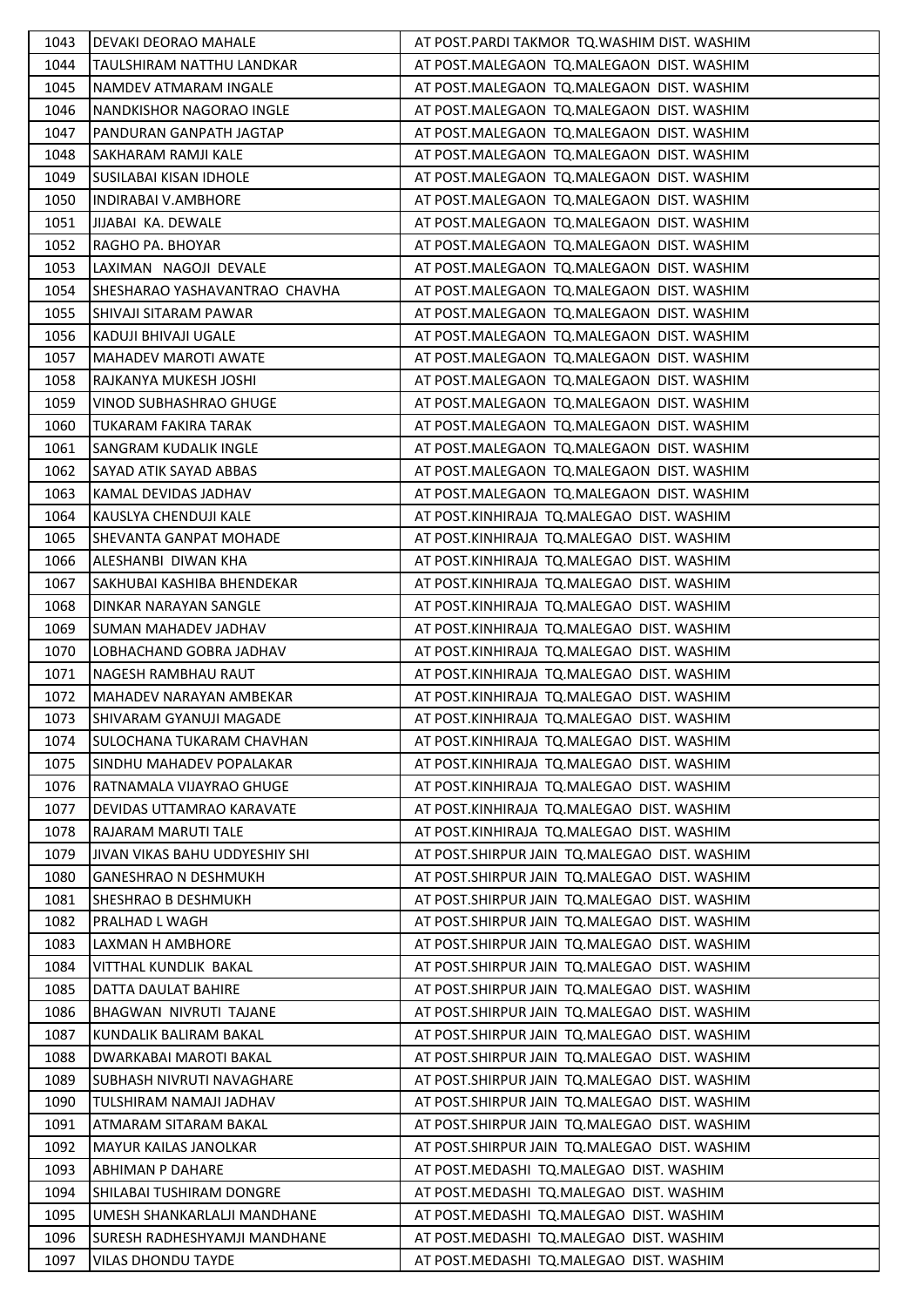| 1043 | <b>DEVAKI DEORAO MAHALE</b>          | AT POST.PARDI TAKMOR TQ.WASHIM DIST. WASHIM    |
|------|--------------------------------------|------------------------------------------------|
| 1044 | TAULSHIRAM NATTHU LANDKAR            | AT POST.MALEGAON TQ.MALEGAON DIST. WASHIM      |
| 1045 | NAMDEV ATMARAM INGALE                | AT POST.MALEGAON TQ.MALEGAON DIST. WASHIM      |
| 1046 | NANDKISHOR NAGORAO INGLE             | AT POST.MALEGAON TQ.MALEGAON DIST. WASHIM      |
| 1047 | PANDURAN GANPATH JAGTAP              | AT POST.MALEGAON TQ.MALEGAON DIST. WASHIM      |
| 1048 | SAKHARAM RAMJI KALE                  | AT POST.MALEGAON TQ.MALEGAON DIST. WASHIM      |
| 1049 | SUSILABAI KISAN IDHOLE               | AT POST.MALEGAON TQ.MALEGAON DIST. WASHIM      |
| 1050 | <b>INDIRABAI V.AMBHORE</b>           | AT POST.MALEGAON TQ.MALEGAON DIST. WASHIM      |
| 1051 | JIJABAI KA. DEWALE                   | AT POST.MALEGAON TQ.MALEGAON DIST. WASHIM      |
| 1052 | RAGHO PA. BHOYAR                     | AT POST.MALEGAON TQ.MALEGAON DIST. WASHIM      |
| 1053 | LAXIMAN NAGOJI DEVALE                | AT POST.MALEGAON TQ.MALEGAON DIST. WASHIM      |
| 1054 | <b>SHESHARAO YASHAVANTRAO CHAVHA</b> | AT POST.MALEGAON TQ.MALEGAON DIST. WASHIM      |
| 1055 | SHIVAJI SITARAM PAWAR                | AT POST.MALEGAON TQ.MALEGAON DIST. WASHIM      |
| 1056 | KADUJI BHIVAJI UGALE                 | AT POST.MALEGAON TQ.MALEGAON DIST. WASHIM      |
| 1057 | <b>MAHADEV MAROTI AWATE</b>          | AT POST.MALEGAON TQ.MALEGAON DIST. WASHIM      |
| 1058 | RAJKANYA MUKESH JOSHI                | AT POST.MALEGAON TQ.MALEGAON DIST. WASHIM      |
| 1059 | <b>VINOD SUBHASHRAO GHUGE</b>        | AT POST.MALEGAON TQ.MALEGAON DIST. WASHIM      |
| 1060 | <b>TUKARAM FAKIRA TARAK</b>          | AT POST.MALEGAON TQ.MALEGAON DIST. WASHIM      |
| 1061 | <b>SANGRAM KUDALIK INGLE</b>         | AT POST.MALEGAON TQ.MALEGAON DIST. WASHIM      |
| 1062 | SAYAD ATIK SAYAD ABBAS               | AT POST.MALEGAON TQ.MALEGAON DIST. WASHIM      |
| 1063 | KAMAL DEVIDAS JADHAV                 | AT POST.MALEGAON TQ.MALEGAON DIST. WASHIM      |
| 1064 | KAUSLYA CHENDUJI KALE                | AT POST.KINHIRAJA TQ.MALEGAO DIST. WASHIM      |
| 1065 | <b>SHEVANTA GANPAT MOHADE</b>        | AT POST.KINHIRAJA TQ.MALEGAO DIST. WASHIM      |
| 1066 | ALESHANBI DIWAN KHA                  | AT POST.KINHIRAJA TQ.MALEGAO DIST. WASHIM      |
| 1067 | SAKHUBAI KASHIBA BHENDEKAR           | AT POST.KINHIRAJA TQ.MALEGAO DIST. WASHIM      |
| 1068 | DINKAR NARAYAN SANGLE                | AT POST.KINHIRAJA TQ.MALEGAO DIST. WASHIM      |
| 1069 | <b>SUMAN MAHADEV JADHAV</b>          | AT POST.KINHIRAJA TQ.MALEGAO DIST. WASHIM      |
| 1070 | LOBHACHAND GOBRA JADHAV              | AT POST.KINHIRAJA TQ.MALEGAO DIST. WASHIM      |
| 1071 | NAGESH RAMBHAU RAUT                  | AT POST.KINHIRAJA TQ.MALEGAO DIST. WASHIM      |
| 1072 | MAHADEV NARAYAN AMBEKAR              | AT POST.KINHIRAJA TQ.MALEGAO DIST. WASHIM      |
| 1073 | <b>SHIVARAM GYANUJI MAGADE</b>       | AT POST.KINHIRAJA TQ.MALEGAO DIST. WASHIM      |
| 1074 | SULOCHANA TUKARAM CHAVHAN            | AT POST.KINHIRAJA TQ.MALEGAO DIST. WASHIM      |
| 1075 | <b>SINDHU MAHADEV POPALAKAR</b>      | AT POST.KINHIRAJA TQ.MALEGAO DIST. WASHIM      |
| 1076 | RATNAMALA VIJAYRAO GHUGE             | AT POST.KINHIRAJA TQ.MALEGAO DIST. WASHIM      |
| 1077 | DEVIDAS UTTAMRAO KARAVATE            | AT POST.KINHIRAJA TQ.MALEGAO DIST. WASHIM      |
| 1078 | RAJARAM MARUTI TALE                  | AT POST.KINHIRAJA TQ.MALEGAO DIST. WASHIM      |
| 1079 | JIVAN VIKAS BAHU UDDYESHIY SHI       | AT POST. SHIRPUR JAIN TQ. MALEGAO DIST. WASHIM |
| 1080 | <b>GANESHRAO N DESHMUKH</b>          | AT POST.SHIRPUR JAIN TQ.MALEGAO DIST. WASHIM   |
| 1081 | SHESHRAO B DESHMUKH                  | AT POST.SHIRPUR JAIN TQ.MALEGAO DIST. WASHIM   |
| 1082 | PRALHAD L WAGH                       | AT POST.SHIRPUR JAIN TQ.MALEGAO DIST. WASHIM   |
| 1083 | LAXMAN H AMBHORE                     | AT POST.SHIRPUR JAIN TQ.MALEGAO DIST. WASHIM   |
| 1084 | VITTHAL KUNDLIK BAKAL                | AT POST. SHIRPUR JAIN TO. MALEGAO DIST. WASHIM |
| 1085 | DATTA DAULAT BAHIRE                  | AT POST.SHIRPUR JAIN TQ.MALEGAO DIST. WASHIM   |
| 1086 | BHAGWAN NIVRUTI TAJANE               | AT POST. SHIRPUR JAIN TQ. MALEGAO DIST. WASHIM |
| 1087 | KUNDALIK BALIRAM BAKAL               | AT POST. SHIRPUR JAIN TO. MALEGAO DIST. WASHIM |
| 1088 | <b>DWARKABAI MAROTI BAKAL</b>        | AT POST.SHIRPUR JAIN TQ.MALEGAO DIST. WASHIM   |
| 1089 | SUBHASH NIVRUTI NAVAGHARE            | AT POST.SHIRPUR JAIN TQ.MALEGAO DIST. WASHIM   |
| 1090 | TULSHIRAM NAMAJI JADHAV              | AT POST.SHIRPUR JAIN TQ.MALEGAO DIST. WASHIM   |
| 1091 | ATMARAM SITARAM BAKAL                | AT POST. SHIRPUR JAIN TO. MALEGAO DIST. WASHIM |
| 1092 | <b>MAYUR KAILAS JANOLKAR</b>         | AT POST.SHIRPUR JAIN TQ.MALEGAO DIST. WASHIM   |
| 1093 | <b>ABHIMAN P DAHARE</b>              | AT POST.MEDASHI TQ.MALEGAO DIST. WASHIM        |
| 1094 | SHILABAI TUSHIRAM DONGRE             | AT POST.MEDASHI TQ.MALEGAO DIST. WASHIM        |
| 1095 | UMESH SHANKARLALJI MANDHANE          | AT POST.MEDASHI TQ.MALEGAO DIST. WASHIM        |
| 1096 | SURESH RADHESHYAMJI MANDHANE         | AT POST.MEDASHI TQ.MALEGAO DIST. WASHIM        |
| 1097 | <b>VILAS DHONDU TAYDE</b>            | AT POST.MEDASHI TQ.MALEGAO DIST. WASHIM        |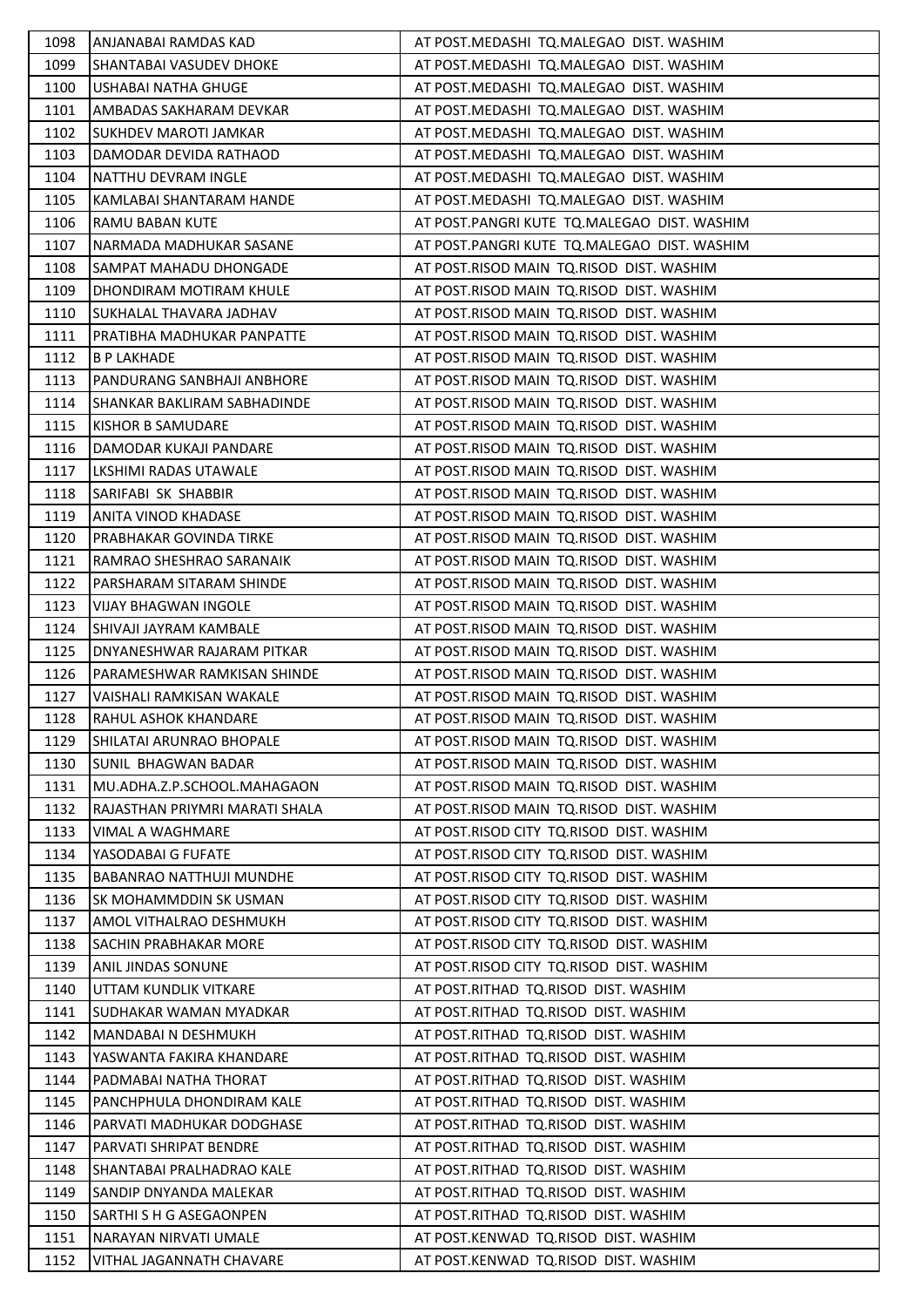| 1098 | ANJANABAI RAMDAS KAD           | AT POST.MEDASHI TQ.MALEGAO DIST. WASHIM     |
|------|--------------------------------|---------------------------------------------|
| 1099 | <b>SHANTABAI VASUDEV DHOKE</b> | AT POST.MEDASHI TQ.MALEGAO DIST. WASHIM     |
| 1100 | USHABAI NATHA GHUGE            | AT POST.MEDASHI TQ.MALEGAO DIST. WASHIM     |
| 1101 | AMBADAS SAKHARAM DEVKAR        | AT POST.MEDASHI TQ.MALEGAO DIST. WASHIM     |
| 1102 | <b>SUKHDEV MAROTI JAMKAR</b>   | AT POST.MEDASHI TQ.MALEGAO DIST. WASHIM     |
| 1103 | DAMODAR DEVIDA RATHAOD         | AT POST.MEDASHI TQ.MALEGAO DIST. WASHIM     |
| 1104 | NATTHU DEVRAM INGLE            | AT POST.MEDASHI TQ.MALEGAO DIST. WASHIM     |
| 1105 | KAMLABAI SHANTARAM HANDE       | AT POST.MEDASHI TQ.MALEGAO DIST. WASHIM     |
| 1106 | <b>RAMU BABAN KUTE</b>         | AT POST.PANGRI KUTE TQ.MALEGAO DIST. WASHIM |
| 1107 | NARMADA MADHUKAR SASANE        | AT POST.PANGRI KUTE TQ.MALEGAO DIST. WASHIM |
| 1108 | SAMPAT MAHADU DHONGADE         | AT POST.RISOD MAIN TQ.RISOD DIST. WASHIM    |
| 1109 | DHONDIRAM MOTIRAM KHULE        | AT POST.RISOD MAIN TQ.RISOD DIST. WASHIM    |
| 1110 | ISUKHALAL THAVARA JADHAV       | AT POST.RISOD MAIN TQ.RISOD DIST. WASHIM    |
| 1111 | PRATIBHA MADHUKAR PANPATTE     | AT POST.RISOD MAIN TQ.RISOD DIST. WASHIM    |
| 1112 | <b>B P LAKHADE</b>             | AT POST.RISOD MAIN TQ.RISOD DIST. WASHIM    |
| 1113 | PANDURANG SANBHAJI ANBHORE     | AT POST.RISOD MAIN TQ.RISOD DIST. WASHIM    |
| 1114 | ISHANKAR BAKLIRAM SABHADINDE   | AT POST.RISOD MAIN TQ.RISOD DIST. WASHIM    |
| 1115 | KISHOR B SAMUDARE              | AT POST.RISOD MAIN TQ.RISOD DIST. WASHIM    |
| 1116 | DAMODAR KUKAJI PANDARE         | AT POST.RISOD MAIN TQ.RISOD DIST. WASHIM    |
| 1117 | LKSHIMI RADAS UTAWALE          | AT POST.RISOD MAIN TQ.RISOD DIST. WASHIM    |
| 1118 | SARIFABI SK SHABBIR            | AT POST.RISOD MAIN TQ.RISOD DIST. WASHIM    |
| 1119 | ANITA VINOD KHADASE            | AT POST.RISOD MAIN TQ.RISOD DIST. WASHIM    |
| 1120 | PRABHAKAR GOVINDA TIRKE        | AT POST.RISOD MAIN TQ.RISOD DIST. WASHIM    |
| 1121 | RAMRAO SHESHRAO SARANAIK       | AT POST.RISOD MAIN TQ.RISOD DIST. WASHIM    |
| 1122 | PARSHARAM SITARAM SHINDE       | AT POST.RISOD MAIN TQ.RISOD DIST. WASHIM    |
| 1123 | <b>VIJAY BHAGWAN INGOLE</b>    | AT POST.RISOD MAIN TQ.RISOD DIST. WASHIM    |
| 1124 | SHIVAJI JAYRAM KAMBALE         | AT POST.RISOD MAIN TQ.RISOD DIST. WASHIM    |
| 1125 | DNYANESHWAR RAJARAM PITKAR     | AT POST.RISOD MAIN TQ.RISOD DIST. WASHIM    |
| 1126 | PARAMESHWAR RAMKISAN SHINDE    | AT POST.RISOD MAIN TQ.RISOD DIST. WASHIM    |
| 1127 | VAISHALI RAMKISAN WAKALE       | AT POST.RISOD MAIN TQ.RISOD DIST. WASHIM    |
| 1128 | <b>RAHUL ASHOK KHANDARE</b>    | AT POST.RISOD MAIN TQ.RISOD DIST. WASHIM    |
| 1129 | SHILATAI ARUNRAO BHOPALE       | AT POST.RISOD MAIN TO.RISOD DIST. WASHIM    |
| 1130 | SUNIL BHAGWAN BADAR            | AT POST.RISOD MAIN TQ.RISOD DIST. WASHIM    |
| 1131 | MU.ADHA.Z.P.SCHOOL.MAHAGAON    | AT POST.RISOD MAIN TQ.RISOD DIST. WASHIM    |
| 1132 | RAJASTHAN PRIYMRI MARATI SHALA | AT POST.RISOD MAIN TQ.RISOD DIST. WASHIM    |
| 1133 | VIMAL A WAGHMARE               | AT POST.RISOD CITY TO.RISOD DIST. WASHIM    |
| 1134 | YASODABAI G FUFATE             | AT POST.RISOD CITY TQ.RISOD DIST. WASHIM    |
| 1135 | BABANRAO NATTHUJI MUNDHE       | AT POST.RISOD CITY TO.RISOD DIST. WASHIM    |
| 1136 | SK MOHAMMDDIN SK USMAN         | AT POST.RISOD CITY TQ.RISOD DIST. WASHIM    |
| 1137 | AMOL VITHALRAO DESHMUKH        | AT POST.RISOD CITY TQ.RISOD DIST. WASHIM    |
| 1138 | SACHIN PRABHAKAR MORE          | AT POST.RISOD CITY TQ.RISOD DIST. WASHIM    |
| 1139 | <b>ANIL JINDAS SONUNE</b>      | AT POST.RISOD CITY TQ.RISOD DIST. WASHIM    |
| 1140 | UTTAM KUNDLIK VITKARE          | AT POST.RITHAD TQ.RISOD DIST. WASHIM        |
| 1141 | SUDHAKAR WAMAN MYADKAR         | AT POST.RITHAD TQ.RISOD DIST. WASHIM        |
| 1142 | MANDABAI N DESHMUKH            | AT POST.RITHAD TQ.RISOD DIST. WASHIM        |
| 1143 | YASWANTA FAKIRA KHANDARE       | AT POST.RITHAD TQ.RISOD DIST. WASHIM        |
| 1144 | PADMABAI NATHA THORAT          | AT POST.RITHAD TQ.RISOD DIST. WASHIM        |
| 1145 | PANCHPHULA DHONDIRAM KALE      | AT POST.RITHAD TQ.RISOD DIST. WASHIM        |
| 1146 | PARVATI MADHUKAR DODGHASE      | AT POST.RITHAD TQ.RISOD DIST. WASHIM        |
| 1147 | PARVATI SHRIPAT BENDRE         | AT POST.RITHAD TQ.RISOD DIST. WASHIM        |
| 1148 | SHANTABAI PRALHADRAO KALE      | AT POST.RITHAD TQ.RISOD DIST. WASHIM        |
| 1149 | SANDIP DNYANDA MALEKAR         | AT POST.RITHAD TQ.RISOD DIST. WASHIM        |
| 1150 | SARTHI S H G ASEGAONPEN        | AT POST.RITHAD TQ.RISOD DIST. WASHIM        |
| 1151 | NARAYAN NIRVATI UMALE          | AT POST.KENWAD TQ.RISOD DIST. WASHIM        |
| 1152 | VITHAL JAGANNATH CHAVARE       | AT POST.KENWAD TQ.RISOD DIST. WASHIM        |